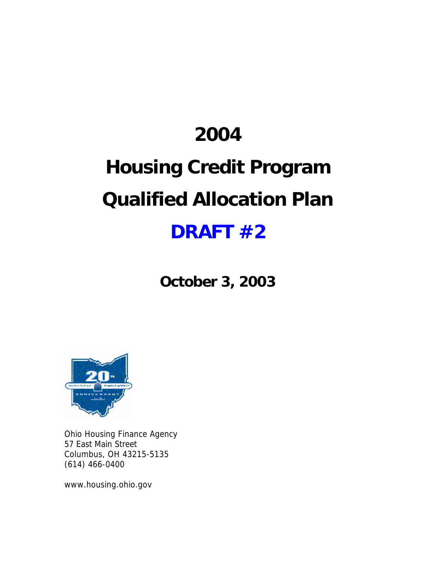# **2004 Housing Credit Program Qualified Allocation Plan**

# *DRAFT #2*

**October 3, 2003**



Ohio Housing Finance Agency 57 East Main Street Columbus, OH 43215-5135 (614) 466-0400

www.housing.ohio.gov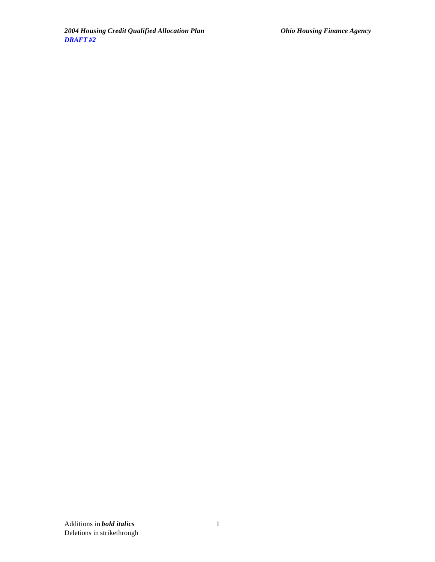*2004 Housing Credit Qualified Allocation Plan Ohio Housing Finance Agency DRAFT #2*

Additions in *bold italics* Deletions in strikethrough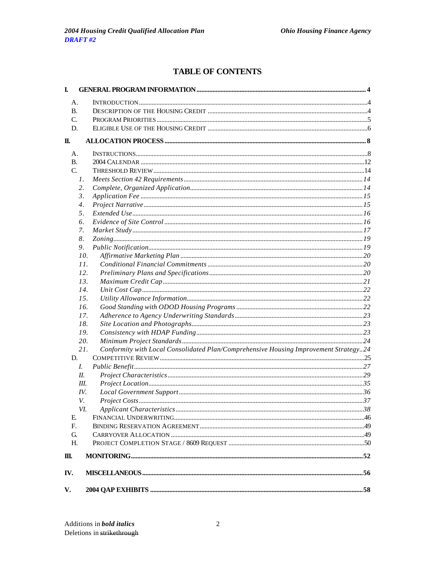# **TABLE OF CONTENTS**

| I.             |                  |                                                                                      |  |
|----------------|------------------|--------------------------------------------------------------------------------------|--|
| A <sub>1</sub> |                  |                                                                                      |  |
| B.             |                  |                                                                                      |  |
| C.             |                  |                                                                                      |  |
| D.             |                  |                                                                                      |  |
| П.             |                  |                                                                                      |  |
| A <sub>1</sub> |                  |                                                                                      |  |
| <b>B.</b>      |                  |                                                                                      |  |
| $C_{\cdot}$    |                  |                                                                                      |  |
|                |                  |                                                                                      |  |
|                | 1.               |                                                                                      |  |
|                | 2.               |                                                                                      |  |
|                | $\mathfrak{Z}.$  |                                                                                      |  |
|                | $\overline{4}$ . |                                                                                      |  |
|                | 5.               |                                                                                      |  |
|                | 6.               |                                                                                      |  |
|                | 7.               |                                                                                      |  |
|                | 8.               |                                                                                      |  |
|                | 9.               |                                                                                      |  |
|                | 10.              |                                                                                      |  |
|                | 11.              |                                                                                      |  |
|                | 12.              |                                                                                      |  |
|                | 13.              |                                                                                      |  |
|                | 14.              |                                                                                      |  |
|                | 15.              |                                                                                      |  |
|                | 16.              |                                                                                      |  |
|                | 17.              |                                                                                      |  |
|                | 18.              |                                                                                      |  |
|                | 19.              |                                                                                      |  |
|                | 20.              |                                                                                      |  |
|                | 21.              | Conformity with Local Consolidated Plan/Comprehensive Housing Improvement Strategy24 |  |
| D.             |                  |                                                                                      |  |
|                | I.               |                                                                                      |  |
|                | Н.               |                                                                                      |  |
|                | Ш.               |                                                                                      |  |
|                | IV.              |                                                                                      |  |
|                | V.               |                                                                                      |  |
|                | VI.              |                                                                                      |  |
| E.             |                  |                                                                                      |  |
| F.             |                  |                                                                                      |  |
| G.             |                  |                                                                                      |  |
| H.             |                  |                                                                                      |  |
| Ш.             |                  |                                                                                      |  |
|                |                  |                                                                                      |  |
| IV.            |                  |                                                                                      |  |
| V.             |                  |                                                                                      |  |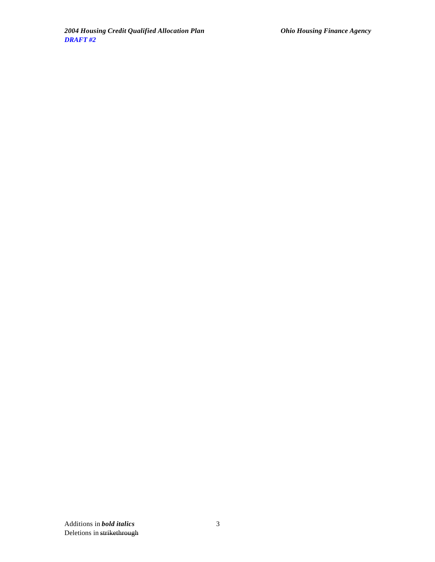*2004 Housing Credit Qualified Allocation Plan Ohio Housing Finance Agency DRAFT #2*

Additions in *bold italics* Deletions in strikethrough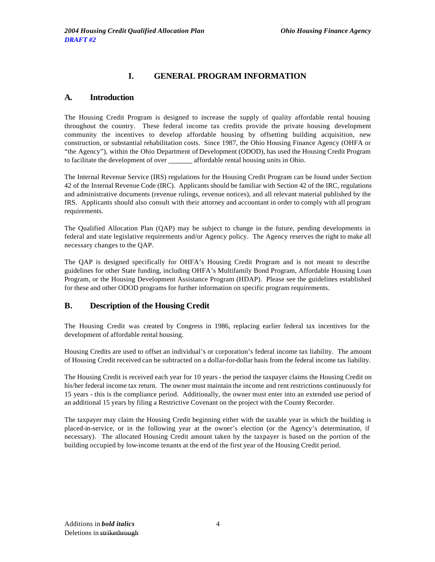# **I. GENERAL PROGRAM INFORMATION**

# **A. Introduction**

The Housing Credit Program is designed to increase the supply of quality affordable rental housing throughout the country. These federal income tax credits provide the private housing development community the incentives to develop affordable housing by offsetting building acquisition, new construction, or substantial rehabilitation costs. Since 1987, the Ohio Housing Finance Agency (OHFA or "the Agency"), within the Ohio Department of Development (ODOD), has used the Housing Credit Program to facilitate the development of over \_\_\_\_\_\_\_ affordable rental housing units in Ohio.

The Internal Revenue Service (IRS) regulations for the Housing Credit Program can be found under Section 42 of the Internal Revenue Code (IRC). Applicants should be familiar with Section 42 of the IRC, regulations and administrative documents (revenue rulings, revenue notices), and all relevant material published by the IRS. Applicants should also consult with their attorney and accountant in order to comply with all program requirements.

The Qualified Allocation Plan (QAP) may be subject to change in the future, pending developments in federal and state legislative requirements and/or Agency policy. The Agency reserves the right to make all necessary changes to the QAP.

The QAP is designed specifically for OHFA's Housing Credit Program and is not meant to describe guidelines for other State funding, including OHFA's Multifamily Bond Program, Affordable Housing Loan Program, or the Housing Development Assistance Program (HDAP). Please see the guidelines established for these and other ODOD programs for further information on specific program requirements.

# **B. Description of the Housing Credit**

The Housing Credit was created by Congress in 1986, replacing earlier federal tax incentives for the development of affordable rental housing.

Housing Credits are used to offset an individual's or corporation's federal income tax liability. The amount of Housing Credit received can be subtracted on a dollar-for-dollar basis from the federal income tax liability.

The Housing Credit is received each year for 10 years - the period the taxpayer claims the Housing Credit on his/her federal income tax return. The owner must maintain the income and rent restrictions continuously for 15 years - this is the compliance period. Additionally, the owner must enter into an extended use period of an additional 15 years by filing a Restrictive Covenant on the project with the County Recorder.

The taxpayer may claim the Housing Credit beginning either with the taxable year in which the building is placed-in-service, or in the following year at the owner's election (or the Agency's determination, if necessary). The allocated Housing Credit amount taken by the taxpayer is based on the portion of the building occupied by low-income tenants at the end of the first year of the Housing Credit period.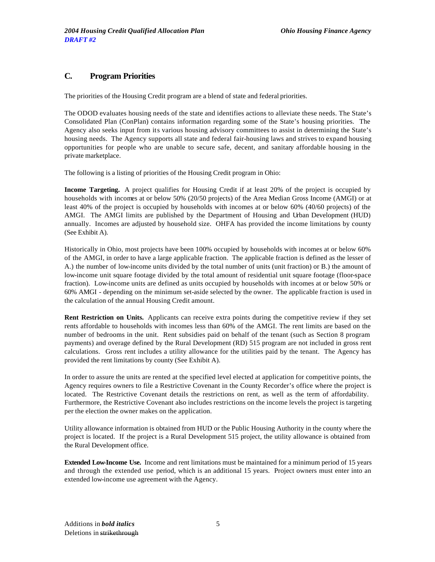# **C. Program Priorities**

The priorities of the Housing Credit program are a blend of state and federal priorities.

The ODOD evaluates housing needs of the state and identifies actions to alleviate these needs. The State's Consolidated Plan (ConPlan) contains information regarding some of the State's housing priorities. The Agency also seeks input from its various housing advisory committees to assist in determining the State's housing needs. The Agency supports all state and federal fair-housing laws and strives to expand housing opportunities for people who are unable to secure safe, decent, and sanitary affordable housing in the private marketplace.

The following is a listing of priorities of the Housing Credit program in Ohio:

**Income Targeting.** A project qualifies for Housing Credit if at least 20% of the project is occupied by households with incomes at or below 50% (20/50 projects) of the Area Median Gross Income (AMGI) or at least 40% of the project is occupied by households with incomes at or below 60% (40/60 projects) of the AMGI. The AMGI limits are published by the Department of Housing and Urban Development (HUD) annually. Incomes are adjusted by household size. OHFA has provided the income limitations by county (See Exhibit A).

Historically in Ohio, most projects have been 100% occupied by households with incomes at or below 60% of the AMGI, in order to have a large applicable fraction. The applicable fraction is defined as the lesser of A.) the number of low-income units divided by the total number of units (unit fraction) or B.) the amount of low-income unit square footage divided by the total amount of residential unit square footage (floor-space fraction). Low-income units are defined as units occupied by households with incomes at or below 50% or 60% AMGI - depending on the minimum set-aside selected by the owner. The applicable fraction is used in the calculation of the annual Housing Credit amount.

**Rent Restriction on Units.** Applicants can receive extra points during the competitive review if they set rents affordable to households with incomes less than 60% of the AMGI. The rent limits are based on the number of bedrooms in the unit. Rent subsidies paid on behalf of the tenant (such as Section 8 program payments) and overage defined by the Rural Development (RD) 515 program are not included in gross rent calculations. Gross rent includes a utility allowance for the utilities paid by the tenant. The Agency has provided the rent limitations by county (See Exhibit A).

In order to assure the units are rented at the specified level elected at application for competitive points, the Agency requires owners to file a Restrictive Covenant in the County Recorder's office where the project is located. The Restrictive Covenant details the restrictions on rent, as well as the term of affordability. Furthermore, the Restrictive Covenant also includes restrictions on the income levels the project is targeting per the election the owner makes on the application.

Utility allowance information is obtained from HUD or the Public Housing Authority in the county where the project is located. If the project is a Rural Development 515 project, the utility allowance is obtained from the Rural Development office.

**Extended Low-Income Use.** Income and rent limitations must be maintained for a minimum period of 15 years and through the extended use period, which is an additional 15 years. Project owners must enter into an extended low-income use agreement with the Agency.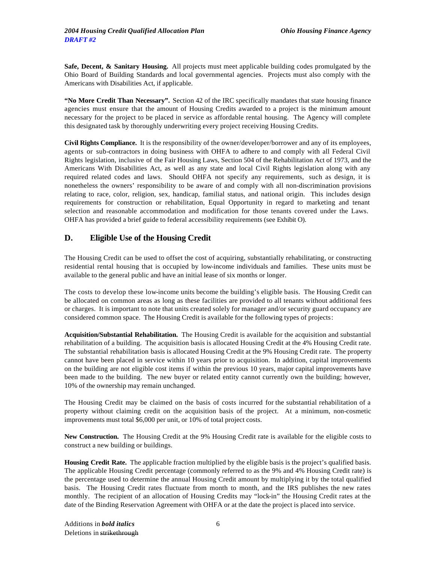**Safe, Decent, & Sanitary Housing.** All projects must meet applicable building codes promulgated by the Ohio Board of Building Standards and local governmental agencies. Projects must also comply with the Americans with Disabilities Act, if applicable.

**"No More Credit Than Necessary".** Section 42 of the IRC specifically mandates that state housing finance agencies must ensure that the amount of Housing Credits awarded to a project is the minimum amount necessary for the project to be placed in service as affordable rental housing. The Agency will complete this designated task by thoroughly underwriting every project receiving Housing Credits.

**Civil Rights Compliance.** It is the responsibility of the owner/developer/borrower and any of its employees, agents or sub-contractors in doing business with OHFA to adhere to and comply with all Federal Civil Rights legislation, inclusive of the Fair Housing Laws, Section 504 of the Rehabilitation Act of 1973, and the Americans With Disabilities Act, as well as any state and local Civil Rights legislation along with any required related codes and laws. Should OHFA not specify any requirements, such as design, it is nonetheless the owners' responsibility to be aware of and comply with all non-discrimination provisions relating to race, color, religion, sex, handicap, familial status, and national origin. This includes design requirements for construction or rehabilitation, Equal Opportunity in regard to marketing and tenant selection and reasonable accommodation and modification for those tenants covered under the Laws. OHFA has provided a brief guide to federal accessibility requirements (see Exhibit O).

# **D. Eligible Use of the Housing Credit**

The Housing Credit can be used to offset the cost of acquiring, substantially rehabilitating, or constructing residential rental housing that is occupied by low-income individuals and families. These units must be available to the general public and have an initial lease of six months or longer.

The costs to develop these low-income units become the building's eligible basis. The Housing Credit can be allocated on common areas as long as these facilities are provided to all tenants without additional fees or charges. It is important to note that units created solely for manager and/or security guard occupancy are considered common space. The Housing Credit is available for the following types of projects:

**Acquisition/Substantial Rehabilitation.** The Housing Credit is available for the acquisition and substantial rehabilitation of a building. The acquisition basis is allocated Housing Credit at the 4% Housing Credit rate. The substantial rehabilitation basis is allocated Housing Credit at the 9% Housing Credit rate. The property cannot have been placed in service within 10 years prior to acquisition. In addition, capital improvements on the building are not eligible cost items if within the previous 10 years, major capital improvements have been made to the building. The new buyer or related entity cannot currently own the building; however, 10% of the ownership may remain unchanged.

The Housing Credit may be claimed on the basis of costs incurred for the substantial rehabilitation of a property without claiming credit on the acquisition basis of the project. At a minimum, non-cosmetic improvements must total \$6,000 per unit, or 10% of total project costs.

**New Construction.** The Housing Credit at the 9% Housing Credit rate is available for the eligible costs to construct a new building or buildings.

**Housing Credit Rate.** The applicable fraction multiplied by the eligible basis is the project's qualified basis. The applicable Housing Credit percentage (commonly referred to as the 9% and 4% Housing Credit rate) is the percentage used to determine the annual Housing Credit amount by multiplying it by the total qualified basis. The Housing Credit rates fluctuate from month to month, and the IRS publishes the new rates monthly. The recipient of an allocation of Housing Credits may "lock-in" the Housing Credit rates at the date of the Binding Reservation Agreement with OHFA or at the date the project is placed into service.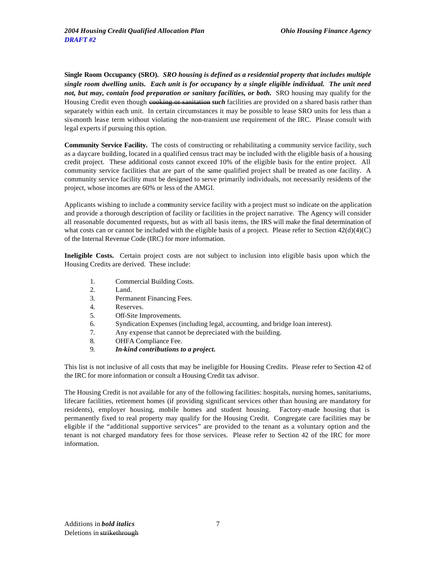**Single Room Occupancy (SRO).** *SRO housing is defined as a residential property that includes multiple single room dwelling units. Each unit is for occupancy by a single eligible individual. The unit need not, but may, contain food preparation or sanitary facilities, or both.* SRO housing may qualify for the Housing Credit even though cooking or sanitation *such* facilities are provided on a shared basis rather than separately within each unit. In certain circumstances it may be possible to lease SRO units for less than a six-month lease term without violating the non-transient use requirement of the IRC. Please consult with legal experts if pursuing this option.

**Community Service Facility.** The costs of constructing or rehabilitating a community service facility, such as a daycare building, located in a qualified census tract may be included with the eligible basis of a housing credit project. These additional costs cannot exceed 10% of the eligible basis for the entire project. All community service facilities that are part of the same qualified project shall be treated as one facility. A community service facility must be designed to serve primarily individuals, not necessarily residents of the project, whose incomes are 60% or less of the AMGI.

Applicants wishing to include a community service facility with a project must so indicate on the application and provide a thorough description of facility or facilities in the project narrative. The Agency will consider all reasonable documented requests, but as with all basis items, the IRS will make the final determination of what costs can or cannot be included with the eligible basis of a project. Please refer to Section  $42(d)(4)(C)$ of the Internal Revenue Code (IRC) for more information.

**Ineligible Costs.** Certain project costs are not subject to inclusion into eligible basis upon which the Housing Credits are derived. These include:

- 1. Commercial Building Costs.
- 2. Land.
- 3. Permanent Financing Fees.
- 4. Reserves.
- 5. Off-Site Improvements.
- 6. Syndication Expenses (including legal, accounting, and bridge loan interest).
- 7. Any expense that cannot be depreciated with the building.
- 8. OHFA Compliance Fee.
- 9. *In-kind contributions to a project.*

This list is not inclusive of all costs that may be ineligible for Housing Credits. Please refer to Section 42 of the IRC for more information or consult a Housing Credit tax advisor.

The Housing Credit is not available for any of the following facilities: hospitals, nursing homes, sanitariums, lifecare facilities, retirement homes (if providing significant services other than housing are mandatory for residents), employer housing, mobile homes and student housing. Factory-made housing that is permanently fixed to real property may qualify for the Housing Credit. Congregate care facilities may be eligible if the "additional supportive services" are provided to the tenant as a voluntary option and the tenant is not charged mandatory fees for those services. Please refer to Section 42 of the IRC for more information.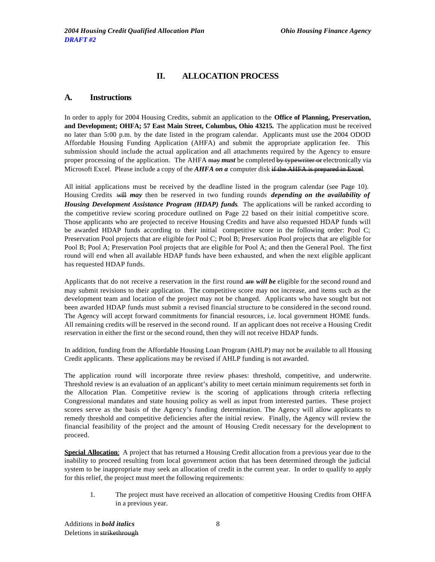# **II. ALLOCATION PROCESS**

# **A. Instructions**

In order to apply for 2004 Housing Credits, submit an application to the **Office of Planning, Preservation, and Development; OHFA; 57 East Main Street, Columbus, Ohio 43215.** The application must be received no later than 5:00 p.m. by the date listed in the program calendar. Applicants must use the 2004 ODOD Affordable Housing Funding Application (AHFA) and submit the appropriate application fee. This submission should include the actual application and all attachments required by the Agency to ensure proper processing of the application. The AHFA may *must* be completed by typewriter or electronically via Microsoft Excel. Please include a copy of the *AHFA on a* computer disk if the AHFA is prepared in Excel.

All initial applications must be received by the deadline listed in the program calendar (see Page 10). Housing Credits will *may* then be reserved in two funding rounds *depending on the availability of Housing Development Assistance Program (HDAP) funds*. The applications will be ranked according to the competitive review scoring procedure outlined on Page 22 based on their initial competitive score. Those applicants who are projected to receive Housing Credits and have also requested HDAP funds will be awarded HDAP funds according to their initial competitive score in the following order: Pool C; Preservation Pool projects that are eligible for Pool C; Pool B; Preservation Pool projects that are eligible for Pool B; Pool A; Preservation Pool projects that are eligible for Pool A; and then the General Pool. The first round will end when all available HDAP funds have been exhausted, and when the next eligible applicant has requested HDAP funds.

Applicants that do not receive a reservation in the first round are *will be* eligible for the second round and may submit revisions to their application. The competitive score may not increase, and items such as the development team and location of the project may not be changed. Applicants who have sought but not been awarded HDAP funds must submit a revised financial structure to be considered in the second round. The Agency will accept forward commitments for financial resources, i.e. local government HOME funds. All remaining credits will be reserved in the second round. If an applicant does not receive a Housing Credit reservation in either the first or the second round, then they will not receive HDAP funds.

In addition, funding from the Affordable Housing Loan Program (AHLP) may not be available to all Housing Credit applicants. These applications may be revised if AHLP funding is not awarded.

The application round will incorporate three review phases: threshold, competitive, and underwrite. Threshold review is an evaluation of an applicant's ability to meet certain minimum requirements set forth in the Allocation Plan. Competitive review is the scoring of applications through criteria reflecting Congressional mandates and state housing policy as well as input from interested parties. These project scores serve as the basis of the Agency's funding determination. The Agency will allow applicants to remedy threshold and competitive deficiencies after the initial review. Finally, the Agency will review the financial feasibility of the project and the amount of Housing Credit necessary for the development to proceed.

**Special Allocation**: A project that has returned a Housing Credit allocation from a previous year due to the inability to proceed resulting from local government action that has been determined through the judicial system to be inappropriate may seek an allocation of credit in the current year. In order to qualify to apply for this relief, the project must meet the following requirements:

1. The project must have received an allocation of competitive Housing Credits from OHFA in a previous year.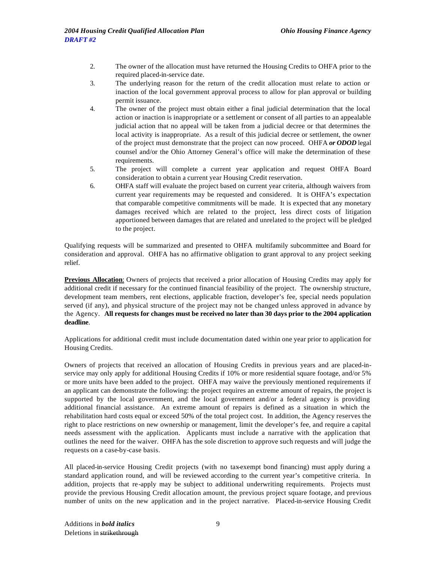- 2. The owner of the allocation must have returned the Housing Credits to OHFA prior to the required placed-in-service date.
- 3. The underlying reason for the return of the credit allocation must relate to action or inaction of the local government approval process to allow for plan approval or building permit issuance.
- 4. The owner of the project must obtain either a final judicial determination that the local action or inaction is inappropriate or a settlement or consent of all parties to an appealable judicial action that no appeal will be taken from a judicial decree or that determines the local activity is inappropriate. As a result of this judicial decree or settlement, the owner of the project must demonstrate that the project can now proceed. OHFA *or ODOD* legal counsel and/or the Ohio Attorney General's office will make the determination of these requirements.
- 5. The project will complete a current year application and request OHFA Board consideration to obtain a current year Housing Credit reservation.
- 6. OHFA staff will evaluate the project based on current year criteria, although waivers from current year requirements may be requested and considered. It is OHFA's expectation that comparable competitive commitments will be made. It is expected that any monetary damages received which are related to the project, less direct costs of litigation apportioned between damages that are related and unrelated to the project will be pledged to the project.

Qualifying requests will be summarized and presented to OHFA multifamily subcommittee and Board for consideration and approval. OHFA has no affirmative obligation to grant approval to any project seeking relief.

**Previous Allocation**: Owners of projects that received a prior allocation of Housing Credits may apply for additional credit if necessary for the continued financial feasibility of the project. The ownership structure, development team members, rent elections, applicable fraction, developer's fee, special needs population served (if any), and physical structure of the project may not be changed unless approved in advance by the Agency. **All requests for changes must be received no later than 30 days prior to the 2004 application deadline**.

Applications for additional credit must include documentation dated within one year prior to application for Housing Credits.

Owners of projects that received an allocation of Housing Credits in previous years and are placed-inservice may only apply for additional Housing Credits if 10% or more residential square footage, and/or 5% or more units have been added to the project. OHFA may waive the previously mentioned requirements if an applicant can demonstrate the following: the project requires an extreme amount of repairs, the project is supported by the local government, and the local government and/or a federal agency is providing additional financial assistance. An extreme amount of repairs is defined as a situation in which the rehabilitation hard costs equal or exceed 50% of the total project cost. In addition, the Agency reserves the right to place restrictions on new ownership or management, limit the developer's fee, and require a capital needs assessment with the application. Applicants must include a narrative with the application that outlines the need for the waiver. OHFA has the sole discretion to approve such requests and will judge the requests on a case-by-case basis.

All placed-in-service Housing Credit projects (with no tax-exempt bond financing) must apply during a standard application round, and will be reviewed according to the current year's competitive criteria. In addition, projects that re-apply may be subject to additional underwriting requirements. Projects must provide the previous Housing Credit allocation amount, the previous project square footage, and previous number of units on the new application and in the project narrative. Placed-in-service Housing Credit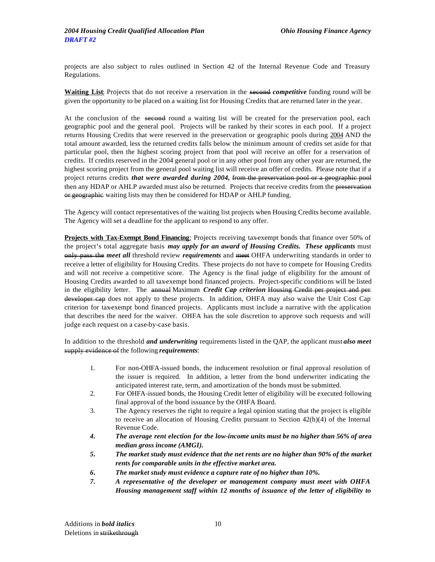projects are also subject to rules outlined in Section 42 of the Internal Revenue Code and Treasury Regulations.

**Waiting List**: Projects that do not receive a reservation in the second *competitive* funding round will be given the opportunity to be placed on a waiting list for Housing Credits that are returned later in the year.

At the conclusion of the second round a waiting list will be created for the preservation pool, each geographic pool and the general pool. Projects will be ranked by their scores in each pool. If a project returns Housing Credits that were reserved in the preservation or geographic pools during 2004 AND the total amount awarded, less the returned credits falls below the minimum amount of credits set aside for that particular pool, then the highest scoring project from that pool will receive an offer for a reservation of credits. If credits reserved in the 2004 general pool or in any other pool from any other year are returned, the highest scoring project from the general pool waiting list will receive an offer of credits. Please note that if a project returns credits *that were awarded during 2004,* from the preservation pool or a geographic pool then any HDAP or AHLP awarded must also be returned. Projects that receive credits from the preservation or geographic waiting lists may then be considered for HDAP or AHLP funding.

The Agency will contact representatives of the waiting list projects when Housing Credits become available. The Agency will set a deadline for the applicant to respond to any offer.

**Projects with Tax-Exempt Bond Financing**: Projects receiving tax-exempt bonds that finance over 50% of the project's total aggregate basis *may apply for an award of Housing Credits. These applicants* must only pass the *meet all* threshold review *requirements* and meet OHFA underwriting standards in order to receive a letter of eligibility for Housing Credits. These projects do not have to compete for Housing Credits and will not receive a competitive score. The Agency is the final judge of eligibility for the amount of Housing Credits awarded to all tax-exempt bond financed projects. Project-specific conditions will be listed in the eligibility letter. The annual Maximum *Credit Cap criterion* Housing Credit per project and per developer cap does not apply to these projects. In addition, OHFA may also waive the Unit Cost Cap criterion for tax-exempt bond financed projects. Applicants must include a narrative with the application that describes the need for the waiver. OHFA has the sole discretion to approve such requests and will judge each request on a case-by-case basis.

In addition to the threshold *and underwriting* requirements listed in the QAP, the applicant must *also meet* supply evidence of the following *requirements*:

- 1. For non-OHFA-issued bonds, the inducement resolution or final approval resolution of the issuer is required. In addition, a letter from the bond underwriter indicating the anticipated interest rate, term, and amortization of the bonds must be submitted.
- 2. For OHFA-issued bonds, the Housing Credit letter of eligibility will be executed following final approval of the bond issuance by the OHFA Board.
- 3. The Agency reserves the right to require a legal opinion stating that the project is eligible to receive an allocation of Housing Credits pursuant to Section 42(h)(4) of the Internal Revenue Code.
- *4. The average rent election for the low-income units must be no higher than 56% of area median gross income (AMGI).*
- *5. The market study must evidence that the net rents are no higher than 90% of the market rents for comparable units in the effective market area.*
- *6. The market study must evidence a capture rate of no higher than 10%.*
- *7. A representative of the developer or management company must meet with OHFA Housing management staff within 12 months of issuance of the letter of eligibility to*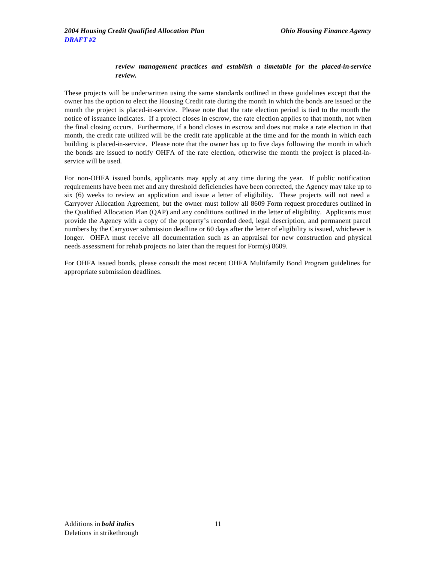#### *review management practices and establish a timetable for the placed-in-service review.*

These projects will be underwritten using the same standards outlined in these guidelines except that the owner has the option to elect the Housing Credit rate during the month in which the bonds are issued or the month the project is placed-in-service. Please note that the rate election period is tied to the month the notice of issuance indicates. If a project closes in escrow, the rate election applies to that month, not when the final closing occurs. Furthermore, if a bond closes in escrow and does not make a rate election in that month, the credit rate utilized will be the credit rate applicable at the time and for the month in which each building is placed-in-service. Please note that the owner has up to five days following the month in which the bonds are issued to notify OHFA of the rate election, otherwise the month the project is placed-inservice will be used.

For non-OHFA issued bonds, applicants may apply at any time during the year. If public notification requirements have been met and any threshold deficiencies have been corrected, the Agency may take up to six (6) weeks to review an application and issue a letter of eligibility. These projects will not need a Carryover Allocation Agreement, but the owner must follow all 8609 Form request procedures outlined in the Qualified Allocation Plan (QAP) and any conditions outlined in the letter of eligibility. Applicants must provide the Agency with a copy of the property's recorded deed, legal description, and permanent parcel numbers by the Carryover submission deadline or 60 days after the letter of eligibility is issued, whichever is longer. OHFA must receive all documentation such as an appraisal for new construction and physical needs assessment for rehab projects no later than the request for Form(s) 8609.

For OHFA issued bonds, please consult the most recent OHFA Multifamily Bond Program guidelines for appropriate submission deadlines.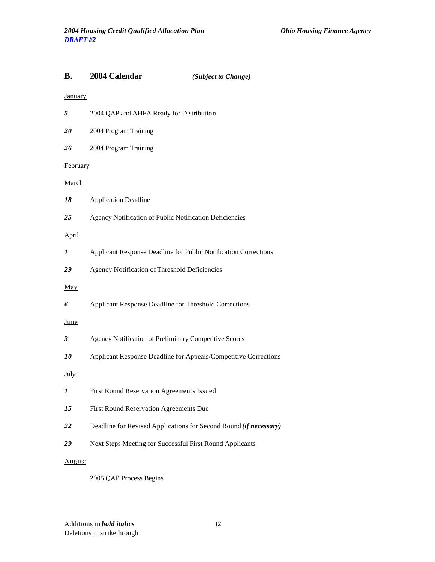# **B. 2004 Calendar** *(Subject to Change)*

#### **January**

| 5             | 2004 QAP and AHFA Ready for Distribution                          |
|---------------|-------------------------------------------------------------------|
| 20            | 2004 Program Training                                             |
| 26            | 2004 Program Training                                             |
| February      |                                                                   |
| <b>March</b>  |                                                                   |
| 18            | <b>Application Deadline</b>                                       |
| 25            | Agency Notification of Public Notification Deficiencies           |
| April         |                                                                   |
| 1             | Applicant Response Deadline for Public Notification Corrections   |
| 29            | Agency Notification of Threshold Deficiencies                     |
| <u>May</u>    |                                                                   |
| 6             | Applicant Response Deadline for Threshold Corrections             |
| <u>June</u>   |                                                                   |
| 3             | Agency Notification of Preliminary Competitive Scores             |
| 10            | Applicant Response Deadline for Appeals/Competitive Corrections   |
| <u>July</u>   |                                                                   |
| 1             | First Round Reservation Agreements Issued                         |
| 15            | First Round Reservation Agreements Due                            |
| 22            | Deadline for Revised Applications for Second Round (if necessary) |
| 29            | Next Steps Meeting for Successful First Round Applicants          |
| <u>August</u> |                                                                   |
|               | 2005 QAP Process Begins                                           |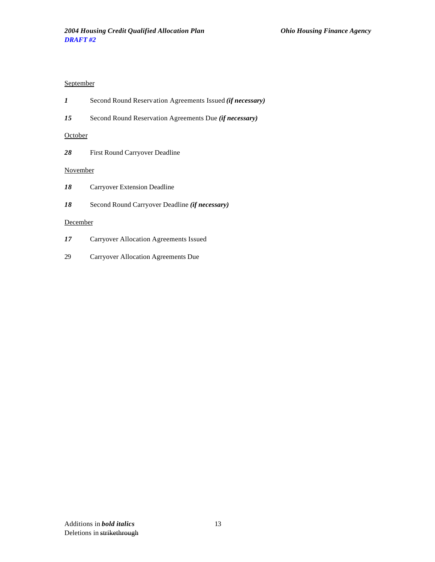#### September

- *1* Second Round Reservation Agreements Issued *(if necessary)*
- *15* Second Round Reservation Agreements Due *(if necessary)*

#### **October**

*28* First Round Carryover Deadline

#### November

- *18* Carryover Extension Deadline
- *18* Second Round Carryover Deadline *(if necessary)*

# December

- *17* Carryover Allocation Agreements Issued
- 29 Carryover Allocation Agreements Due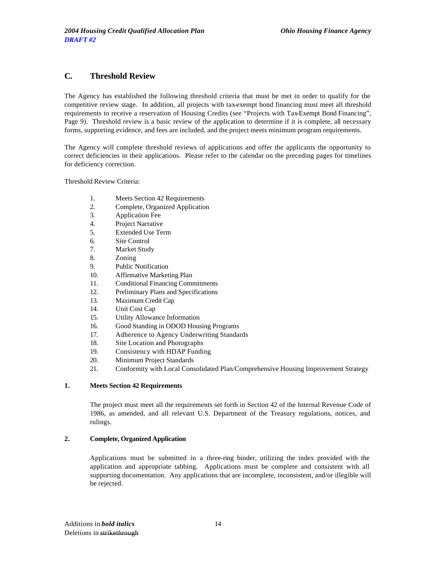# **C. Threshold Review**

The Agency has established the following threshold criteria that must be met in order to qualify for the competitive review stage. In addition, all projects with tax-exempt bond financing must meet all threshold requirements to receive a reservation of Housing Credits (see "Projects with Tax-Exempt Bond Financing", Page 9). Threshold review is a basic review of the application to determine if it is complete, all necessary forms, supporting evidence, and fees are included, and the project meets minimum program requirements.

The Agency will complete threshold reviews of applications and offer the applicants the opportunity to correct deficiencies in their applications. Please refer to the calendar on the preceding pages for timelines for deficiency correction.

Threshold Review Criteria:

- 1. Meets Section 42 Requirements
- 2. Complete, Organized Application
- 3. Application Fee
- 4. Project Narrative
- 5. Extended Use Term
- 6. Site Control
- 7. Market Study
- 8. Zoning
- 9. Public Notification
- 10. Affirmative Marketing Plan
- 11. Conditional Financing Commitments
- 12. Preliminary Plans and Specifications
- 13. Maximum Credit Cap
- 14. Unit Cost Cap
- 15. Utility Allowance Information
- 16. Good Standing in ODOD Housing Programs
- 17. Adherence to Agency Underwriting Standards
- 18. Site Location and Photographs
- 19. Consistency with HDAP Funding
- 20. Minimum Project Standards
- 21. Conformity with Local Consolidated Plan/Comprehensive Housing Improvement Strategy

#### **1. Meets Section 42 Requirements**

The project must meet all the requirements set forth in Section 42 of the Internal Revenue Code of 1986, as amended, and all relevant U.S. Department of the Treasury regulations, notices, and rulings.

#### **2. Complete, Organized Application**

Applications must be submitted in a three-ring binder, utilizing the index provided with the application and appropriate tabbing. Applications must be complete and consistent with all supporting documentation. Any applications that are incomplete, inconsistent, and/or illegible will be rejected.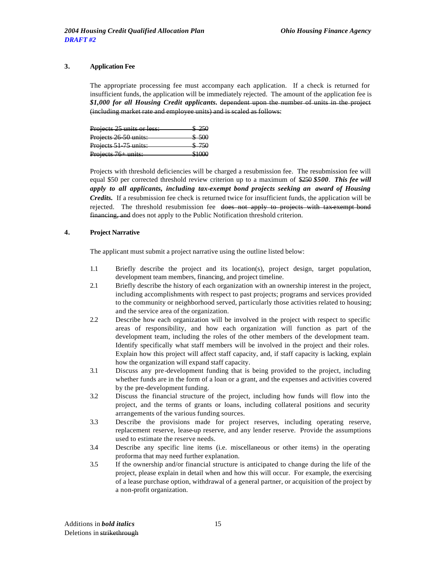#### **3. Application Fee**

The appropriate processing fee must accompany each application. If a check is returned for insufficient funds, the application will be immediately rejected. The amount of the application fee is *\$1,000 for all Housing Credit applicants.* dependent upon the number of units in the project (including market rate and employee units) and is scaled as follows:

| Projects 25 units or less: | \$250  |
|----------------------------|--------|
| Projects 26-50 units:      | \$500  |
| Projects 51-75 units:      | \$750  |
| Projects 76+ units:        | \$1000 |

Projects with threshold deficiencies will be charged a resubmission fee. The resubmission fee will equal \$50 per corrected threshold review criterion up to a maximum of \$250 *\$500*. *This fee will apply to all applicants, including tax-exempt bond projects seeking an award of Housing Credits.* If a resubmission fee check is returned twice for insufficient funds, the application will be rejected. The threshold resubmission fee does not apply to projects with tax-exempt bond financing, and does not apply to the Public Notification threshold criterion.

#### **4. Project Narrative**

The applicant must submit a project narrative using the outline listed below:

- 1.1 Briefly describe the project and its location(s), project design, target population, development team members, financing, and project timeline.
- 2.1 Briefly describe the history of each organization with an ownership interest in the project, including accomplishments with respect to past projects; programs and services provided to the community or neighborhood served, particularly those activities related to housing; and the service area of the organization.
- 2.2 Describe how each organization will be involved in the project with respect to specific areas of responsibility, and how each organization will function as part of the development team, including the roles of the other members of the development team. Identify specifically what staff members will be involved in the project and their roles. Explain how this project will affect staff capacity, and, if staff capacity is lacking, explain how the organization will expand staff capacity.
- 3.1 Discuss any pre-development funding that is being provided to the project, including whether funds are in the form of a loan or a grant, and the expenses and activities covered by the pre-development funding.
- 3.2 Discuss the financial structure of the project, including how funds will flow into the project, and the terms of grants or loans, including collateral positions and security arrangements of the various funding sources.
- 3.3 Describe the provisions made for project reserves, including operating reserve, replacement reserve, lease-up reserve, and any lender reserve. Provide the assumptions used to estimate the reserve needs.
- 3.4 Describe any specific line items (i.e. miscellaneous or other items) in the operating proforma that may need further explanation.
- 3.5 If the ownership and/or financial structure is anticipated to change during the life of the project, please explain in detail when and how this will occur. For example, the exercising of a lease purchase option, withdrawal of a general partner, or acquisition of the project by a non-profit organization.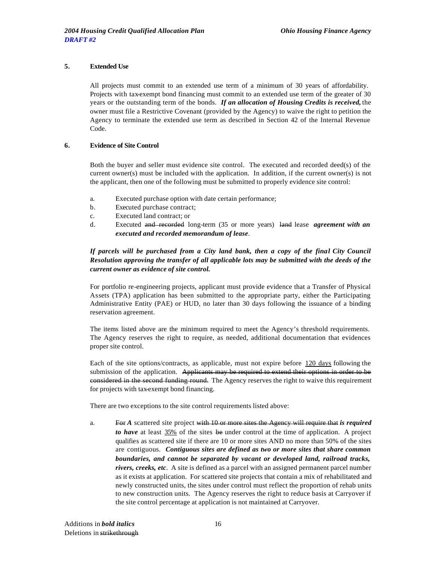#### **5. Extended Use**

All projects must commit to an extended use term of a minimum of 30 years of affordability. Projects with tax-exempt bond financing must commit to an extended use term of the greater of 30 years or the outstanding term of the bonds. *If an allocation of Housing Credits is received,* the owner must file a Restrictive Covenant (provided by the Agency) to waive the right to petition the Agency to terminate the extended use term as described in Section 42 of the Internal Revenue Code.

#### **6. Evidence of Site Control**

Both the buyer and seller must evidence site control. The executed and recorded deed(s) of the current owner(s) must be included with the application. In addition, if the current owner(s) is not the applicant, then one of the following must be submitted to properly evidence site control:

- a. Executed purchase option with date certain performance;
- b. Executed purchase contract;
- c. Executed land contract; or
- d. Executed and recorded long-term (35 or more years) land lease *agreement with an executed and recorded memorandum of lease*.

### *If parcels will be purchased from a City land bank, then a copy of the final City Council Resolution approving the transfer of all applicable lots may be submitted with the deeds of the current owner as evidence of site control.*

For portfolio re-engineering projects, applicant must provide evidence that a Transfer of Physical Assets (TPA) application has been submitted to the appropriate party, either the Participating Administrative Entity (PAE) or HUD, no later than 30 days following the issuance of a binding reservation agreement.

The items listed above are the minimum required to meet the Agency's threshold requirements. The Agency reserves the right to require, as needed, additional documentation that evidences proper site control.

Each of the site options/contracts, as applicable, must not expire before 120 days following the submission of the application. Applicants may be required to extend their options in order to be considered in the second funding round. The Agency reserves the right to waive this requirement for projects with tax-exempt bond financing.

There are two exceptions to the site control requirements listed above:

a. For *A* scattered site project with 10 or more sites the Agency will require that *is required to have* at least  $35\%$  of the sites be under control at the time of application. A project qualifies as scattered site if there are 10 or more sites AND no more than 50% of the sites are contiguous. *Contiguous sites are defined as two or more sites that share common boundaries, and cannot be separated by vacant or developed land, railroad tracks, rivers, creeks, etc*. A site is defined as a parcel with an assigned permanent parcel number as it exists at application. For scattered site projects that contain a mix of rehabilitated and newly constructed units, the sites under control must reflect the proportion of rehab units to new construction units. The Agency reserves the right to reduce basis at Carryover if the site control percentage at application is not maintained at Carryover.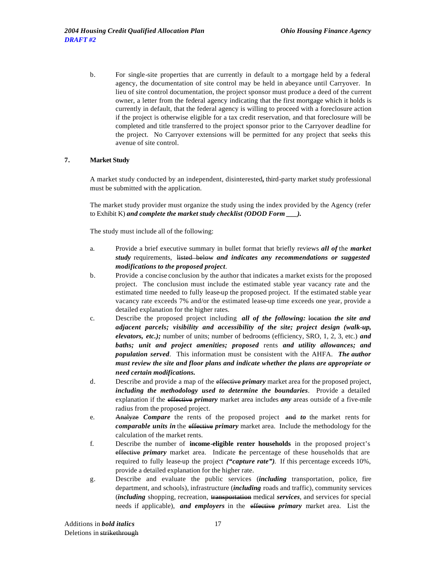b. For single-site properties that are currently in default to a mortgage held by a federal agency, the documentation of site control may be held in abeyance until Carryover. In lieu of site control documentation, the project sponsor must produce a deed of the current owner, a letter from the federal agency indicating that the first mortgage which it holds is currently in default, that the federal agency is willing to proceed with a foreclosure action if the project is otherwise eligible for a tax credit reservation, and that foreclosure will be completed and title transferred to the project sponsor prior to the Carryover deadline for the project. No Carryover extensions will be permitted for any project that seeks this avenue of site control.

#### **7. Market Study**

A market study conducted by an independent, disinterested*,* third-party market study professional must be submitted with the application.

The market study provider must organize the study using the index provided by the Agency (refer to Exhibit K) *and complete the market study checklist (ODOD Form \_\_\_).*

The study must include all of the following:

- a. Provide a brief executive summary in bullet format that briefly reviews *all of* the *market study* requirements, listed below *and indicates any recommendations or suggested modifications to the proposed project*.
- b. Provide a concise conclusion by the author that indicates a market exists for the proposed project. The conclusion must include the estimated stable year vacancy rate and the estimated time needed to fully lease-up the proposed project. If the estimated stable year vacancy rate exceeds 7% and/or the estimated lease-up time exceeds one year, provide a detailed explanation for the higher rates.
- c. Describe the proposed project including *all of the following:* location *the site and adjacent parcels; visibility and accessibility of the site; project design (walk-up, elevators, etc.);* number of units; number of bedrooms (efficiency, SRO, 1, 2, 3, etc.) *and baths; unit and project amenities; proposed* rents *and utility allowances; and population served*. This information must be consistent with the AHFA. *The author must review the site and floor plans and indicate whether the plans are appropriate or need certain modifications.*
- d. Describe and provide a map of the effective *primary* market area for the proposed project, *including the methodology used to determine the boundaries*. Provide a detailed explanation if the effective *primary* market area includes *any* areas outside of a five-mile radius from the proposed project.
- e. Analyze *Compare* the rents of the proposed project and *to* the market rents for *comparable units in* the effective *primary* market area. Include the methodology for the calculation of the market rents.
- f. Describe the number of **income-eligible renter households** in the proposed project's effective *primary* market area. Indicate the percentage of these households that are required to fully lease-up the project *("capture rate")*. If this percentage exceeds 10%, provide a detailed explanation for the higher rate.
- g. Describe and evaluate the public services (*including* transportation, police, fire department, and schools), infrastructure (*including* roads and traffic), community services (*including* shopping, recreation, transportation medical *services*, and services for special needs if applicable), *and employers* in the effective *primary* market area. List the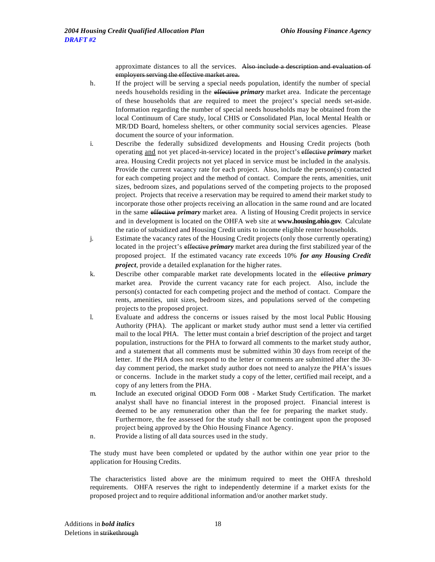approximate distances to all the services. Also include a description and evaluation of employers serving the effective market area.

- h. If the project will be serving a special needs population, identify the number of special needs households residing in the effective *primary* market area. Indicate the percentage of these households that are required to meet the project's special needs set-aside. Information regarding the number of special needs households may be obtained from the local Continuum of Care study, local CHIS or Consolidated Plan, local Mental Health or MR/DD Board, homeless shelters, or other community social services agencies. Please document the source of your information.
- i. Describe the federally subsidized developments and Housing Credit projects (both operating and not yet placed-in-service) located in the project's effective *primary* market area. Housing Credit projects not yet placed in service must be included in the analysis. Provide the current vacancy rate for each project. Also, include the person(s) contacted for each competing project and the method of contact. Compare the rents, amenities, unit sizes, bedroom sizes, and populations served of the competing projects to the proposed project. Projects that receive a reservation may be required to amend their market study to incorporate those other projects receiving an allocation in the same round and are located in the same effective *primary* market area. A listing of Housing Credit projects in service and in development is located on the OHFA web site at **www.housing.ohio.gov**. Calculate the ratio of subsidized and Housing Credit units to income eligible renter households.
- j. Estimate the vacancy rates of the Housing Credit projects (only those currently operating) located in the project's effective *primary* market area during the first stabilized year of the proposed project. If the estimated vacancy rate exceeds 10% *for any Housing Credit project*, provide a detailed explanation for the higher rates.
- k. Describe other comparable market rate developments located in the effective *primary* market area. Provide the current vacancy rate for each project. Also, include the person(s) contacted for each competing project and the method of contact. Compare the rents, amenities, unit sizes, bedroom sizes, and populations served of the competing projects to the proposed project.
- l. Evaluate and address the concerns or issues raised by the most local Public Housing Authority (PHA). The applicant or market study author must send a letter via certified mail to the local PHA. The letter must contain a brief description of the project and target population, instructions for the PHA to forward all comments to the market study author, and a statement that all comments must be submitted within 30 days from receipt of the letter. If the PHA does not respond to the letter or comments are submitted after the 30 day comment period, the market study author does not need to analyze the PHA's issues or concerns. Include in the market study a copy of the letter, certified mail receipt, and a copy of any letters from the PHA.
- m. Include an executed original ODOD Form 008 Market Study Certification. The market analyst shall have no financial interest in the proposed project. Financial interest is deemed to be any remuneration other than the fee for preparing the market study. Furthermore, the fee assessed for the study shall not be contingent upon the proposed project being approved by the Ohio Housing Finance Agency.
- n. Provide a listing of all data sources used in the study.

The study must have been completed or updated by the author within one year prior to the application for Housing Credits.

The characteristics listed above are the minimum required to meet the OHFA threshold requirements. OHFA reserves the right to independently determine if a market exists for the proposed project and to require additional information and/or another market study.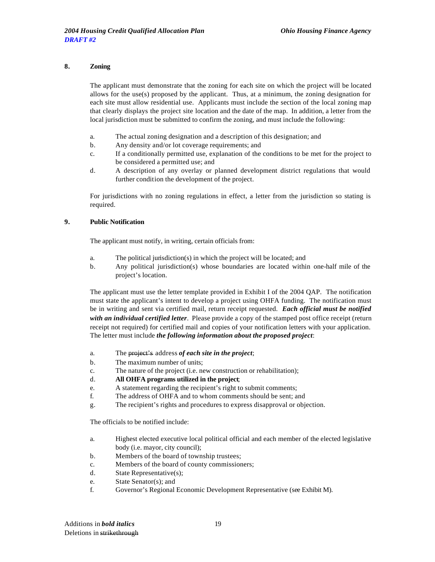# **8. Zoning**

The applicant must demonstrate that the zoning for each site on which the project will be located allows for the use(s) proposed by the applicant. Thus, at a minimum, the zoning designation for each site must allow residential use. Applicants must include the section of the local zoning map that clearly displays the project site location and the date of the map. In addition, a letter from the local jurisdiction must be submitted to confirm the zoning, and must include the following:

- a. The actual zoning designation and a description of this designation; and
- b. Any density and/or lot coverage requirements; and
- c. If a conditionally permitted use, explanation of the conditions to be met for the project to be considered a permitted use; and
- d. A description of any overlay or planned development district regulations that would further condition the development of the project.

For jurisdictions with no zoning regulations in effect, a letter from the jurisdiction so stating is required.

#### **9. Public Notification**

The applicant must notify, in writing, certain officials from:

- a. The political jurisdiction(s) in which the project will be located; and
- b. Any political jurisdiction(s) whose boundaries are located within one-half mile of the project's location.

The applicant must use the letter template provided in Exhibit I of the 2004 QAP.The notification must state the applicant's intent to develop a project using OHFA funding. The notification must be in writing and sent via certified mail, return receipt requested. *Each official must be notified with an individual certified letter*. Please provide a copy of the stamped post office receipt (return receipt not required) for certified mail and copies of your notification letters with your application. The letter must include *the following information about the proposed project*:

- a. The project's address *of each site in the project*;
- b. The maximum number of units;
- c. The nature of the project (i.e. new construction or rehabilitation);
- d. **All OHFA programs utilized in the project**;
- e. A statement regarding the recipient's right to submit comments;
- f. The address of OHFA and to whom comments should be sent; and
- g. The recipient's rights and procedures to express disapproval or objection.

The officials to be notified include:

- a. Highest elected executive local political official and each member of the elected legislative body (i.e. mayor, city council);
- b. Members of the board of township trustees;
- c. Members of the board of county commissioners;
- d. State Representative(s);
- e. State Senator(s); and
- f. Governor's Regional Economic Development Representative (see Exhibit M).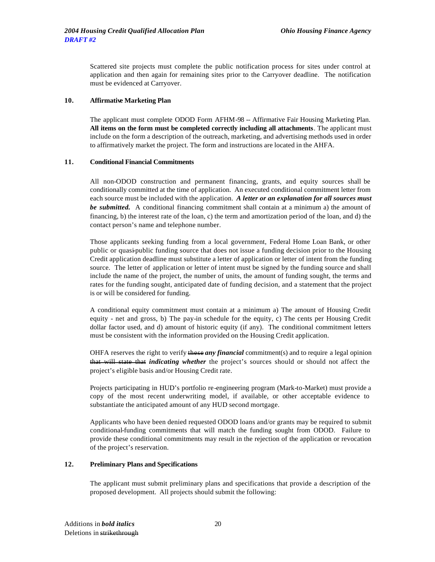Scattered site projects must complete the public notification process for sites under control at application and then again for remaining sites prior to the Carryover deadline. The notification must be evidenced at Carryover.

#### **10. Affirmative Marketing Plan**

The applicant must complete ODOD Form AFHM-98 -- Affirmative Fair Housing Marketing Plan. **All items on the form must be completed correctly including all attachments**. The applicant must include on the form a description of the outreach, marketing, and advertising methods used in order to affirmatively market the project. The form and instructions are located in the AHFA.

#### **11. Conditional Financial Commitments**

All non-ODOD construction and permanent financing, grants, and equity sources shall be conditionally committed at the time of application. An executed conditional commitment letter from each source must be included with the application. *A letter or an explanation for all sources must be submitted.* A conditional financing commitment shall contain at a minimum a) the amount of financing, b) the interest rate of the loan, c) the term and amortization period of the loan, and d) the contact person's name and telephone number.

Those applicants seeking funding from a local government, Federal Home Loan Bank, or other public or quasi-public funding source that does not issue a funding decision prior to the Housing Credit application deadline must substitute a letter of application or letter of intent from the funding source. The letter of application or letter of intent must be signed by the funding source and shall include the name of the project, the number of units, the amount of funding sought, the terms and rates for the funding sought, anticipated date of funding decision, and a statement that the project is or will be considered for funding.

A conditional equity commitment must contain at a minimum a) The amount of Housing Credit equity - net and gross, b) The pay-in schedule for the equity, c) The cents per Housing Credit dollar factor used, and d) amount of historic equity (if any). The conditional commitment letters must be consistent with the information provided on the Housing Credit application.

OHFA reserves the right to verify these *any financial* commitment(s) and to require a legal opinion that will state that *indicating whether* the project's sources should or should not affect the project's eligible basis and/or Housing Credit rate.

Projects participating in HUD's portfolio re-engineering program (Mark-to-Market) must provide a copy of the most recent underwriting model, if available, or other acceptable evidence to substantiate the anticipated amount of any HUD second mortgage.

Applicants who have been denied requested ODOD loans and/or grants may be required to submit conditional-funding commitments that will match the funding sought from ODOD. Failure to provide these conditional commitments may result in the rejection of the application or revocation of the project's reservation.

#### **12. Preliminary Plans and Specifications**

The applicant must submit preliminary plans and specifications that provide a description of the proposed development. All projects should submit the following: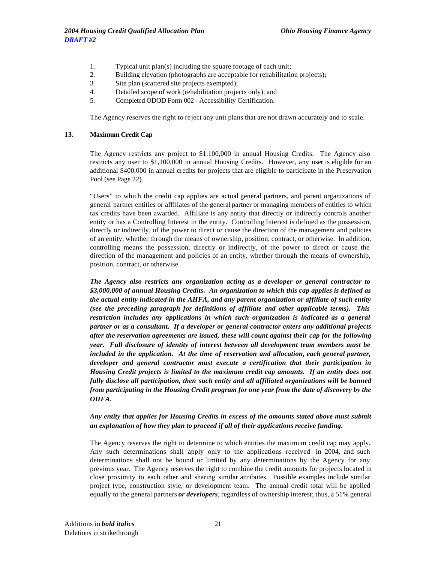- 1. Typical unit plan(s) including the square footage of each unit;
- 2. Building elevation (photographs are acceptable for rehabilitation projects);
- 3. Site plan (scattered site projects exempted);
- 4. Detailed scope of work (rehabilitation projects only); and
- 5. Completed ODOD Form 002 Accessibility Certification.

The Agency reserves the right to reject any unit plans that are not drawn accurately and to scale.

#### **13. Maximum Credit Cap**

The Agency restricts any project to \$1,100,000 in annual Housing Credits. The Agency also restricts any user to \$1,100,000 in annual Housing Credits. However, any user is eligible for an additional \$400,000 in annual credits for projects that are eligible to participate in the Preservation Pool (see Page 22).

"Users" to which the credit cap applies are actual general partners, and parent organizations of general partner entities or affiliates of the general partner or managing members of entities to which tax credits have been awarded. Affiliate is any entity that directly or indirectly controls another entity or has a Controlling Interest in the entity. Controlling Interest is defined as the possession, directly or indirectly, of the power to direct or cause the direction of the management and policies of an entity, whether through the means of ownership, position, contract, or otherwise. In addition, controlling means the possession, directly or indirectly, of the power to direct or cause the direction of the management and policies of an entity, whether through the means of ownership, position, contract, or otherwise.

*The Agency also restricts any organization acting as a developer or general contractor to \$3,000,000 of annual Housing Credits. An organization to which this cap applies is defined as the actual entity indicated in the AHFA, and any parent organization or affiliate of such entity (see the preceding paragraph for definitions of affiliate and other applicable terms). This restriction includes any applications in which such organization is indicated as a general partner or as a consultant. If a developer or general contractor enters any additional projects after the reservation agreements are issued, these will count against their cap for the following year. Full disclosure of identity of interest between all development team members must be included in the application. At the time of reservation and allocation, each general partner, developer and general contractor must execute a certification that their participation in Housing Credit projects is limited to the maximum credit cap amounts. If an entity does not fully disclose all participation, then such entity and all affiliated organizations will be banned from participating in the Housing Credit program for one year from the date of discovery by the OHFA.*

#### *Any entity that applies for Housing Credits in excess of the amounts stated above must submit an explanation of how they plan to proceed if all of their applications receive funding.*

The Agency reserves the right to determine to which entities the maximum credit cap may apply. Any such determinations shall apply only to the applications received in 2004, and such determinations shall not be bound or limited by any determinations by the Agency for any previous year. The Agency reserves the right to combine the credit amounts for projects located in close proximity to each other and sharing similar attributes. Possible examples include similar project type, construction style, or development team. The annual credit total will be applied equally to the general partners *or developers*, regardless of ownership interest; thus, a 51% general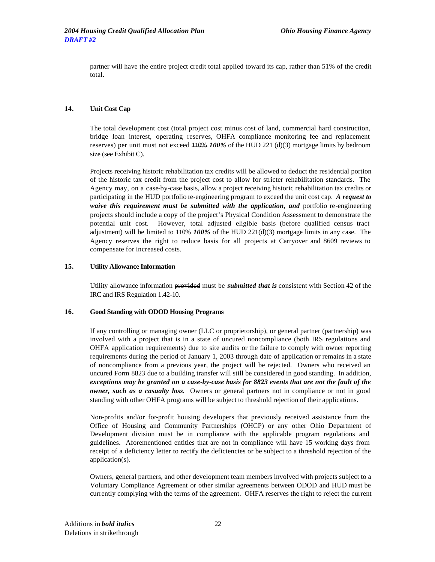partner will have the entire project credit total applied toward its cap, rather than 51% of the credit total.

#### **14. Unit Cost Cap**

The total development cost (total project cost minus cost of land, commercial hard construction, bridge loan interest, operating reserves, OHFA compliance monitoring fee and replacement reserves) per unit must not exceed 110% *100%* of the HUD 221 (d)(3) mortgage limits by bedroom size (see Exhibit C).

Projects receiving historic rehabilitation tax credits will be allowed to deduct the residential portion of the historic tax credit from the project cost to allow for stricter rehabilitation standards. The Agency may, on a case-by-case basis, allow a project receiving historic rehabilitation tax credits or participating in the HUD portfolio re-engineering program to exceed the unit cost cap. *A request to waive this requirement must be submitted with the application, and* portfolio re-engineering projects should include a copy of the project's Physical Condition Assessment to demonstrate the potential unit cost. However, total adjusted eligible basis (before qualified census tract adjustment) will be limited to 110% *100%* of the HUD 221(d)(3) mortgage limits in any case. The Agency reserves the right to reduce basis for all projects at Carryover and 8609 reviews to compensate for increased costs.

#### **15. Utility Allowance Information**

Utility allowance information provided must be *submitted that is* consistent with Section 42 of the IRC and IRS Regulation 1.42-10.

#### **16. Good Standing with ODOD Housing Programs**

If any controlling or managing owner (LLC or proprietorship), or general partner (partnership) was involved with a project that is in a state of uncured noncompliance (both IRS regulations and OHFA application requirements) due to site audits or the failure to comply with owner reporting requirements during the period of January 1, 2003 through date of application or remains in a state of noncompliance from a previous year, the project will be rejected. Owners who received an uncured Form 8823 due to a building transfer will still be considered in good standing. In addition, *exceptions may be granted on a case-by-case basis for 8823 events that are not the fault of the owner, such as a casualty loss.* Owners or general partners not in compliance or not in good standing with other OHFA programs will be subject to threshold rejection of their applications.

Non-profits and/or for-profit housing developers that previously received assistance from the Office of Housing and Community Partnerships (OHCP) or any other Ohio Department of Development division must be in compliance with the applicable program regulations and guidelines. Aforementioned entities that are not in compliance will have 15 working days from receipt of a deficiency letter to rectify the deficiencies or be subject to a threshold rejection of the application(s).

Owners, general partners, and other development team members involved with projects subject to a Voluntary Compliance Agreement or other similar agreements between ODOD and HUD must be currently complying with the terms of the agreement. OHFA reserves the right to reject the current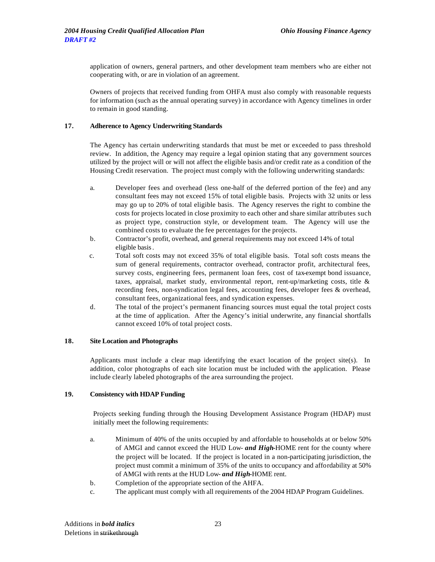application of owners, general partners, and other development team members who are either not cooperating with, or are in violation of an agreement.

Owners of projects that received funding from OHFA must also comply with reasonable requests for information (such as the annual operating survey) in accordance with Agency timelines in order to remain in good standing.

#### **17. Adherence to Agency Underwriting Standards**

The Agency has certain underwriting standards that must be met or exceeded to pass threshold review. In addition, the Agency may require a legal opinion stating that any government sources utilized by the project will or will not affect the eligible basis and/or credit rate as a condition of the Housing Credit reservation. The project must comply with the following underwriting standards:

- a. Developer fees and overhead (less one-half of the deferred portion of the fee) and any consultant fees may not exceed 15% of total eligible basis. Projects with 32 units or less may go up to 20% of total eligible basis. The Agency reserves the right to combine the costs for projects located in close proximity to each other and share similar attributes such as project type, construction style, or development team. The Agency will use the combined costs to evaluate the fee percentages for the projects.
- b. Contractor's profit, overhead, and general requirements may not exceed 14% of total eligible basis.
- c. Total soft costs may not exceed 35% of total eligible basis. Total soft costs means the sum of general requirements, contractor overhead, contractor profit, architectural fees, survey costs, engineering fees, permanent loan fees, cost of tax-exempt bond issuance, taxes, appraisal, market study, environmental report, rent-up/marketing costs, title  $\&$ recording fees, non-syndication legal fees, accounting fees, developer fees & overhead, consultant fees, organizational fees, and syndication expenses.
- d. The total of the project's permanent financing sources must equal the total project costs at the time of application. After the Agency's initial underwrite, any financial shortfalls cannot exceed 10% of total project costs.

#### **18. Site Location and Photographs**

Applicants must include a clear map identifying the exact location of the project site(s). In addition, color photographs of each site location must be included with the application. Please include clearly labeled photographs of the area surrounding the project.

#### **19***.* **Consistency with HDAP Funding**

Projects seeking funding through the Housing Development Assistance Program (HDAP) must initially meet the following requirements:

- a. Minimum of 40% of the units occupied by and affordable to households at or below 50% of AMGI and cannot exceed the HUD Low- *and High-*HOME rent for the county where the project will be located. If the project is located in a non-participating jurisdiction, the project must commit a minimum of 35% of the units to occupancy and affordability at 50% of AMGI with rents at the HUD Low- *and High-*HOME rent.
- b. Completion of the appropriate section of the AHFA.
- c. The applicant must comply with all requirements of the 2004 HDAP Program Guidelines.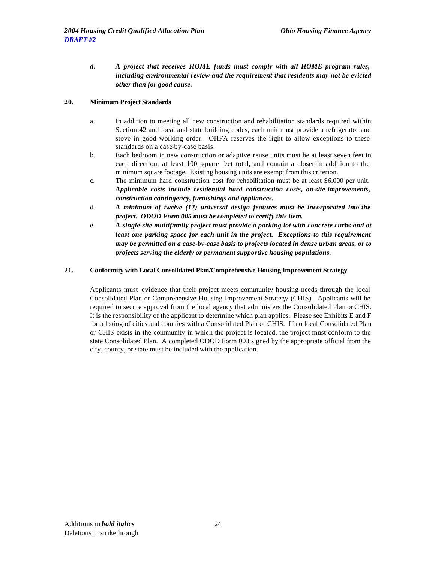*d. A project that receives HOME funds must comply with all HOME program rules, including environmental review and the requirement that residents may not be evicted other than for good cause.*

#### **20. Minimum Project Standards**

- a. In addition to meeting all new construction and rehabilitation standards required within Section 42 and local and state building codes, each unit must provide a refrigerator and stove in good working order. OHFA reserves the right to allow exceptions to these standards on a case-by-case basis.
- b. Each bedroom in new construction or adaptive reuse units must be at least seven feet in each direction, at least 100 square feet total, and contain a closet in addition to the minimum square footage. Existing housing units are exempt from this criterion.
- c. The minimum hard construction cost for rehabilitation must be at least \$6,000 per unit. *Applicable costs include residential hard construction costs, on-site improvements, construction contingency, furnishings and appliances.*
- d. *A minimum of twelve (12) universal design features must be incorporated into the project. ODOD Form 005 must be completed to certify this item.*
- e. *A single-site multifamily project must provide a parking lot with concrete curbs and at least one parking space for each unit in the project. Exceptions to this requirement may be permitted on a case-by-case basis to projects located in dense urban areas, or to projects serving the elderly or permanent supportive housing populations.*

#### **21***.* **Conformity with Local Consolidated Plan/Comprehensive Housing Improvement Strategy**

Applicants must evidence that their project meets community housing needs through the local Consolidated Plan or Comprehensive Housing Improvement Strategy (CHIS). Applicants will be required to secure approval from the local agency that administers the Consolidated Plan or CHIS. It is the responsibility of the applicant to determine which plan applies. Please see Exhibits E and F for a listing of cities and counties with a Consolidated Plan or CHIS. If no local Consolidated Plan or CHIS exists in the community in which the project is located, the project must conform to the state Consolidated Plan. A completed ODOD Form 003 signed by the appropriate official from the city, county, or state must be included with the application.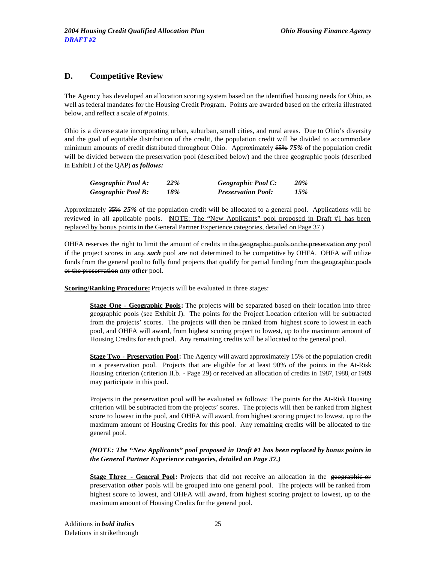# **D. Competitive Review**

The Agency has developed an allocation scoring system based on the identified housing needs for Ohio, as well as federal mandates for the Housing Credit Program. Points are awarded based on the criteria illustrated below, and reflect a scale of *#* points.

Ohio is a diverse state incorporating urban, suburban, small cities, and rural areas. Due to Ohio's diversity and the goal of equitable distribution of the credit, the population credit will be divided to accommodate minimum amounts of credit distributed throughout Ohio. Approximately 65% *75%* of the population credit will be divided between the preservation pool (described below) and the three geographic pools (described in Exhibit J of the QAP) *as follows:*

| Geographic Pool A: | <b>22%</b> | Geographic Pool C:        | 20% |
|--------------------|------------|---------------------------|-----|
| Geographic Pool B: | 18%        | <b>Preservation Pool:</b> | 15% |

Approximately 35% *25%* of the population credit will be allocated to a general pool. Applications will be reviewed in all applicable pools. (NOTE: The "New Applicants" pool proposed in Draft #1 has been replaced by bonus points in the General Partner Experience categories, detailed on Page 37.)

OHFA reserves the right to limit the amount of credits in the geographic pools or the preservation *any* pool if the project scores in any *such* pool are not determined to be competitive by OHFA. OHFA will utilize funds from the general pool to fully fund projects that qualify for partial funding from the geographic pools or the preservation *any other* pool.

**Scoring/Ranking Procedure:** Projects will be evaluated in three stages:

**Stage One - Geographic Pools:** The projects will be separated based on their location into three geographic pools (see Exhibit J). The points for the Project Location criterion will be subtracted from the projects' scores. The projects will then be ranked from highest score to lowest in each pool, and OHFA will award, from highest scoring project to lowest, up to the maximum amount of Housing Credits for each pool. Any remaining credits will be allocated to the general pool.

**Stage Two - Preservation Pool:** The Agency will award approximately 15% of the population credit in a preservation pool. Projects that are eligible for at least 90% of the points in the At-Risk Housing criterion (criterion II.b. - Page 29) or received an allocation of credits in 1987, 1988, or 1989 may participate in this pool.

Projects in the preservation pool will be evaluated as follows: The points for the At-Risk Housing criterion will be subtracted from the projects' scores. The projects will then be ranked from highest score to lowest in the pool, and OHFA will award, from highest scoring project to lowest, up to the maximum amount of Housing Credits for this pool. Any remaining credits will be allocated to the general pool.

# *(NOTE: The "New Applicants" pool proposed in Draft #1 has been replaced by bonus points in the General Partner Experience categories, detailed on Page 37.)*

**Stage Three - General Pool:** Projects that did not receive an allocation in the geographic or preservation *other* pools will be grouped into one general pool. The projects will be ranked from highest score to lowest, and OHFA will award, from highest scoring project to lowest, up to the maximum amount of Housing Credits for the general pool.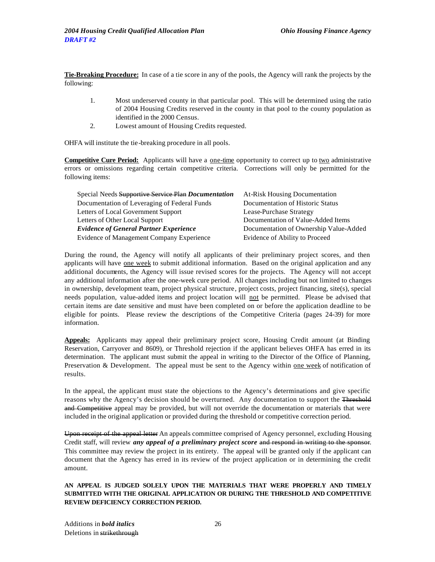**Tie-Breaking Procedure:** In case of a tie score in any of the pools, the Agency will rank the projects by the following:

- 1. Most underserved county in that particular pool. This will be determined using the ratio of 2004 Housing Credits reserved in the county in that pool to the county population as identified in the 2000 Census.
- 2. Lowest amount of Housing Credits requested.

OHFA will institute the tie-breaking procedure in all pools.

**Competitive Cure Period:** Applicants will have a <u>one-time</u> opportunity to correct up to two administrative errors or omissions regarding certain competitive criteria. Corrections will only be permitted for the following items:

| Special Needs Supportive Service Plan Documentation | <b>At-Risk Housing Documentation</b>   |
|-----------------------------------------------------|----------------------------------------|
| Documentation of Leveraging of Federal Funds        | Documentation of Historic Status       |
| Letters of Local Government Support                 | Lease-Purchase Strategy                |
| Letters of Other Local Support                      | Documentation of Value-Added Items     |
| <b>Evidence of General Partner Experience</b>       | Documentation of Ownership Value-Added |
| Evidence of Management Company Experience           | Evidence of Ability to Proceed         |

During the round, the Agency will notify all applicants of their preliminary project scores, and then applicants will have one week to submit additional information. Based on the original application and any additional documents, the Agency will issue revised scores for the projects. The Agency will not accept any additional information after the one-week cure period. All changes including but not limited to changes in ownership, development team, project physical structure, project costs, project financing, site(s), special needs population, value-added items and project location will not be permitted. Please be advised that certain items are date sensitive and must have been completed on or before the application deadline to be eligible for points. Please review the descriptions of the Competitive Criteria (pages 24-39) for more information.

**Appeals:** Applicants may appeal their preliminary project score, Housing Credit amount (at Binding Reservation, Carryover and 8609), or Threshold rejection if the applicant believes OHFA has erred in its determination. The applicant must submit the appeal in writing to the Director of the Office of Planning, Preservation & Development. The appeal must be sent to the Agency within one week of notification of results.

In the appeal, the applicant must state the objections to the Agency's determinations and give specific reasons why the Agency's decision should be overturned. Any documentation to support the Threshold and Competitive appeal may be provided, but will not override the documentation or materials that were included in the original application or provided during the threshold or competitive correction period.

Upon receipt of the appeal letter An appeals committee comprised of Agency personnel, excluding Housing Credit staff, will review *any appeal of a preliminary project score* and respond in writing to the sponsor. This committee may review the project in its entirety. The appeal will be granted only if the applicant can document that the Agency has erred in its review of the project application or in determining the credit amount.

**AN APPEAL IS JUDGED SOLELY UPON THE MATERIALS THAT WERE PROPERLY AND TIMELY SUBMITTED WITH THE ORIGINAL APPLICATION OR DURING THE THRESHOLD AND COMPETITIVE REVIEW DEFICIENCY CORRECTION PERIOD.**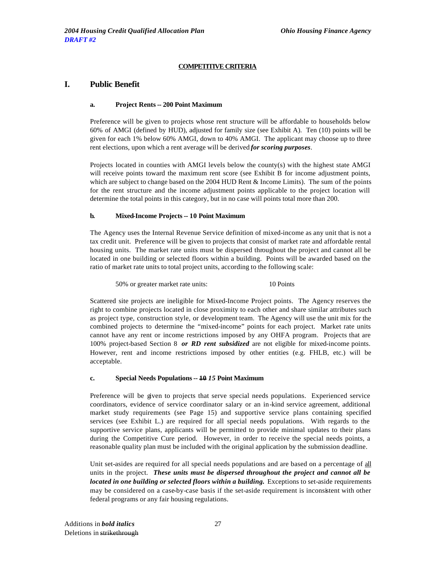#### **COMPETITIVE CRITERIA**

# **I. Public Benefit**

#### **a. Project Rents -- 200 Point Maximum**

Preference will be given to projects whose rent structure will be affordable to households below 60% of AMGI (defined by HUD), adjusted for family size (see Exhibit A). Ten (10) points will be given for each 1% below 60% AMGI, down to 40% AMGI. The applicant may choose up to three rent elections, upon which a rent average will be derived *for scoring purposes*.

Projects located in counties with AMGI levels below the county(s) with the highest state AMGI will receive points toward the maximum rent score (see Exhibit B for income adjustment points, which are subject to change based on the 2004 HUD Rent & Income Limits). The sum of the points for the rent structure and the income adjustment points applicable to the project location will determine the total points in this category, but in no case will points total more than 200.

#### **b. Mixed-Income Projects -- 10 Point Maximum**

The Agency uses the Internal Revenue Service definition of mixed-income as any unit that is not a tax credit unit. Preference will be given to projects that consist of market rate and affordable rental housing units. The market rate units must be dispersed throughout the project and cannot all be located in one building or selected floors within a building. Points will be awarded based on the ratio of market rate units to total project units, according to the following scale:

50% or greater market rate units: 10 Points

Scattered site projects are ineligible for Mixed-Income Project points. The Agency reserves the right to combine projects located in close proximity to each other and share similar attributes such as project type, construction style, or development team. The Agency will use the unit mix for the combined projects to determine the "mixed-income" points for each project. Market rate units cannot have any rent or income restrictions imposed by any OHFA program. Projects that are 100% project-based Section 8 *or RD rent subsidized* are not eligible for mixed-income points. However, rent and income restrictions imposed by other entities (e.g. FHLB, etc.) will be acceptable.

#### **c. Special Needs Populations -- 10** *15* **Point Maximum**

Preference will be given to projects that serve special needs populations. Experienced service coordinators, evidence of service coordinator salary or an in-kind service agreement, additional market study requirements (see Page 15) and supportive service plans containing specified services (see Exhibit L.) are required for all special needs populations. With regards to the supportive service plans, applicants will be permitted to provide minimal updates to their plans during the Competitive Cure period. However, in order to receive the special needs points, a reasonable quality plan must be included with the original application by the submission deadline.

Unit set-asides are required for all special needs populations and are based on a percentage of all units in the project. *These units must be dispersed throughout the project and cannot all be located in one building or selected floors within a building.* Exceptions to set-aside requirements may be considered on a case-by-case basis if the set-aside requirement is inconsistent with other federal programs or any fair housing regulations.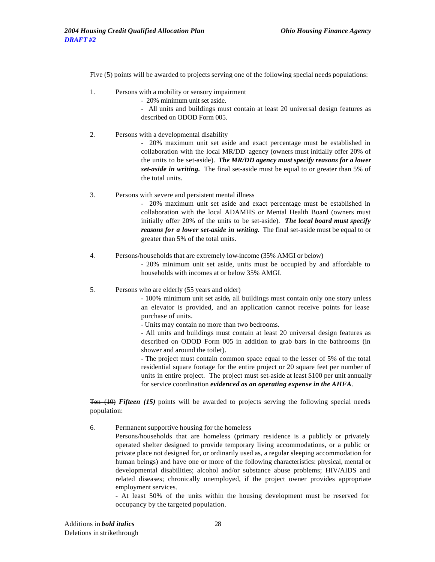Five (5) points will be awarded to projects serving one of the following special needs populations:

- 1. Persons with a mobility or sensory impairment
	- 20% minimum unit set aside.
	- All units and buildings must contain at least 20 universal design features as described on ODOD Form 005.
- 2. Persons with a developmental disability

- 20% maximum unit set aside and exact percentage must be established in collaboration with the local MR/DD agency (owners must initially offer 20% of the units to be set-aside). *The MR/DD agency must specify reasons for a lower set-aside in writing.* The final set-aside must be equal to or greater than 5% of the total units.

3. Persons with severe and persistent mental illness

- 20% maximum unit set aside and exact percentage must be established in collaboration with the local ADAMHS or Mental Health Board (owners must initially offer 20% of the units to be set-aside). *The local board must specify reasons for a lower set-aside in writing.* The final set-aside must be equal to or greater than 5% of the total units.

4. Persons/households that are extremely low-income (35% AMGI or below)

- 20% minimum unit set aside, units must be occupied by and affordable to households with incomes at or below 35% AMGI.

5. Persons who are elderly (55 years and older)

- 100% minimum unit set aside*,* all buildings must contain only one story unless an elevator is provided, and an application cannot receive points for lease purchase of units.

- Units may contain no more than two bedrooms.

- All units and buildings must contain at least 20 universal design features as described on ODOD Form 005 in addition to grab bars in the bathrooms (in shower and around the toilet).

- The project must contain common space equal to the lesser of 5% of the total residential square footage for the entire project or 20 square feet per number of units in entire project. The project must set-aside at least \$100 per unit annually for service coordination *evidenced as an operating expense in the AHFA*.

Ten (10) *Fifteen (15)* points will be awarded to projects serving the following special needs population:

6. Permanent supportive housing for the homeless

Persons/households that are homeless (primary residence is a publicly or privately operated shelter designed to provide temporary living accommodations, or a public or private place not designed for, or ordinarily used as, a regular sleeping accommodation for human beings) and have one or more of the following characteristics: physical, mental or developmental disabilities; alcohol and/or substance abuse problems; HIV/AIDS and related diseases; chronically unemployed, if the project owner provides appropriate employment services.

- At least 50% of the units within the housing development must be reserved for occupancy by the targeted population.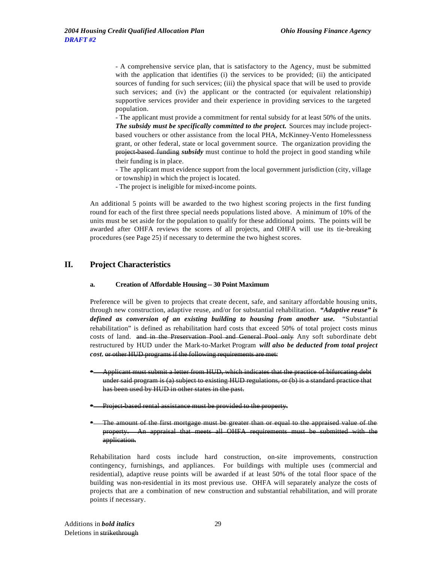- A comprehensive service plan, that is satisfactory to the Agency, must be submitted with the application that identifies (i) the services to be provided; (ii) the anticipated sources of funding for such services; (iii) the physical space that will be used to provide such services; and (iv) the applicant or the contracted (or equivalent relationship) supportive services provider and their experience in providing services to the targeted population.

- The applicant must provide a commitment for rental subsidy for at least 50% of the units. *The subsidy must be specifically committed to the project.* Sources may include projectbased vouchers or other assistance from the local PHA, McKinney-Vento Homelessness grant, or other federal, state or local government source. The organization providing the project-based funding *subsidy* must continue to hold the project in good standing while their funding is in place.

- The applicant must evidence support from the local government jurisdiction (city, village or township) in which the project is located.

- The project is ineligible for mixed-income points.

An additional 5 points will be awarded to the two highest scoring projects in the first funding round for each of the first three special needs populations listed above. A minimum of 10% of the units must be set aside for the population to qualify for these additional points. The points will be awarded after OHFA reviews the scores of all projects, and OHFA will use its tie-breaking procedures (see Page 25) if necessary to determine the two highest scores.

#### **II. Project Characteristics**

#### **a. Creation of Affordable Housing -- 30 Point Maximum**

Preference will be given to projects that create decent, safe, and sanitary affordable housing units, through new construction, adaptive reuse, and/or for substantial rehabilitation. *"Adaptive reuse" is defined as conversion of an existing building to housing from another use.* "Substantial rehabilitation" is defined as rehabilitation hard costs that exceed 50% of total project costs minus costs of land. and in the Preservation Pool and General Pool only Any soft subordinate debt restructured by HUD under the Mark-to-Market Program *will also be deducted from total project cost.* or other HUD programs if the following requirements are met:

- **•** Applicant must submit a letter from HUD, which indicates that the practice of bifurcating debt under said program is (a) subject to existing HUD regulations, or (b) is a standard practice that has been used by HUD in other states in the past.
- **Project-based rental assistance must be provided to the property.**
- **E** The amount of the first mortgage must be greater than or equal to the appraised value of the property. An appraisal that meets all OHFA requirements must be submitted with the application.

Rehabilitation hard costs include hard construction, on-site improvements, construction contingency, furnishings, and appliances. For buildings with multiple uses (commercial and residential), adaptive reuse points will be awarded if at least 50% of the total floor space of the building was non-residential in its most previous use. OHFA will separately analyze the costs of projects that are a combination of new construction and substantial rehabilitation, and will prorate points if necessary.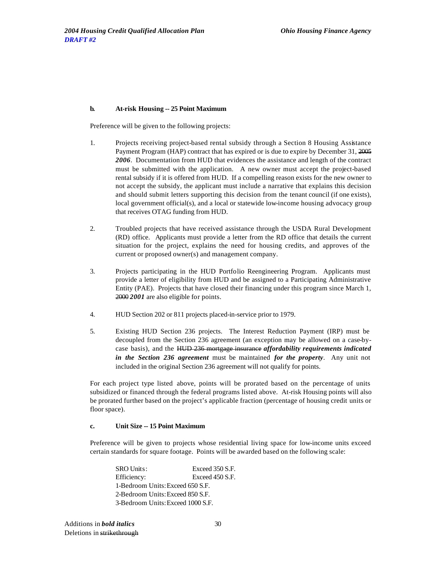#### **b. At-risk Housing -- 25 Point Maximum**

Preference will be given to the following projects:

- 1. Projects receiving project-based rental subsidy through a Section 8 Housing Assistance Payment Program (HAP) contract that has expired or is due to expire by December 31, 2005 *2006*. Documentation from HUD that evidences the assistance and length of the contract must be submitted with the application. A new owner must accept the project-based rental subsidy if it is offered from HUD. If a compelling reason exists for the new owner to not accept the subsidy, the applicant must include a narrative that explains this decision and should submit letters supporting this decision from the tenant council (if one exists), local government official(s), and a local or statewide low-income housing advocacy group that receives OTAG funding from HUD.
- 2. Troubled projects that have received assistance through the USDA Rural Development (RD) office. Applicants must provide a letter from the RD office that details the current situation for the project, explains the need for housing credits, and approves of the current or proposed owner(s) and management company.
- 3. Projects participating in the HUD Portfolio Reengineering Program. Applicants must provide a letter of eligibility from HUD and be assigned to a Participating Administrative Entity (PAE). Projects that have closed their financing under this program since March 1, 2000 *2001* are also eligible for points.
- 4. HUD Section 202 or 811 projects placed-in-service prior to 1979.
- 5. Existing HUD Section 236 projects. The Interest Reduction Payment (IRP) must be decoupled from the Section 236 agreement (an exception may be allowed on a case-bycase basis), and the HUD 236 mortgage insurance *affordability requirements indicated in the Section 236 agreement* must be maintained *for the property*. Any unit not included in the original Section 236 agreement will not qualify for points.

For each project type listed above, points will be prorated based on the percentage of units subsidized or financed through the federal programs listed above. At-risk Housing points will also be prorated further based on the project's applicable fraction (percentage of housing credit units or floor space).

#### **c. Unit Size -- 15 Point Maximum**

Preference will be given to projects whose residential living space for low-income units exceed certain standards for square footage. Points will be awarded based on the following scale:

SRO Units: Exceed 350 S.F. Efficiency: Exceed 450 S.F. 1-Bedroom Units:Exceed 650 S.F. 2-Bedroom Units:Exceed 850 S.F. 3-Bedroom Units:Exceed 1000 S.F.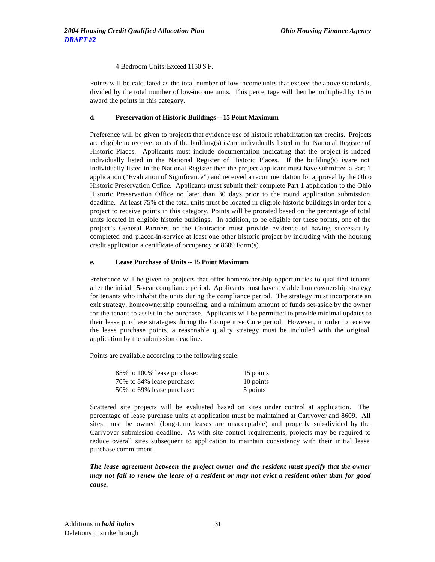4-Bedroom Units:Exceed 1150 S.F.

Points will be calculated as the total number of low-income units that exceed the above standards, divided by the total number of low-income units. This percentage will then be multiplied by 15 to award the points in this category.

#### **d. Preservation of Historic Buildings -- 15 Point Maximum**

Preference will be given to projects that evidence use of historic rehabilitation tax credits. Projects are eligible to receive points if the building(s) is/are individually listed in the National Register of Historic Places. Applicants must include documentation indicating that the project is indeed individually listed in the National Register of Historic Places. If the building(s) is/are not individually listed in the National Register then the project applicant must have submitted a Part 1 application ("Evaluation of Significance") and received a recommendation for approval by the Ohio Historic Preservation Office. Applicants must submit their complete Part 1 application to the Ohio Historic Preservation Office no later than 30 days prior to the round application submission deadline. At least 75% of the total units must be located in eligible historic buildings in order for a project to receive points in this category. Points will be prorated based on the percentage of total units located in eligible historic buildings. In addition, to be eligible for these points, one of the project's General Partners or the Contractor must provide evidence of having successfully completed and placed-in-service at least one other historic project by including with the housing credit application a certificate of occupancy or 8609 Form(s).

#### **e. Lease Purchase of Units -- 15 Point Maximum**

Preference will be given to projects that offer homeownership opportunities to qualified tenants after the initial 15-year compliance period. Applicants must have a viable homeownership strategy for tenants who inhabit the units during the compliance period. The strategy must incorporate an exit strategy, homeownership counseling, and a minimum amount of funds set-aside by the owner for the tenant to assist in the purchase. Applicants will be permitted to provide minimal updates to their lease purchase strategies during the Competitive Cure period. However, in order to receive the lease purchase points, a reasonable quality strategy must be included with the original application by the submission deadline.

Points are available according to the following scale:

| 85% to 100% lease purchase: | 15 points |
|-----------------------------|-----------|
| 70% to 84% lease purchase:  | 10 points |
| 50% to 69% lease purchase:  | 5 points  |

Scattered site projects will be evaluated based on sites under control at application. The percentage of lease purchase units at application must be maintained at Carryover and 8609. All sites must be owned (long-term leases are unacceptable) and properly sub-divided by the Carryover submission deadline. As with site control requirements, projects may be required to reduce overall sites subsequent to application to maintain consistency with their initial lease purchase commitment.

*The lease agreement between the project owner and the resident must specify that the owner may not fail to renew the lease of a resident or may not evict a resident other than for good cause.*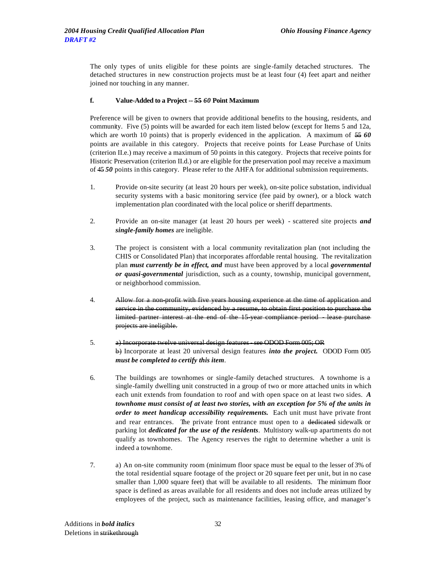The only types of units eligible for these points are single-family detached structures. The detached structures in new construction projects must be at least four (4) feet apart and neither joined nor touching in any manner.

#### **f. Value-Added to a Project -- 55** *60* **Point Maximum**

Preference will be given to owners that provide additional benefits to the housing, residents, and community. Five (5) points will be awarded for each item listed below (except for Items 5 and 12a, which are worth 10 points) that is properly evidenced in the application. A maximum of 55 60 points are available in this category. Projects that receive points for Lease Purchase of Units (criterion II.e.) may receive a maximum of 50 points in this category. Projects that receive points for Historic Preservation (criterion II.d.) or are eligible for the preservation pool may receive a maximum of 45 *50* points in this category. Please refer to the AHFA for additional submission requirements.

- 1. Provide on-site security (at least 20 hours per week), on-site police substation, individual security systems with a basic monitoring service (fee paid by owner), or a block watch implementation plan coordinated with the local police or sheriff departments.
- 2. Provide an on-site manager (at least 20 hours per week) scattered site projects *and single-family homes* are ineligible.
- 3. The project is consistent with a local community revitalization plan (not including the CHIS or Consolidated Plan) that incorporates affordable rental housing. The revitalization plan *must currently be in effect, and* must have been approved by a local *governmental or quasi-governmental* jurisdiction, such as a county, township, municipal government, or neighborhood commission.
- 4. Allow for a non-profit with five years housing experience at the time of application and service in the community, evidenced by a resume, to obtain first position to purchase the limited partner interest at the end of the 15-year compliance period - lease purchase projects are ineligible.
- 5. a) Incorporate twelve universal design features see ODOD Form 005; OR b) Incorporate at least 20 universal design features *into the project.* ODOD Form 005 *must be completed to certify this item*.
- 6. The buildings are townhomes or single-family detached structures. A townhome is a single-family dwelling unit constructed in a group of two or more attached units in which each unit extends from foundation to roof and with open space on at least two sides. *A townhome must consist of at least two stories, with an exception for 5% of the units in order to meet handicap accessibility requirements.* Each unit must have private front and rear entrances. The private front entrance must open to a dedicated sidewalk or parking lot *dedicated for the use of the residents*. Multistory walk-up apartments do not qualify as townhomes. The Agency reserves the right to determine whether a unit is indeed a townhome.
- 7. a) An on-site community room (minimum floor space must be equal to the lesser of 3% of the total residential square footage of the project or 20 square feet per unit, but in no case smaller than 1,000 square feet) that will be available to all residents. The minimum floor space is defined as areas available for all residents and does not include areas utilized by employees of the project, such as maintenance facilities, leasing office, and manager's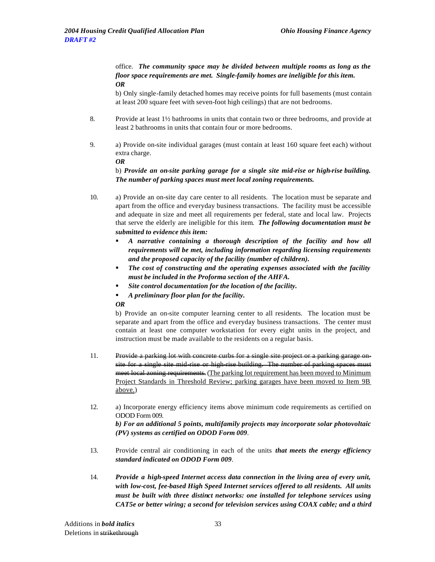office. *The community space may be divided between multiple rooms as long as the floor space requirements are met. Single-family homes are ineligible for this item. OR*

b) Only single-family detached homes may receive points for full basements (must contain at least 200 square feet with seven-foot high ceilings) that are not bedrooms.

- 8. Provide at least 1½ bathrooms in units that contain two or three bedrooms, and provide at least 2 bathrooms in units that contain four or more bedrooms.
- 9. a) Provide on-site individual garages (must contain at least 160 square feet each) without extra charge.

#### *OR*

#### b) *Provide an on-site parking garage for a single site mid-rise or high-rise building. The number of parking spaces must meet local zoning requirements.*

- 10. a) Provide an on-site day care center to all residents. The location must be separate and apart from the office and everyday business transactions. The facility must be accessible and adequate in size and meet all requirements per federal, state and local law. Projects that serve the elderly are ineligible for this item. *The following documentation must be submitted to evidence this item:*
	- ß *A narrative containing a thorough description of the facility and how all requirements will be met, including information regarding licensing requirements and the proposed capacity of the facility (number of children).*
	- ß *The cost of constructing and the operating expenses associated with the facility must be included in the Proforma section of the AHFA.*
	- ß *Site control documentation for the location of the facility.*
	- ß *A preliminary floor plan for the facility.*

#### *OR*

b) Provide an on-site computer learning center to all residents. The location must be separate and apart from the office and everyday business transactions. The center must contain at least one computer workstation for every eight units in the project, and instruction must be made available to the residents on a regular basis.

- 11. Provide a parking lot with concrete curbs for a single site project or a parking garage onsite for a single site mid-rise or high-rise building. The number of parking spaces must meet local zoning requirements. (The parking lot requirement has been moved to Minimum Project Standards in Threshold Review; parking garages have been moved to Item 9B above.)
- 12. a) Incorporate energy efficiency items above minimum code requirements as certified on ODOD Form 009. *b) For an additional 5 points, multifamily projects may incorporate solar photovoltaic (PV) systems as certified on ODOD Form 009*.
- 13. Provide central air conditioning in each of the units *that meets the energy efficiency standard indicated on ODOD Form 009*.
- 14. *Provide a high-speed Internet access data connection in the living area of every unit, with low-cost, fee-based High Speed Internet services offered to all residents. All units must be built with three distinct networks: one installed for telephone services using CAT5e or better wiring; a second for television services using COAX cable; and a third*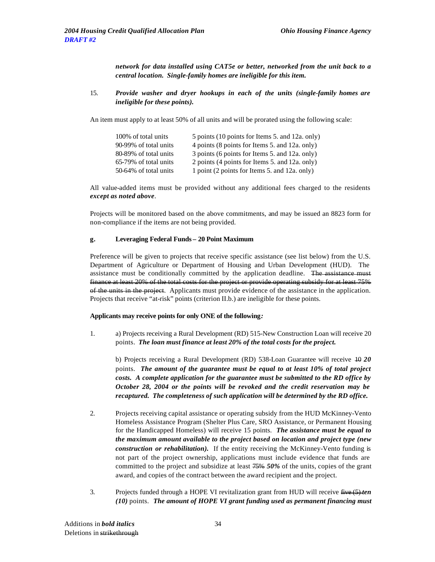*network for data installed using CAT5e or better, networked from the unit back to a central location. Single-family homes are ineligible for this item.*

15. *Provide washer and dryer hookups in each of the units (single-family homes are ineligible for these points).*

An item must apply to at least 50% of all units and will be prorated using the following scale:

| 100% of total units   | 5 points (10 points for Items 5. and 12a. only) |
|-----------------------|-------------------------------------------------|
| 90-99% of total units | 4 points (8 points for Items 5. and 12a. only)  |
| 80-89% of total units | 3 points (6 points for Items 5. and 12a. only)  |
| 65-79% of total units | 2 points (4 points for Items 5. and 12a. only)  |
| 50-64% of total units | 1 point (2 points for Items 5. and 12a. only)   |
|                       |                                                 |

All value-added items must be provided without any additional fees charged to the residents *except as noted above*.

Projects will be monitored based on the above commitments, and may be issued an 8823 form for non-compliance if the items are not being provided.

#### **g. Leveraging Federal Funds – 20 Point Maximum**

Preference will be given to projects that receive specific assistance (see list below) from the U.S. Department of Agriculture or Department of Housing and Urban Development (HUD). The assistance must be conditionally committed by the application deadline. The assistance must finance at least 20% of the total costs for the project or provide operating subsidy for at least 75% of the units in the project. Applicants must provide evidence of the assistance in the application. Projects that receive "at-risk" points (criterion II.b.) are ineligible for these points.

#### **Applicants may receive points for only ONE of the following***:*

1. a) Projects receiving a Rural Development (RD) 515-New Construction Loan will receive 20 points. *The loan must finance at least 20% of the total costs for the project.*

b) Projects receiving a Rural Development (RD) 538-Loan Guarantee will receive 10 *20* points. *The amount of the guarantee must be equal to at least 10% of total project costs. A complete application for the guarantee must be submitted to the RD office by October 28, 2004 or the points will be revoked and the credit reservation may be recaptured. The completeness of such application will be determined by the RD office.*

- 2. Projects receiving capital assistance or operating subsidy from the HUD McKinney-Vento Homeless Assistance Program (Shelter Plus Care, SRO Assistance, or Permanent Housing for the Handicapped Homeless) will receive 15 points. *The assistance must be equal to the maximum amount available to the project based on location and project type (new construction or rehabilitation*). If the entity receiving the McKinney-Vento funding is not part of the project ownership, applications must include evidence that funds are committed to the project and subsidize at least 75% *50%* of the units, copies of the grant award, and copies of the contract between the award recipient and the project.
- 3. Projects funded through a HOPE VI revitalization grant from HUD will receive five (5) *ten (10)* points. *The amount of HOPE VI grant funding used as permanent financing must*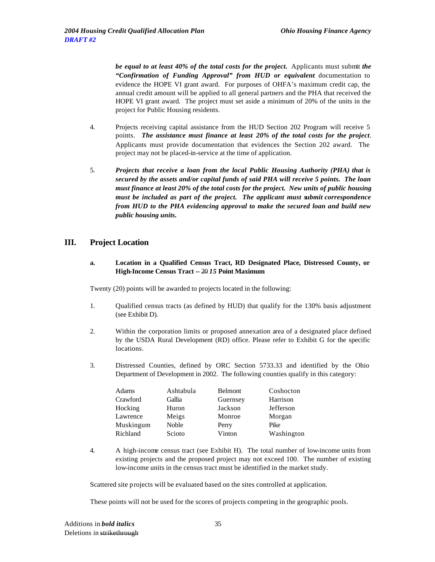*be equal to at least 40% of the total costs for the project.* Applicants must submit *the "Confirmation of Funding Approval" from HUD or equivalent* documentation to evidence the HOPE VI grant award. For purposes of OHFA's maximum credit cap, the annual credit amount will be applied to all general partners and the PHA that received the HOPE VI grant award. The project must set aside a minimum of 20% of the units in the project for Public Housing residents.

- 4. Projects receiving capital assistance from the HUD Section 202 Program will receive 5 points. *The assistance must finance at least 20% of the total costs for the project*. Applicants must provide documentation that evidences the Section 202 award. The project may not be placed-in-service at the time of application.
- 5. *Projects that receive a loan from the local Public Housing Authority (PHA) that is secured by the assets and/or capital funds of said PHA will receive 5 points. The loan must finance at least 20% of the total costs for the project. New units of public housing must be included as part of the project. The applicant must submit correspondence from HUD to the PHA evidencing approval to make the secured loan and build new public housing units.*

# **III. Project Location**

**a. Location in a Qualified Census Tract, RD Designated Place, Distressed County, or High-Income Census Tract --** 20 *15* **Point Maximum**

Twenty (20) points will be awarded to projects located in the following:

- 1. Qualified census tracts (as defined by HUD) that qualify for the 130% basis adjustment (see Exhibit D).
- 2. Within the corporation limits or proposed annexation area of a designated place defined by the USDA Rural Development (RD) office. Please refer to Exhibit G for the specific locations.
- 3. Distressed Counties, defined by ORC Section 5733.33 and identified by the Ohio Department of Development in 2002. The following counties qualify in this category:

| Adams     | Ashtabula | Belmont  | Coshocton  |
|-----------|-----------|----------|------------|
| Crawford  | Gallia    | Guernsey | Harrison   |
| Hocking   | Huron     | Jackson  | Jefferson  |
| Lawrence  | Meigs     | Monroe   | Morgan     |
| Muskingum | Noble     | Perry    | Pike       |
| Richland  | Scioto    | Vinton   | Washington |

4. A high-income census tract (see Exhibit H). The total number of low-income units from existing projects and the proposed project may not exceed 100. The number of existing low-income units in the census tract must be identified in the market study.

Scattered site projects will be evaluated based on the sites controlled at application.

These points will not be used for the scores of projects competing in the geographic pools.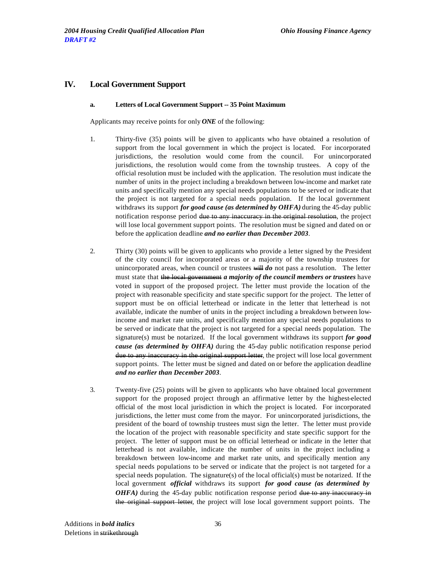### **IV. Local Government Support**

#### **a. Letters of Local Government Support -- 35 Point Maximum**

Applicants may receive points for only *ONE* of the following:

- 1. Thirty-five (35) points will be given to applicants who have obtained a resolution of support from the local government in which the project is located. For incorporated jurisdictions, the resolution would come from the council. For unincorporated jurisdictions, the resolution would come from the township trustees. A copy of the official resolution must be included with the application. The resolution must indicate the number of units in the project including a breakdown between low-income and market rate units and specifically mention any special needs populations to be served or indicate that the project is not targeted for a special needs population. If the local government withdraws its support *for good cause (as determined by OHFA)* during the 45-day public notification response period due to any inaccuracy in the original resolution, the project will lose local government support points. The resolution must be signed and dated on or before the application deadline *and no earlier than December 2003*.
- 2. Thirty (30) points will be given to applicants who provide a letter signed by the President of the city council for incorporated areas or a majority of the township trustees for unincorporated areas, when council or trustees  $\frac{1}{u} d\theta$  not pass a resolution. The letter must state that the local government *a majority of the council members or trustees* have voted in support of the proposed project. The letter must provide the location of the project with reasonable specificity and state specific support for the project. The letter of support must be on official letterhead or indicate in the letter that letterhead is not available, indicate the number of units in the project including a breakdown between lowincome and market rate units, and specifically mention any special needs populations to be served or indicate that the project is not targeted for a special needs population. The signature(s) must be notarized. If the local government withdraws its support *for good cause (as determined by OHFA)* during the 45-day public notification response period due to any inaccuracy in the original support letter, the project will lose local government support points. The letter must be signed and dated on or before the application deadline *and no earlier than December 2003*.
- 3. Twenty-five (25) points will be given to applicants who have obtained local government support for the proposed project through an affirmative letter by the highest-elected official of the most local jurisdiction in which the project is located. For incorporated jurisdictions, the letter must come from the mayor. For unincorporated jurisdictions, the president of the board of township trustees must sign the letter. The letter must provide the location of the project with reasonable specificity and state specific support for the project. The letter of support must be on official letterhead or indicate in the letter that letterhead is not available, indicate the number of units in the project including a breakdown between low-income and market rate units, and specifically mention any special needs populations to be served or indicate that the project is not targeted for a special needs population. The signature(s) of the local official(s) must be notarized. If the local government *official* withdraws its support *for good cause (as determined by OHFA*) during the 45-day public notification response period due to any inaccuracy in the original support letter, the project will lose local government support points. The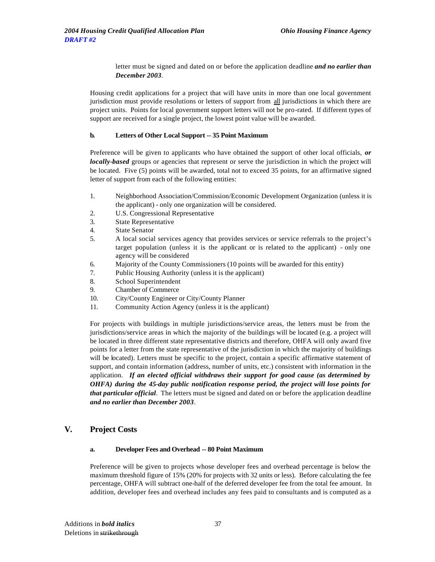letter must be signed and dated on or before the application deadline *and no earlier than December 2003*.

Housing credit applications for a project that will have units in more than one local government jurisdiction must provide resolutions or letters of support from all jurisdictions in which there are project units. Points for local government support letters will not be pro-rated. If different types of support are received for a single project, the lowest point value will be awarded.

#### **b. Letters of Other Local Support -- 35 Point Maximum**

Preference will be given to applicants who have obtained the support of other local officials, *or locally-based* groups or agencies that represent or serve the jurisdiction in which the project will be located. Five (5) points will be awarded, total not to exceed 35 points, for an affirmative signed letter of support from each of the following entities:

- 1. Neighborhood Association/Commission/Economic Development Organization (unless it is the applicant) - only one organization will be considered.
- 2. U.S. Congressional Representative
- 3. State Representative
- 4. State Senator
- 5. A local social services agency that provides services or service referrals to the project's target population (unless it is the applicant or is related to the applicant) - only one agency will be considered
- 6. Majority of the County Commissioners (10 points will be awarded for this entity)
- 7. Public Housing Authority (unless it is the applicant)
- 8. School Superintendent
- 9. Chamber of Commerce
- 10. City/County Engineer or City/County Planner
- 11. Community Action Agency (unless it is the applicant)

For projects with buildings in multiple jurisdictions/service areas, the letters must be from the jurisdictions/service areas in which the majority of the buildings will be located (e.g. a project will be located in three different state representative districts and therefore, OHFA will only award five points for a letter from the state representative of the jurisdiction in which the majority of buildings will be located). Letters must be specific to the project, contain a specific affirmative statement of support, and contain information (address, number of units, etc.) consistent with information in the application. *If an elected official withdraws their support for good cause (as determined by OHFA) during the 45-day public notification response period, the project will lose points for that particular official*. The letters must be signed and dated on or before the application deadline *and no earlier than December 2003*.

# **V. Project Costs**

#### **a. Developer Fees and Overhead -- 80 Point Maximum**

Preference will be given to projects whose developer fees and overhead percentage is below the maximum threshold figure of 15% (20% for projects with 32 units or less). Before calculating the fee percentage, OHFA will subtract one-half of the deferred developer fee from the total fee amount. In addition, developer fees and overhead includes any fees paid to consultants and is computed as a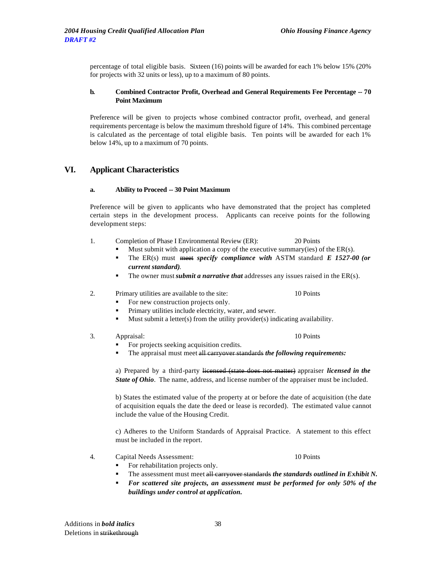percentage of total eligible basis. Sixteen (16) points will be awarded for each 1% below 15% (20% for projects with 32 units or less), up to a maximum of 80 points.

#### **b. Combined Contractor Profit, Overhead and General Requirements Fee Percentage -- 70 Point Maximum**

Preference will be given to projects whose combined contractor profit, overhead, and general requirements percentage is below the maximum threshold figure of 14%. This combined percentage is calculated as the percentage of total eligible basis. Ten points will be awarded for each 1% below 14%, up to a maximum of 70 points.

### **VI. Applicant Characteristics**

#### **a. Ability to Proceed -- 30 Point Maximum**

Preference will be given to applicants who have demonstrated that the project has completed certain steps in the development process. Applicants can receive points for the following development steps:

- 1. Completion of Phase I Environmental Review (ER): 20 Points
	- Must submit with application a copy of the executive summary(ies) of the ER(s).
	- ß The ER(s) must meet *specify compliance with* ASTM standard *E 1527-00 (or current standard)*.
	- ß The owner must *submit a narrative that* addresses any issues raised in the ER(s).

#### 2. Primary utilities are available to the site: 10 Points

For new construction projects only.

- ß Primary utilities include electricity, water, and sewer.
- $\blacksquare$  Must submit a letter(s) from the utility provider(s) indicating availability.
- 3. Appraisal: 10 Points

- ß For projects seeking acquisition credits.
- ß The appraisal must meet all carryover standards *the following requirements:*

a) Prepared by a third-party licensed (state does not matter) appraiser *licensed in the State of Ohio*. The name, address, and license number of the appraiser must be included.

b) States the estimated value of the property at or before the date of acquisition (the date of acquisition equals the date the deed or lease is recorded). The estimated value cannot include the value of the Housing Credit.

c) Adheres to the Uniform Standards of Appraisal Practice. A statement to this effect must be included in the report.

4. Capital Needs Assessment: 10 Points

- ß For rehabilitation projects only.
- ß The assessment must meet all carryover standards *the standards outlined in Exhibit N.*
- **For scattered site projects, an assessment must be performed for only 50% of the** *buildings under control at application.*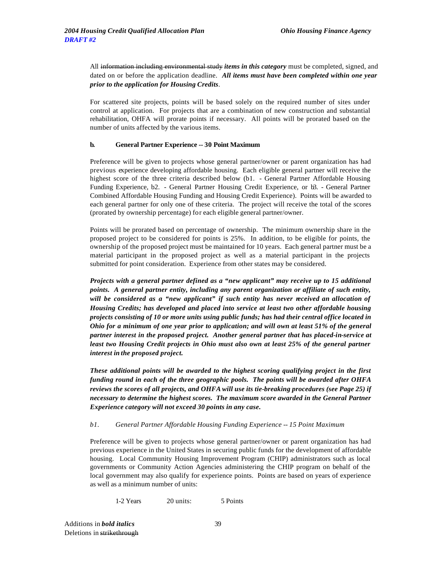All information including environmental study *items in this category* must be completed, signed, and dated on or before the application deadline. *All items must have been completed within one year prior to the application for Housing Credits*.

For scattered site projects, points will be based solely on the required number of sites under control at application. For projects that are a combination of new construction and substantial rehabilitation, OHFA will prorate points if necessary. All points will be prorated based on the number of units affected by the various items.

#### **b. General Partner Experience -- 30 Point Maximum**

Preference will be given to projects whose general partner/owner or parent organization has had previous experience developing affordable housing. Each eligible general partner will receive the highest score of the three criteria described below (b1. - General Partner Affordable Housing Funding Experience, b2. - General Partner Housing Credit Experience, or b3. - General Partner Combined Affordable Housing Funding and Housing Credit Experience). Points will be awarded to each general partner for only one of these criteria. The project will receive the total of the scores (prorated by ownership percentage) for each eligible general partner/owner.

Points will be prorated based on percentage of ownership. The minimum ownership share in the proposed project to be considered for points is 25%. In addition, to be eligible for points, the ownership of the proposed project must be maintained for 10 years. Each general partner must be a material participant in the proposed project as well as a material participant in the projects submitted for point consideration. Experience from other states may be considered.

*Projects with a general partner defined as a "new applicant" may receive up to 15 additional points. A general partner entity, including any parent organization or affiliate of such entity, will be considered as a "new applicant" if such entity has never received an allocation of Housing Credits; has developed and placed into service at least two other affordable housing projects consisting of 10 or more units using public funds; has had their central office located in Ohio for a minimum of one year prior to application; and will own at least 51% of the general partner interest in the proposed project. Another general partner that has placed-in-service at*  least two Housing Credit projects in Ohio must also own at least 25% of the general partner *interest in the proposed project.*

*These additional points will be awarded to the highest scoring qualifying project in the first funding round in each of the three geographic pools. The points will be awarded after OHFA reviews the scores of all projects, and OHFA will use its tie-breaking procedures (see Page 25) if necessary to determine the highest scores. The maximum score awarded in the General Partner Experience category will not exceed 30 points in any case.*

#### *b1. General Partner Affordable Housing Funding Experience -- 15 Point Maximum*

Preference will be given to projects whose general partner/owner or parent organization has had previous experience in the United States in securing public funds for the development of affordable housing. Local Community Housing Improvement Program (CHIP) administrators such as local governments or Community Action Agencies administering the CHIP program on behalf of the local government may also qualify for experience points. Points are based on years of experience as well as a minimum number of units:

1-2 Years 20 units: 5 Points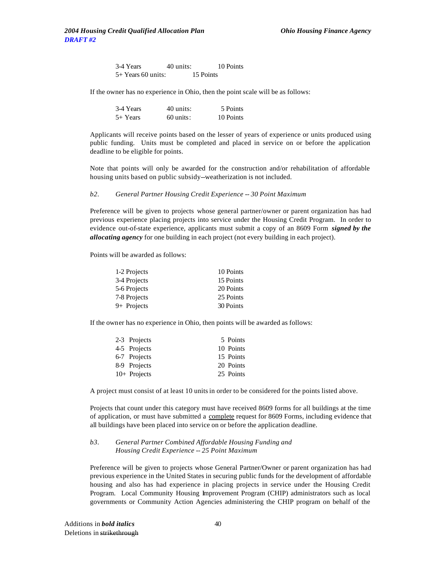| 3-4 Years            | 40 units: | 10 Points |
|----------------------|-----------|-----------|
| $5+$ Years 60 units: |           | 15 Points |

If the owner has no experience in Ohio, then the point scale will be as follows:

| 3-4 Years  | $40$ units: | 5 Points  |
|------------|-------------|-----------|
| $5+$ Years | $60$ units: | 10 Points |

Applicants will receive points based on the lesser of years of experience or units produced using public funding. Units must be completed and placed in service on or before the application deadline to be eligible for points.

Note that points will only be awarded for the construction and/or rehabilitation of affordable housing units based on public subsidy--weatherization is not included.

#### *b2. General Partner Housing Credit Experience -- 30 Point Maximum*

Preference will be given to projects whose general partner/owner or parent organization has had previous experience placing projects into service under the Housing Credit Program. In order to evidence out-of-state experience, applicants must submit a copy of an 8609 Form *signed by the allocating agency* for one building in each project (not every building in each project).

Points will be awarded as follows:

| 1-2 Projects | 10 Points |
|--------------|-----------|
| 3-4 Projects | 15 Points |
| 5-6 Projects | 20 Points |
| 7-8 Projects | 25 Points |
| 9+ Projects  | 30 Points |
|              |           |

If the owner has no experience in Ohio, then points will be awarded as follows:

| 2-3 Projects   | 5 Points  |
|----------------|-----------|
| 4-5 Projects   | 10 Points |
| 6-7 Projects   | 15 Points |
| 8-9 Projects   | 20 Points |
| $10+$ Projects | 25 Points |

A project must consist of at least 10 units in order to be considered for the points listed above.

Projects that count under this category must have received 8609 forms for all buildings at the time of application, or must have submitted a complete request for 8609 Forms, including evidence that all buildings have been placed into service on or before the application deadline.

#### *b3. General Partner Combined Affordable Housing Funding and Housing Credit Experience -- 25 Point Maximum*

Preference will be given to projects whose General Partner/Owner or parent organization has had previous experience in the United States in securing public funds for the development of affordable housing and also has had experience in placing projects in service under the Housing Credit Program. Local Community Housing Improvement Program (CHIP) administrators such as local governments or Community Action Agencies administering the CHIP program on behalf of the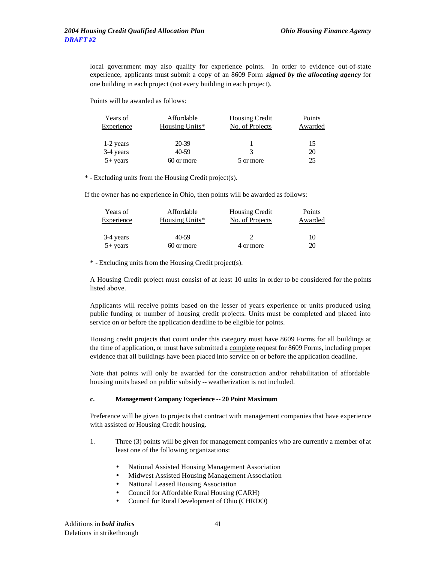local government may also qualify for experience points. In order to evidence out-of-state experience, applicants must submit a copy of an 8609 Form *signed by the allocating agency* for one building in each project (not every building in each project).

Points will be awarded as follows:

| Years of          | Affordable     | <b>Housing Credit</b> | Points  |
|-------------------|----------------|-----------------------|---------|
| <b>Experience</b> | Housing Units* | No. of Projects       | Awarded |
|                   |                |                       |         |
| 1-2 years         | 20-39          |                       | 15      |
| 3-4 years         | 40-59          | 3                     | 20      |
| $5+$ years        | 60 or more     | 5 or more             | 25      |

\* - Excluding units from the Housing Credit project(s).

If the owner has no experience in Ohio, then points will be awarded as follows:

| Years of   | Affordable     | <b>Housing Credit</b> | Points  |
|------------|----------------|-----------------------|---------|
| Experience | Housing Units* | No. of Projects       | Awarded |
| 3-4 years  | 40-59          |                       | 10      |
| $5+$ years | 60 or more     | 4 or more             | 20      |

\* - Excluding units from the Housing Credit project(s).

A Housing Credit project must consist of at least 10 units in order to be considered for the points listed above.

Applicants will receive points based on the lesser of years experience or units produced using public funding or number of housing credit projects. Units must be completed and placed into service on or before the application deadline to be eligible for points.

Housing credit projects that count under this category must have 8609 Forms for all buildings at the time of application**,** or must have submitted a complete request for 8609 Forms, including proper evidence that all buildings have been placed into service on or before the application deadline.

Note that points will only be awarded for the construction and/or rehabilitation of affordable housing units based on public subsidy -- weatherization is not included.

#### **c. Management Company Experience -- 20 Point Maximum**

Preference will be given to projects that contract with management companies that have experience with assisted or Housing Credit housing.

- 1. Three (3) points will be given for management companies who are currently a member of at least one of the following organizations:
	- National Assisted Housing Management Association
	- Midwest Assisted Housing Management Association
	- National Leased Housing Association
	- Council for Affordable Rural Housing (CARH)
	- Council for Rural Development of Ohio (CHRDO)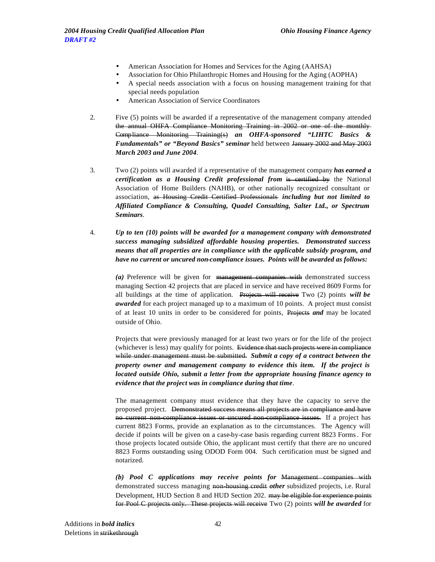- American Association for Homes and Services for the Aging (AAHSA)
- Association for Ohio Philanthropic Homes and Housing for the Aging (AOPHA)
- A special needs association with a focus on housing management training for that special needs population
- American Association of Service Coordinators
- 2. Five (5) points will be awarded if a representative of the management company attended the annual OHFA Compliance Monitoring Training in 2002 or one of the monthly Compliance Monitoring Training(s) *an OHFA-sponsored "LIHTC Basics & Fundamentals" or "Beyond Basics" seminar* held between January 2002 and May 2003 *March 2003 and June 2004*.
- 3. Two (2) points will awarded if a representative of the management company *has earned a certification as a Housing Credit professional from* is certified by the National Association of Home Builders (NAHB), or other nationally recognized consultant or association, as Housing Credit Certified Professionals *including but not limited to Affiliated Compliance & Consulting, Quadel Consulting, Salter Ltd., or Spectrum Seminars*.
- 4. *Up to ten (10) points will be awarded for a management company with demonstrated success managing subsidized affordable housing properties. Demonstrated success means that all properties are in compliance with the applicable subsidy program, and have no current or uncured non-compliance issues. Points will be awarded as follows:*

*(a)* Preference will be given for management companies with demonstrated success managing Section 42 projects that are placed in service and have received 8609 Forms for all buildings at the time of application. Projects will receive Two (2) points *will be awarded* for each project managed up to a maximum of 10 points. A project must consist of at least 10 units in order to be considered for points, Projects *and* may be located outside of Ohio.

Projects that were previously managed for at least two years or for the life of the project (whichever is less) may qualify for points. Evidence that such projects were in compliance while under management must be submitted. *Submit a copy of a contract between the property owner and management company to evidence this item. If the project is located outside Ohio, submit a letter from the appropriate housing finance agency to evidence that the project was in compliance during that time*.

The management company must evidence that they have the capacity to serve the proposed project. Demonstrated success means all projects are in compliance and have no current non-compliance issues or uncured non-compliance issues. If a project has current 8823 Forms, provide an explanation as to the circumstances. The Agency will decide if points will be given on a case-by-case basis regarding current 8823 Forms. For those projects located outside Ohio, the applicant must certify that there are no uncured 8823 Forms outstanding using ODOD Form 004. Such certification must be signed and notarized.

*(b) Pool C applications may receive points for* Management companies with demonstrated success managing non-housing credit *other* subsidized projects, i.e. Rural Development, HUD Section 8 and HUD Section 202. may be eligible for experience points for Pool C projects only. These projects will receive Two (2) points *will be awarded* for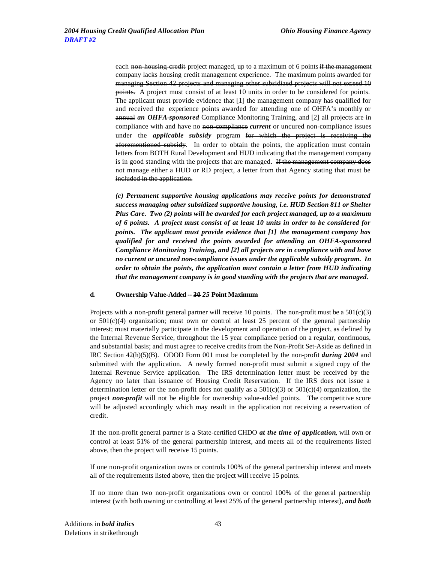each non-housing credit project managed, up to a maximum of 6 points if the management company lacks housing credit management experience. The maximum points awarded for managing Section 42 projects and managing other subsidized projects will not exceed 10 points. A project must consist of at least 10 units in order to be considered for points. The applicant must provide evidence that [1] the management company has qualified for and received the experience points awarded for attending one of OHFA's monthly or annual *an OHFA-sponsored* Compliance Monitoring Training, and [2] all projects are in compliance with and have no non-compliance *current* or uncured non-compliance issues under the *applicable subsidy* program for which the project is receiving the aforementioned subsidy. In order to obtain the points, the application must contain letters from BOTH Rural Development and HUD indicating that the management company is in good standing with the projects that are managed. If the management company does not manage either a HUD or RD project, a letter from that Agency stating that must be included in the application.

*(c) Permanent supportive housing applications may receive points for demonstrated success managing other subsidized supportive housing, i.e. HUD Section 811 or Shelter Plus Care. Two (2) points will be awarded for each project managed, up to a maximum of 6 points. A project must consist of at least 10 units in order to be considered for points. The applicant must provide evidence that [1] the management company has qualified for and received the points awarded for attending an OHFA-sponsored Compliance Monitoring Training, and [2] all projects are in compliance with and have no current or uncured non-compliance issues under the applicable subsidy program. In order to obtain the points, the application must contain a letter from HUD indicating that the management company is in good standing with the projects that are managed.*

#### **d. Ownership Value-Added -- 30** *25* **Point Maximum**

Projects with a non-profit general partner will receive 10 points. The non-profit must be a  $501(c)(3)$ or  $501(c)(4)$  organization; must own or control at least 25 percent of the general partnership interest; must materially participate in the development and operation of the project, as defined by the Internal Revenue Service, throughout the 15 year compliance period on a regular, continuous, and substantial basis; and must agree to receive credits from the Non-Profit Set-Aside as defined in IRC Section 42(h)(5)(B). ODOD Form 001 must be completed by the non-profit *during 2004* and submitted with the application. A newly formed non-profit must submit a signed copy of the Internal Revenue Service application. The IRS determination letter must be received by the Agency no later than issuance of Housing Credit Reservation. If the IRS does not issue a determination letter or the non-profit does not qualify as a  $501(c)(3)$  or  $501(c)(4)$  organization, the project *non-profit* will not be eligible for ownership value-added points. The competitive score will be adjusted accordingly which may result in the application not receiving a reservation of credit.

If the non-profit general partner is a State-certified CHDO *at the time of application*, will own or control at least 51% of the general partnership interest, and meets all of the requirements listed above, then the project will receive 15 points.

If one non-profit organization owns or controls 100% of the general partnership interest and meets all of the requirements listed above, then the project will receive 15 points.

If no more than two non-profit organizations own or control 100% of the general partnership interest (with both owning or controlling at least 25% of the general partnership interest), *and both*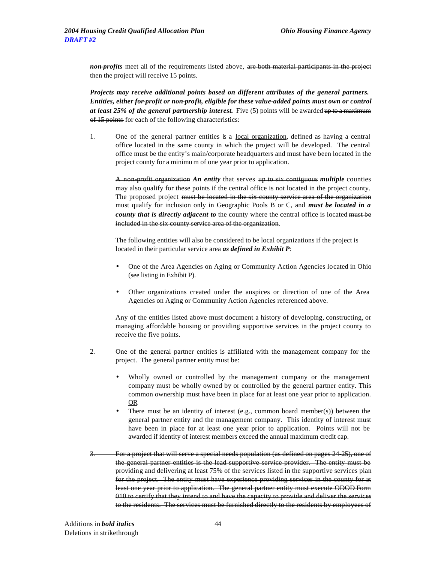*non-profits* meet all of the requirements listed above, are both material participants in the project then the project will receive 15 points.

*Projects may receive additional points based on different attributes of the general partners. Entities, either for-profit or non-profit, eligible for these value-added points must own or control at least 25% of the general partnership interest.* Five (5) points will be awarded up to a maximum of 15 points for each of the following characteristics:

1. One of the general partner entities is a local organization, defined as having a central office located in the same county in which the project will be developed. The central office must be the entity's main/corporate headquarters and must have been located in the project county for a minimum of one year prior to application.

A non-profit organization *An entity* that serves up to six contiguous *multiple* counties may also qualify for these points if the central office is not located in the project county. The proposed project must be located in the six county service area of the organization must qualify for inclusion only in Geographic Pools B or C, and *must be located in a county that is directly adjacent to* the county where the central office is located must be included in the six county service area of the organization.

The following entities will also be considered to be local organizations if the project is located in their particular service area *as defined in Exhibit P*:

- One of the Area Agencies on Aging or Community Action Agencies located in Ohio (see listing in Exhibit P).
- Other organizations created under the auspices or direction of one of the Area Agencies on Aging or Community Action Agencies referenced above.

Any of the entities listed above must document a history of developing, constructing, or managing affordable housing or providing supportive services in the project county to receive the five points.

- 2. One of the general partner entities is affiliated with the management company for the project. The general partner entity must be:
	- Wholly owned or controlled by the management company or the management company must be wholly owned by or controlled by the general partner entity. This common ownership must have been in place for at least one year prior to application. OR
	- There must be an identity of interest (e.g., common board member(s)) between the general partner entity and the management company. This identity of interest must have been in place for at least one year prior to application. Points will not be awarded if identity of interest members exceed the annual maximum credit cap.
- 3. For a project that will serve a special needs population (as defined on pages 24-25), one of the general partner entities is the lead supportive service provider. The entity must be providing and delivering at least 75% of the services listed in the supportive services plan for the project. The entity must have experience providing services in the county for at least one year prior to application. The general partner entity must execute ODOD Form 010 to certify that they intend to and have the capacity to provide and deliver the services to the residents. The services must be furnished directly to the residents by employees of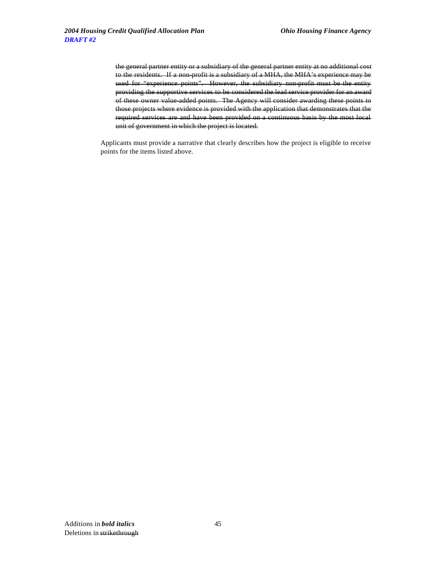the general partner entity or a subsidiary of the general partner entity at no additional cost to the residents. If a non-profit is a subsidiary of a MHA, the MHA's experience may be used for "experience points". However, the subsidiary non-profit must be the entity providing the supportive services to be considered the lead service provider for an award of these owner value-added points. The Agency will consider awarding these points to those projects where evidence is provided with the application that demonstrates that the required services are and have been provided on a continuous basis by the most local unit of government in which the project is located.

Applicants must provide a narrative that clearly describes how the project is eligible to receive points for the items listed above.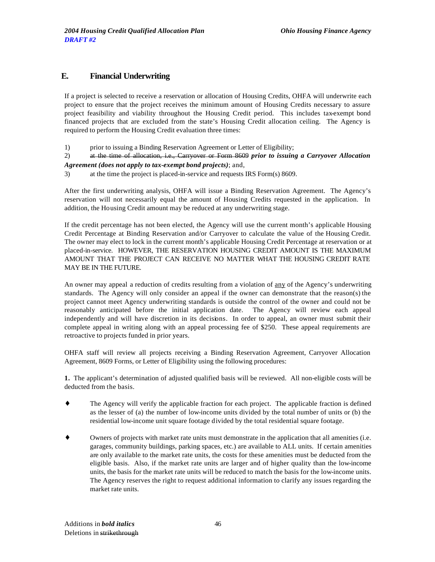### **E. Financial Underwriting**

If a project is selected to receive a reservation or allocation of Housing Credits, OHFA will underwrite each project to ensure that the project receives the minimum amount of Housing Credits necessary to assure project feasibility and viability throughout the Housing Credit period. This includes tax-exempt bond financed projects that are excluded from the state's Housing Credit allocation ceiling. The Agency is required to perform the Housing Credit evaluation three times:

1) prior to issuing a Binding Reservation Agreement or Letter of Eligibility;

2) at the time of allocation, i.e., Carryover or Form 8609 *prior to issuing a Carryover Allocation* 

#### *Agreement (does not apply to tax-exempt bond projects)*; and,

3) at the time the project is placed-in-service and requests IRS Form(s) 8609.

After the first underwriting analysis, OHFA will issue a Binding Reservation Agreement. The Agency's reservation will not necessarily equal the amount of Housing Credits requested in the application. In addition, the Housing Credit amount may be reduced at any underwriting stage.

If the credit percentage has not been elected, the Agency will use the current month's applicable Housing Credit Percentage at Binding Reservation and/or Carryover to calculate the value of the Housing Credit. The owner may elect to lock in the current month's applicable Housing Credit Percentage at reservation or at placed-in-service. HOWEVER, THE RESERVATION HOUSING CREDIT AMOUNT IS THE MAXIMUM AMOUNT THAT THE PROJECT CAN RECEIVE NO MATTER WHAT THE HOUSING CREDIT RATE MAY BE IN THE FUTURE.

An owner may appeal a reduction of credits resulting from a violation of  $\frac{any}{any}$  of the Agency's underwriting standards. The Agency will only consider an appeal if the owner can demonstrate that the reason(s) the project cannot meet Agency underwriting standards is outside the control of the owner and could not be reasonably anticipated before the initial application date. The Agency will review each appeal independently and will have discretion in its decisions. In order to appeal, an owner must submit their complete appeal in writing along with an appeal processing fee of \$250. These appeal requirements are retroactive to projects funded in prior years.

OHFA staff will review all projects receiving a Binding Reservation Agreement, Carryover Allocation Agreement, 8609 Forms, or Letter of Eligibility using the following procedures:

**1.** The applicant's determination of adjusted qualified basis will be reviewed. All non-eligible costs will be deducted from the basis.

- ♦ The Agency will verify the applicable fraction for each project. The applicable fraction is defined as the lesser of (a) the number of low-income units divided by the total number of units or (b) the residential low-income unit square footage divided by the total residential square footage.
- ♦ Owners of projects with market rate units must demonstrate in the application that all amenities (i.e. garages, community buildings, parking spaces, etc.) are available to ALL units. If certain amenities are only available to the market rate units, the costs for these amenities must be deducted from the eligible basis. Also, if the market rate units are larger and of higher quality than the low-income units, the basis for the market rate units will be reduced to match the basis for the low-income units. The Agency reserves the right to request additional information to clarify any issues regarding the market rate units.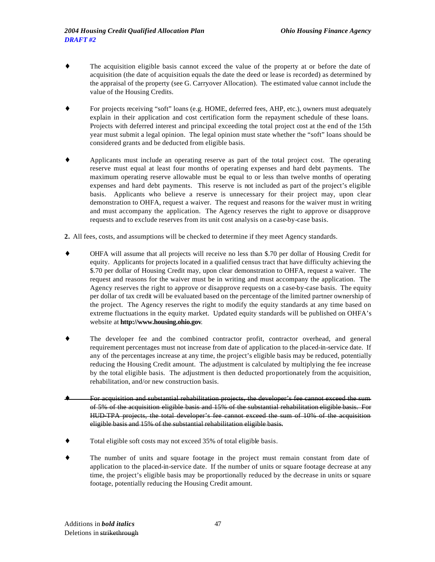- ♦ The acquisition eligible basis cannot exceed the value of the property at or before the date of acquisition (the date of acquisition equals the date the deed or lease is recorded) as determined by the appraisal of the property (see G. Carryover Allocation). The estimated value cannot include the value of the Housing Credits.
- For projects receiving "soft" loans (e.g. HOME, deferred fees, AHP, etc.), owners must adequately explain in their application and cost certification form the repayment schedule of these loans. Projects with deferred interest and principal exceeding the total project cost at the end of the 15th year must submit a legal opinion. The legal opinion must state whether the "soft" loans should be considered grants and be deducted from eligible basis.
- ♦ Applicants must include an operating reserve as part of the total project cost. The operating reserve must equal at least four months of operating expenses and hard debt payments. The maximum operating reserve allowable must be equal to or less than twelve months of operating expenses and hard debt payments. This reserve is not included as part of the project's eligible basis. Applicants who believe a reserve is unnecessary for their project may, upon clear demonstration to OHFA, request a waiver. The request and reasons for the waiver must in writing and must accompany the application. The Agency reserves the right to approve or disapprove requests and to exclude reserves from its unit cost analysis on a case-by-case basis.
- **2.** All fees, costs, and assumptions will be checked to determine if they meet Agency standards.
- ♦ OHFA will assume that all projects will receive no less than \$.70 per dollar of Housing Credit for equity. Applicants for projects located in a qualified census tract that have difficulty achieving the \$.70 per dollar of Housing Credit may, upon clear demonstration to OHFA, request a waiver. The request and reasons for the waiver must be in writing and must accompany the application. The Agency reserves the right to approve or disapprove requests on a case-by-case basis. The equity per dollar of tax credit will be evaluated based on the percentage of the limited partner ownership of the project. The Agency reserves the right to modify the equity standards at any time based on extreme fluctuations in the equity market. Updated equity standards will be published on OHFA's website at **http://www.housing.ohio.gov**.
- ♦ The developer fee and the combined contractor profit, contractor overhead, and general requirement percentages must not increase from date of application to the placed-in-service date. If any of the percentages increase at any time, the project's eligible basis may be reduced, potentially reducing the Housing Credit amount. The adjustment is calculated by multiplying the fee increase by the total eligible basis. The adjustment is then deducted proportionately from the acquisition, rehabilitation, and/or new construction basis.
- For acquisition and substantial rehabilitation projects, the developer's fee cannot exceed the sum of 5% of the acquisition eligible basis and 15% of the substantial rehabilitation eligible basis. For HUD-TPA projects, the total developer's fee cannot exceed the sum of 10% of the acquisition eligible basis and 15% of the substantial rehabilitation eligible basis.
- ♦ Total eligible soft costs may not exceed 35% of total eligible basis.
- ♦ The number of units and square footage in the project must remain constant from date of application to the placed-in-service date. If the number of units or square footage decrease at any time, the project's eligible basis may be proportionally reduced by the decrease in units or square footage, potentially reducing the Housing Credit amount.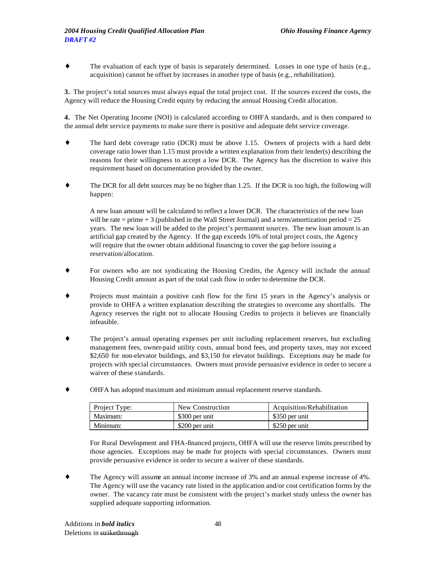♦ The evaluation of each type of basis is separately determined. Losses in one type of basis (e.g., acquisition) cannot be offset by increases in another type of basis (e.g., rehabilitation).

**3.** The project's total sources must always equal the total project cost. If the sources exceed the costs, the Agency will reduce the Housing Credit equity by reducing the annual Housing Credit allocation.

**4.** The Net Operating Income (NOI) is calculated according to OHFA standards, and is then compared to the annual debt service payments to make sure there is positive and adequate debt service coverage.

- ♦ The hard debt coverage ratio (DCR) must be above 1.15. Owners of projects with a hard debt coverage ratio lower than 1.15 must provide a written explanation from their lender(s) describing the reasons for their willingness to accept a low DCR. The Agency has the discretion to waive this requirement based on documentation provided by the owner.
- ♦ The DCR for all debt sources may be no higher than 1.25. If the DCR is too high, the following will happen:

A new loan amount will be calculated to reflect a lower DCR. The characteristics of the new loan will be rate = prime  $+3$  (published in the Wall Street Journal) and a term/amortization period = 25 years. The new loan will be added to the project's permanent sources. The new loan amount is an artificial gap created by the Agency. If the gap exceeds 10% of total project costs, the Agency will require that the owner obtain additional financing to cover the gap before issuing a reservation/allocation.

- ♦ For owners who are not syndicating the Housing Credits, the Agency will include the annual Housing Credit amount as part of the total cash flow in order to determine the DCR.
- ♦ Projects must maintain a positive cash flow for the first 15 years in the Agency's analysis or provide to OHFA a written explanation describing the strategies to overcome any shortfalls. The Agency reserves the right not to allocate Housing Credits to projects it believes are financially infeasible.
- The project's annual operating expenses per unit including replacement reserves, but excluding management fees, owner-paid utility costs, annual bond fees, and property taxes, may not exceed \$2,650 for non-elevator buildings, and \$3,150 for elevator buildings. Exceptions may be made for projects with special circumstances. Owners must provide persuasive evidence in order to secure a waiver of these standards.
- OHFA has adopted maximum and minimum annual replacement reserve standards.

| Project Type: | New Construction | Acquisition/Rehabilitation |
|---------------|------------------|----------------------------|
| Maximum:      | \$300 per unit   | \$350 per unit             |
| Minimum:      | \$200 per unit   | \$250 per unit             |

For Rural Development and FHA-financed projects, OHFA will use the reserve limits prescribed by those agencies. Exceptions may be made for projects with special circumstances. Owners must provide persuasive evidence in order to secure a waiver of these standards.

♦ The Agency will assume an annual income increase of 3% and an annual expense increase of 4%. The Agency will use the vacancy rate listed in the application and/or cost certification forms by the owner. The vacancy rate must be consistent with the project's market study unless the owner has supplied adequate supporting information.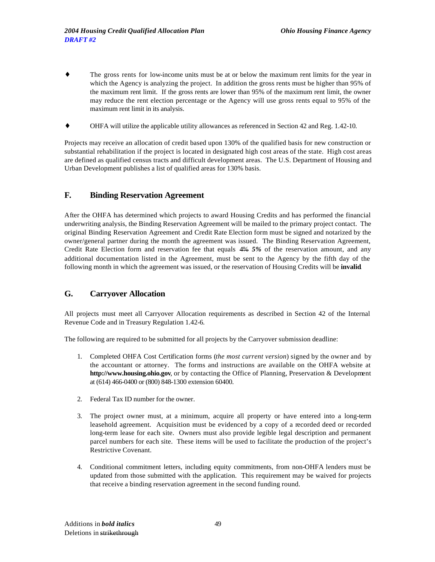- ♦ The gross rents for low-income units must be at or below the maximum rent limits for the year in which the Agency is analyzing the project. In addition the gross rents must be higher than 95% of the maximum rent limit. If the gross rents are lower than 95% of the maximum rent limit, the owner may reduce the rent election percentage or the Agency will use gross rents equal to 95% of the maximum rent limit in its analysis.
- ♦ OHFA will utilize the applicable utility allowances as referenced in Section 42 and Reg. 1.42-10.

Projects may receive an allocation of credit based upon 130% of the qualified basis for new construction or substantial rehabilitation if the project is located in designated high cost areas of the state. High cost areas are defined as qualified census tracts and difficult development areas. The U.S. Department of Housing and Urban Development publishes a list of qualified areas for 130% basis.

# **F. Binding Reservation Agreement**

After the OHFA has determined which projects to award Housing Credits and has performed the financial underwriting analysis, the Binding Reservation Agreement will be mailed to the primary project contact. The original Binding Reservation Agreement and Credit Rate Election form must be signed and notarized by the owner/general partner during the month the agreement was issued. The Binding Reservation Agreement, Credit Rate Election form and reservation fee that equals 4% *5%* of the reservation amount, and any additional documentation listed in the Agreement, must be sent to the Agency by the fifth day of the following month in which the agreement was issued, or the reservation of Housing Credits will be **invalid**.

# **G. Carryover Allocation**

All projects must meet all Carryover Allocation requirements as described in Section 42 of the Internal Revenue Code and in Treasury Regulation 1.42-6.

The following are required to be submitted for all projects by the Carryover submission deadline:

- 1. Completed OHFA Cost Certification forms (*the most current version*) signed by the owner and by the accountant or attorney. The forms and instructions are available on the OHFA website at **http://www.housing.ohio.gov**, or by contacting the Office of Planning, Preservation & Development at (614) 466-0400 or (800) 848-1300 extension 60400.
- 2. Federal Tax ID number for the owner.
- 3. The project owner must, at a minimum, acquire all property or have entered into a long-term leasehold agreement. Acquisition must be evidenced by a copy of a recorded deed or recorded long-term lease for each site. Owners must also provide legible legal description and permanent parcel numbers for each site. These items will be used to facilitate the production of the project's Restrictive Covenant.
- 4. Conditional commitment letters, including equity commitments, from non-OHFA lenders must be updated from those submitted with the application. This requirement may be waived for projects that receive a binding reservation agreement in the second funding round.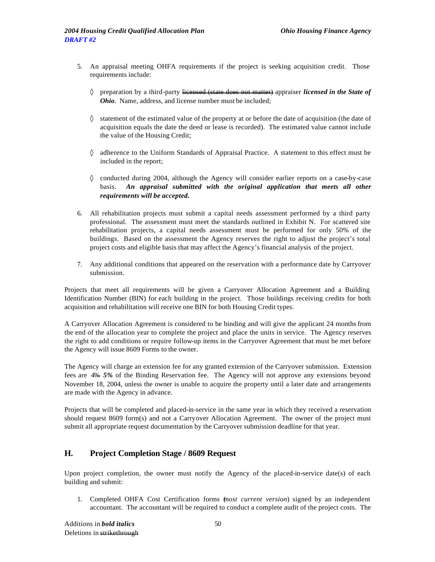- 5. An appraisal meeting OHFA requirements if the project is seeking acquisition credit. Those requirements include:
	- ◊ preparation by a third-party licensed (state does not matter) appraiser *licensed in the State of Ohio*. Name, address, and license number must be included;
	- $\Diamond$  statement of the estimated value of the property at or before the date of acquisition (the date of acquisition equals the date the deed or lease is recorded). The estimated value cannot include the value of the Housing Credit;
	- ◊ adherence to the Uniform Standards of Appraisal Practice. A statement to this effect must be included in the report;
	- $\Diamond$  conducted during 2004, although the Agency will consider earlier reports on a case-by-case basis. *An appraisal submitted with the original application that meets all other requirements will be accepted.*
- 6. All rehabilitation projects must submit a capital needs assessment performed by a third party professional. The assessment must meet the standards outlined in Exhibit N. For scattered site rehabilitation projects, a capital needs assessment must be performed for only 50% of the buildings. Based on the assessment the Agency reserves the right to adjust the project's total project costs and eligible basis that may affect the Agency's financial analysis of the project.
- 7. Any additional conditions that appeared on the reservation with a performance date by Carryover submission.

Projects that meet all requirements will be given a Carryover Allocation Agreement and a Building Identification Number (BIN) for each building in the project. Those buildings receiving credits for both acquisition and rehabilitation will receive one BIN for both Housing Credit types.

A Carryover Allocation Agreement is considered to be binding and will give the applicant 24 months from the end of the allocation year to complete the project and place the units in service. The Agency reserves the right to add conditions or require follow-up items in the Carryover Agreement that must be met before the Agency will issue 8609 Forms to the owner.

The Agency will charge an extension fee for any granted extension of the Carryover submission. Extension fees are 4% *5%* of the Binding Reservation fee. The Agency will not approve any extensions beyond November 18, 2004, unless the owner is unable to acquire the property until a later date and arrangements are made with the Agency in advance.

Projects that will be completed and placed-in-service in the same year in which they received a reservation should request 8609 form(s) and not a Carryover Allocation Agreement. The owner of the project must submit all appropriate request documentation by the Carryover submission deadline for that year.

# **H. Project Completion Stage / 8609 Request**

Upon project completion, the owner must notify the Agency of the placed-in-service date(s) of each building and submit:

1. Completed OHFA Cost Certification forms (*most current version*) signed by an independent accountant. The accountant will be required to conduct a complete audit of the project costs. The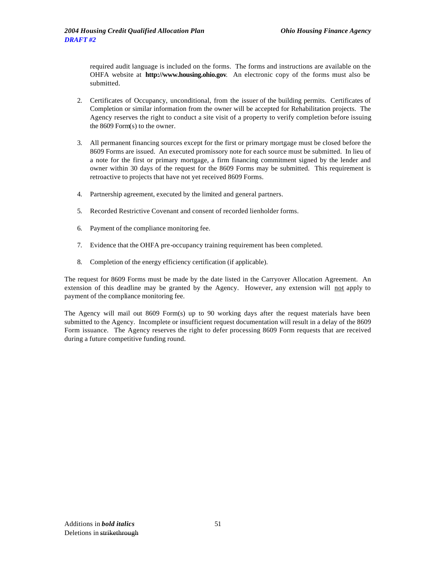required audit language is included on the forms. The forms and instructions are available on the OHFA website at **http://www.housing.ohio.gov**. An electronic copy of the forms must also be submitted.

- 2. Certificates of Occupancy, unconditional, from the issuer of the building permits. Certificates of Completion or similar information from the owner will be accepted for Rehabilitation projects. The Agency reserves the right to conduct a site visit of a property to verify completion before issuing the 8609 Form(s) to the owner.
- 3. All permanent financing sources except for the first or primary mortgage must be closed before the 8609 Forms are issued. An executed promissory note for each source must be submitted. In lieu of a note for the first or primary mortgage, a firm financing commitment signed by the lender and owner within 30 days of the request for the 8609 Forms may be submitted. This requirement is retroactive to projects that have not yet received 8609 Forms.
- 4. Partnership agreement, executed by the limited and general partners.
- 5. Recorded Restrictive Covenant and consent of recorded lienholder forms.
- 6. Payment of the compliance monitoring fee.
- 7. Evidence that the OHFA pre-occupancy training requirement has been completed.
- 8. Completion of the energy efficiency certification (if applicable).

The request for 8609 Forms must be made by the date listed in the Carryover Allocation Agreement. An extension of this deadline may be granted by the Agency. However, any extension will not apply to payment of the compliance monitoring fee.

The Agency will mail out 8609 Form(s) up to 90 working days after the request materials have been submitted to the Agency. Incomplete or insufficient request documentation will result in a delay of the 8609 Form issuance. The Agency reserves the right to defer processing 8609 Form requests that are received during a future competitive funding round.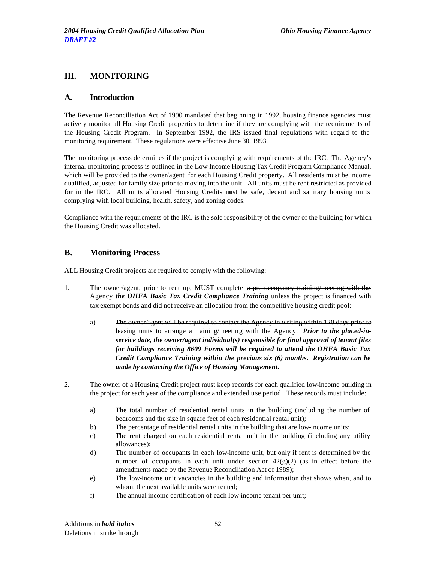# **III. MONITORING**

#### **A. Introduction**

The Revenue Reconciliation Act of 1990 mandated that beginning in 1992, housing finance agencies must actively monitor all Housing Credit properties to determine if they are complying with the requirements of the Housing Credit Program. In September 1992, the IRS issued final regulations with regard to the monitoring requirement. These regulations were effective June 30, 1993.

The monitoring process determines if the project is complying with requirements of the IRC. The Agency's internal monitoring process is outlined in the Low-Income Housing Tax Credit Program Compliance Manual, which will be provided to the owner/agent for each Housing Credit property. All residents must be income qualified, adjusted for family size prior to moving into the unit. All units must be rent restricted as provided for in the IRC. All units allocated Housing Credits must be safe, decent and sanitary housing units complying with local building, health, safety, and zoning codes.

Compliance with the requirements of the IRC is the sole responsibility of the owner of the building for which the Housing Credit was allocated.

#### **B. Monitoring Process**

ALL Housing Credit projects are required to comply with the following:

- 1. The owner/agent, prior to rent up, MUST complete a pre-occupancy training/meeting with the Agency *the OHFA Basic Tax Credit Compliance Training* unless the project is financed with tax-exempt bonds and did not receive an allocation from the competitive housing credit pool:
	- a) The owner/agent will be required to contact the Agency in writing within 120 days prior to leasing units to arrange a training/meeting with the Agency. *Prior to the placed-inservice date, the owner/agent individual(s) responsible for final approval of tenant files for buildings receiving 8609 Forms will be required to attend the OHFA Basic Tax Credit Compliance Training within the previous six (6) months. Registration can be made by contacting the Office of Housing Management.*
- 2. The owner of a Housing Credit project must keep records for each qualified low-income building in the project for each year of the compliance and extended use period. These records must include:
	- a) The total number of residential rental units in the building (including the number of bedrooms and the size in square feet of each residential rental unit);
	- b) The percentage of residential rental units in the building that are low-income units;
	- c) The rent charged on each residential rental unit in the building (including any utility allowances);
	- d) The number of occupants in each low-income unit, but only if rent is determined by the number of occupants in each unit under section  $42(g)(2)$  (as in effect before the amendments made by the Revenue Reconciliation Act of 1989);
	- e) The low-income unit vacancies in the building and information that shows when, and to whom, the next available units were rented;
	- f) The annual income certification of each low-income tenant per unit;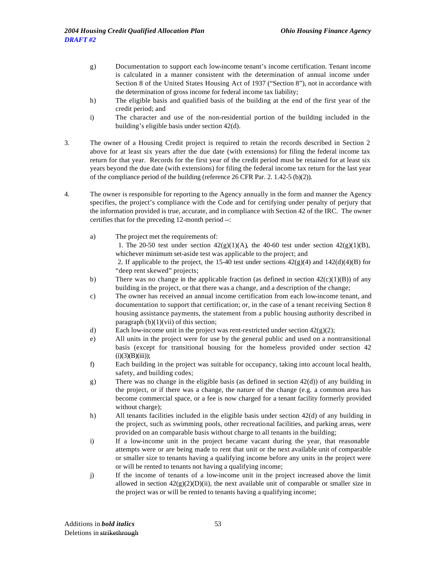- g) Documentation to support each low-income tenant's income certification. Tenant income is calculated in a manner consistent with the determination of annual income under Section 8 of the United States Housing Act of 1937 ("Section 8"), not in accordance with the determination of gross income for federal income tax liability;
- h) The eligible basis and qualified basis of the building at the end of the first year of the credit period; and
- i) The character and use of the non-residential portion of the building included in the building's eligible basis under section 42(d).
- 3. The owner of a Housing Credit project is required to retain the records described in Section 2 above for at least six years after the due date (with extensions) for filing the federal income tax return for that year. Records for the first year of the credit period must be retained for at least six years beyond the due date (with extensions) for filing the federal income tax return for the last year of the compliance period of the building (reference 26 CFR Par. 2. 1.42-5 (b)(2)).
- 4. The owner is responsible for reporting to the Agency annually in the form and manner the Agency specifies, the project's compliance with the Code and for certifying under penalty of perjury that the information provided is true, accurate, and in compliance with Section 42 of the IRC. The owner certifies that for the preceding 12-month period --:
	- a) The project met the requirements of: 1. The 20-50 test under section  $42(g)(1)(A)$ , the 40-60 test under section  $42(g)(1)(B)$ , whichever minimum set-aside test was applicable to the project; and 2. If applicable to the project, the 15-40 test under sections  $42(g)(4)$  and  $142(d)(4)(B)$  for "deep rent skewed" projects;
	- b) There was no change in the applicable fraction (as defined in section  $42(c)(1)(B)$ ) of any building in the project, or that there was a change, and a description of the change;
	- c) The owner has received an annual income certification from each low-income tenant, and documentation to support that certification; or, in the case of a tenant receiving Section 8 housing assistance payments, the statement from a public housing authority described in paragraph  $(b)(1)(vii)$  of this section;
	- d) Each low-income unit in the project was rent-restricted under section  $42(g)(2)$ ;
	- e) All units in the project were for use by the general public and used on a nontransitional basis (except for transitional housing for the homeless provided under section 42  $(i)(3)(B)(iii)$ ;
	- f) Each building in the project was suitable for occupancy, taking into account local health, safety, and building codes;
	- g) There was no change in the eligible basis (as defined in section 42(d)) of any building in the project, or if there was a change, the nature of the change (e.g. a common area has become commercial space, or a fee is now charged for a tenant facility formerly provided without charge);
	- h) All tenants facilities included in the eligible basis under section 42(d) of any building in the project, such as swimming pools, other recreational facilities, and parking areas, were provided on an comparable basis without charge to all tenants in the building;
	- i) If a low-income unit in the project became vacant during the year, that reasonable attempts were or are being made to rent that unit or the next available unit of comparable or smaller size to tenants having a qualifying income before any units in the project were or will be rented to tenants not having a qualifying income;
	- j) If the income of tenants of a low-income unit in the project increased above the limit allowed in section  $42(g)(2)(D)(ii)$ , the next available unit of comparable or smaller size in the project was or will be rented to tenants having a qualifying income;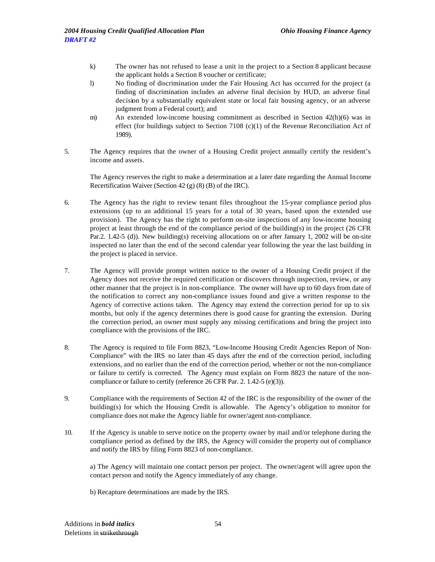- k) The owner has not refused to lease a unit in the project to a Section 8 applicant because the applicant holds a Section 8 voucher or certificate;
- l) No finding of discrimination under the Fair Housing Act has occurred for the project (a finding of discrimination includes an adverse final decision by HUD, an adverse final decision by a substantially equivalent state or local fair housing agency, or an adverse judgment from a Federal court); and
- m) An extended low-income housing commitment as described in Section 42(h)(6) was in effect (for buildings subject to Section 7108  $(c)(1)$  of the Revenue Reconciliation Act of 1989).
- 5. The Agency requires that the owner of a Housing Credit project annually certify the resident's income and assets.

The Agency reserves the right to make a determination at a later date regarding the Annual Income Recertification Waiver (Section 42 (g) (8) (B) of the IRC).

- 6. The Agency has the right to review tenant files throughout the 15-year compliance period plus extensions (up to an additional 15 years for a total of 30 years, based upon the extended use provision). The Agency has the right to perform on-site inspections of any low-income housing project at least through the end of the compliance period of the building(s) in the project (26 CFR Par.2. 1.42-5 (d)). New building(s) receiving allocations on or after January 1, 2002 will be on-site inspected no later than the end of the second calendar year following the year the last building in the project is placed in service.
- 7. The Agency will provide prompt written notice to the owner of a Housing Credit project if the Agency does not receive the required certification or discovers through inspection, review, or any other manner that the project is in non-compliance. The owner will have up to 60 days from date of the notification to correct any non-compliance issues found and give a written response to the Agency of corrective actions taken. The Agency may extend the correction period for up to six months, but only if the agency determines there is good cause for granting the extension. During the correction period, an owner must supply any missing certifications and bring the project into compliance with the provisions of the IRC.
- 8. The Agency is required to file Form 8823, "Low-Income Housing Credit Agencies Report of Non-Compliance" with the IRS no later than 45 days after the end of the correction period, including extensions, and no earlier than the end of the correction period, whether or not the non-compliance or failure to certify is corrected. The Agency must explain on Form 8823 the nature of the noncompliance or failure to certify (reference 26 CFR Par. 2. 1.42-5 (e)(3)).
- 9. Compliance with the requirements of Section 42 of the IRC is the responsibility of the owner of the building(s) for which the Housing Credit is allowable. The Agency's obligation to monitor for compliance does not make the Agency liable for owner/agent non-compliance.
- 10. If the Agency is unable to serve notice on the property owner by mail and/or telephone during the compliance period as defined by the IRS, the Agency will consider the property out of compliance and notify the IRS by filing Form 8823 of non-compliance.

a) The Agency will maintain one contact person per project. The owner/agent will agree upon the contact person and notify the Agency immediately of any change.

b) Recapture determinations are made by the IRS.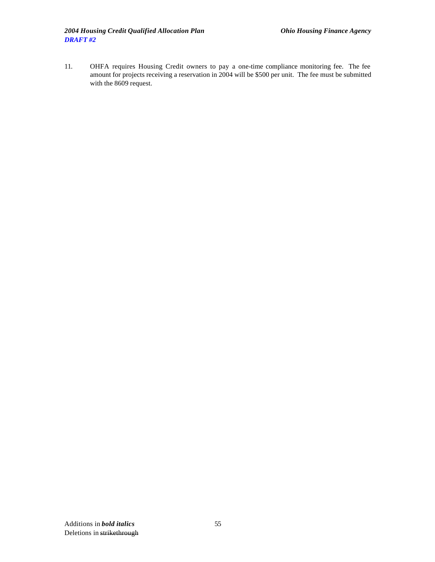11. OHFA requires Housing Credit owners to pay a one-time compliance monitoring fee. The fee amount for projects receiving a reservation in 2004 will be \$500 per unit. The fee must be submitted with the 8609 request.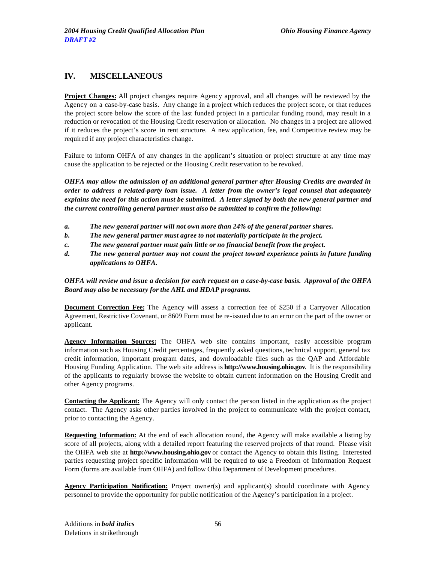# **IV. MISCELLANEOUS**

**Project Changes:** All project changes require Agency approval, and all changes will be reviewed by the Agency on a case-by-case basis. Any change in a project which reduces the project score, or that reduces the project score below the score of the last funded project in a particular funding round, may result in a reduction or revocation of the Housing Credit reservation or allocation. No changes in a project are allowed if it reduces the project's score in rent structure. A new application, fee, and Competitive review may be required if any project characteristics change.

Failure to inform OHFA of any changes in the applicant's situation or project structure at any time may cause the application to be rejected or the Housing Credit reservation to be revoked.

*OHFA may allow the admission of an additional general partner after Housing Credits are awarded in order to address a related-party loan issue. A letter from the owner's legal counsel that adequately explains the need for this action must be submitted. A letter signed by both the new general partner and the current controlling general partner must also be submitted to confirm the following:*

- *a. The new general partner will not own more than 24% of the general partner shares.*
- *b. The new general partner must agree to not materially participate in the project.*
- *c. The new general partner must gain little or no financial benefit from the project.*
- *d. The new general partner may not count the project toward experience points in future funding applications to OHFA.*

#### *OHFA will review and issue a decision for each request on a case-by-case basis. Approval of the OHFA Board may also be necessary for the AHL and HDAP programs.*

**Document Correction Fee:** The Agency will assess a correction fee of \$250 if a Carryover Allocation Agreement, Restrictive Covenant, or 8609 Form must be re-issued due to an error on the part of the owner or applicant.

**Agency Information Sources:** The OHFA web site contains important, easily accessible program information such as Housing Credit percentages, frequently asked questions, technical support, general tax credit information, important program dates, and downloadable files such as the QAP and Affordable Housing Funding Application. The web site address is **http://www.housing.ohio.gov**. It is the responsibility of the applicants to regularly browse the website to obtain current information on the Housing Credit and other Agency programs.

**Contacting the Applicant:** The Agency will only contact the person listed in the application as the project contact. The Agency asks other parties involved in the project to communicate with the project contact, prior to contacting the Agency.

**Requesting Information:** At the end of each allocation round, the Agency will make available a listing by score of all projects, along with a detailed report featuring the reserved projects of that round. Please visit the OHFA web site at **http://www.housing.ohio.gov** or contact the Agency to obtain this listing. Interested parties requesting project specific information will be required to use a Freedom of Information Request Form (forms are available from OHFA) and follow Ohio Department of Development procedures.

**Agency Participation Notification:** Project owner(s) and applicant(s) should coordinate with Agency personnel to provide the opportunity for public notification of the Agency's participation in a project.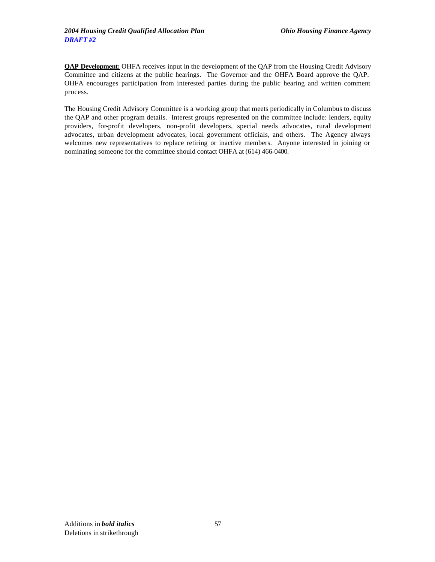**QAP Development:** OHFA receives input in the development of the QAP from the Housing Credit Advisory Committee and citizens at the public hearings. The Governor and the OHFA Board approve the QAP. OHFA encourages participation from interested parties during the public hearing and written comment process.

The Housing Credit Advisory Committee is a working group that meets periodically in Columbus to discuss the QAP and other program details. Interest groups represented on the committee include: lenders, equity providers, for-profit developers, non-profit developers, special needs advocates, rural development advocates, urban development advocates, local government officials, and others. The Agency always welcomes new representatives to replace retiring or inactive members. Anyone interested in joining or nominating someone for the committee should contact OHFA at (614) 466-0400.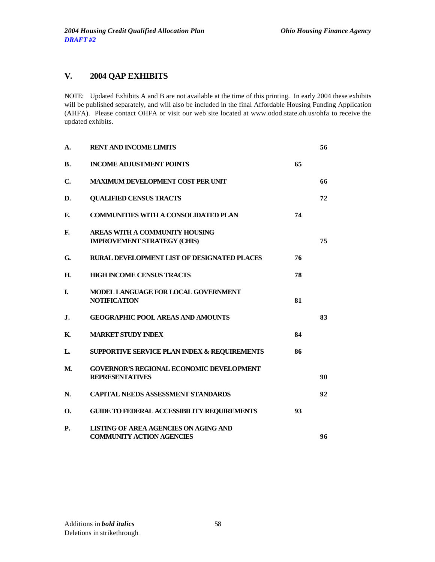# **V. 2004 QAP EXHIBITS**

NOTE: Updated Exhibits A and B are not available at the time of this printing. In early 2004 these exhibits will be published separately, and will also be included in the final Affordable Housing Funding Application (AHFA). Please contact OHFA or visit our web site located at www.odod.state.oh.us/ohfa to receive the updated exhibits.

| A.             | <b>RENT AND INCOME LIMITS</b>                                             |    | 56 |
|----------------|---------------------------------------------------------------------------|----|----|
| <b>B.</b>      | <b>INCOME ADJUSTMENT POINTS</b>                                           | 65 |    |
| $\mathbf{C}$ . | <b>MAXIMUM DEVELOPMENT COST PER UNIT</b>                                  |    | 66 |
| D.             | <b>QUALIFIED CENSUS TRACTS</b>                                            |    | 72 |
| E.             | <b>COMMUNITIES WITH A CONSOLIDATED PLAN</b>                               | 74 |    |
| F.             | AREAS WITH A COMMUNITY HOUSING<br><b>IMPROVEMENT STRATEGY (CHIS)</b>      |    | 75 |
| G.             | <b>RURAL DEVELOPMENT LIST OF DESIGNATED PLACES</b>                        | 76 |    |
| H.             | <b>HIGH INCOME CENSUS TRACTS</b>                                          | 78 |    |
| L              | MODEL LANGUAGE FOR LOCAL GOVERNMENT<br><b>NOTIFICATION</b>                | 81 |    |
| $\mathbf{J}$ . | <b>GEOGRAPHIC POOL AREAS AND AMOUNTS</b>                                  |    | 83 |
| К.             | <b>MARKET STUDY INDEX</b>                                                 | 84 |    |
| L.             | <b>SUPPORTIVE SERVICE PLAN INDEX &amp; REQUIREMENTS</b>                   | 86 |    |
| M.             | <b>GOVERNOR'S REGIONAL ECONOMIC DEVELOPMENT</b><br><b>REPRESENTATIVES</b> |    | 90 |
| N.             | <b>CAPITAL NEEDS ASSESSMENT STANDARDS</b>                                 |    | 92 |
| О.             | <b>GUIDE TO FEDERAL ACCESSIBILITY REQUIREMENTS</b>                        | 93 |    |
| <b>P.</b>      | LISTING OF AREA AGENCIES ON AGING AND<br><b>COMMUNITY ACTION AGENCIES</b> |    | 96 |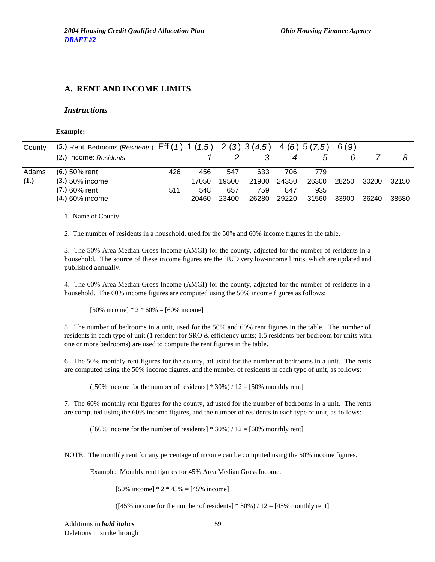### **A. RENT AND INCOME LIMITS**

#### *Instructions*

#### **Example:**

| County | (5.) Rent: Bedrooms (Residents) $Eff (1) 1 (1.5) 2 (3) 3 (4.5) 4 (6) 5 (7.5)$ |     |       |       |       |       |       | 6(9)  |       |       |
|--------|-------------------------------------------------------------------------------|-----|-------|-------|-------|-------|-------|-------|-------|-------|
|        | (2.) Income: Residents                                                        |     |       |       |       |       | b     |       |       |       |
| Adams  | $(6.) 50\%$ rent                                                              | 426 | 456   | 547   | 633   | 706   | 779   |       |       |       |
| (1.)   | $(3.)$ 50% income                                                             |     | 17050 | 19500 | 21900 | 24350 | 26300 | 28250 | 30200 | 32150 |
|        | $(7.) 60%$ rent                                                               | 511 | 548   | 657   | 759   | 847   | 935   |       |       |       |
|        | $(4.) 60\%$ income                                                            |     | 20460 | 23400 | 26280 | 29220 | 31560 | 33900 | 36240 | 38580 |

1. Name of County.

2. The number of residents in a household, used for the 50% and 60% income figures in the table.

3. The 50% Area Median Gross Income (AMGI) for the county, adjusted for the number of residents in a household. The source of these income figures are the HUD very low-income limits, which are updated and published annually.

4. The 60% Area Median Gross Income (AMGI) for the county, adjusted for the number of residents in a household. The 60% income figures are computed using the 50% income figures as follows:

[50% income]  $* 2 * 60\% = 60\%$  income]

5. The number of bedrooms in a unit, used for the 50% and 60% rent figures in the table. The number of residents in each type of unit (1 resident for SRO & efficiency units; 1.5 residents per bedroom for units with one or more bedrooms) are used to compute the rent figures in the table.

6. The 50% monthly rent figures for the county, adjusted for the number of bedrooms in a unit. The rents are computed using the 50% income figures, and the number of residents in each type of unit, as follows:

( $[50\%$  income for the number of residents] \* 30%) / 12 =  $[50\%$  monthly rent]

7. The 60% monthly rent figures for the county, adjusted for the number of bedrooms in a unit. The rents are computed using the 60% income figures, and the number of residents in each type of unit, as follows:

( $[60\%$  income for the number of residents] \* 30%) / 12 =  $[60\%$  monthly rent]

NOTE: The monthly rent for any percentage of income can be computed using the 50% income figures.

Example: Monthly rent figures for 45% Area Median Gross Income.

[50% income]  $* 2 * 45% = 145%$  income]

 $(5\%$  income for the number of residents] \* 30%) / 12 = [45% monthly rent]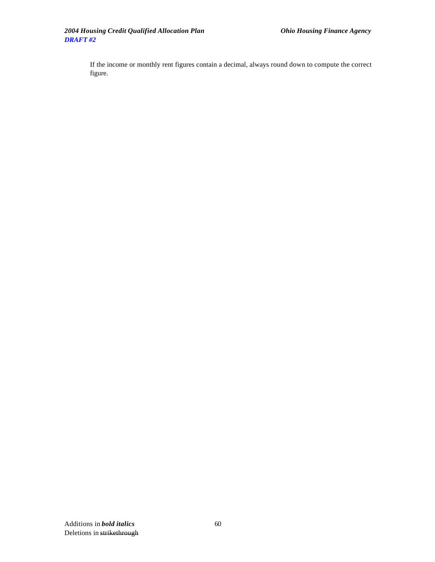If the income or monthly rent figures contain a decimal, always round down to compute the correct figure.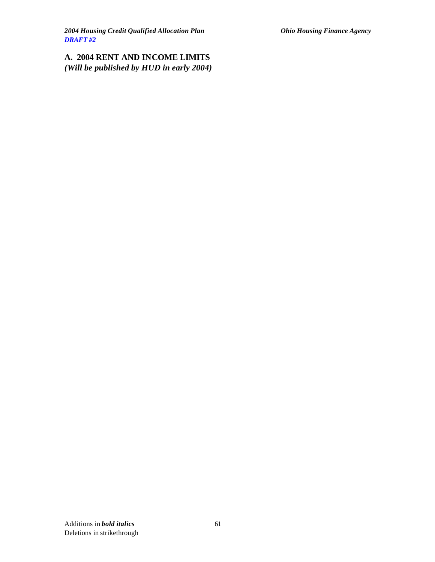*2004 Housing Credit Qualified Allocation Plan Ohio Housing Finance Agency DRAFT #2*

# **A. 2004 RENT AND INCOME LIMITS**

*(Will be published by HUD in early 2004)*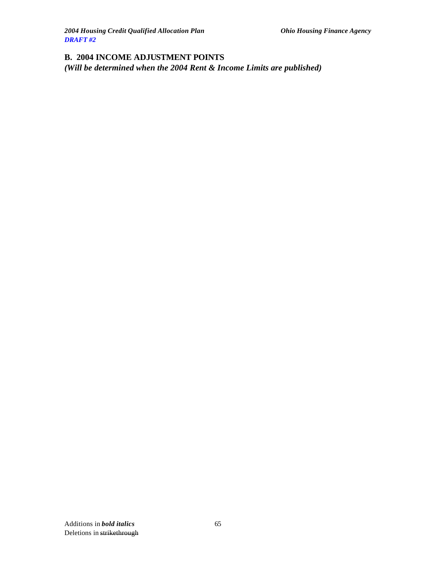# **B. 2004 INCOME ADJUSTMENT POINTS**

*(Will be determined when the 2004 Rent & Income Limits are published)*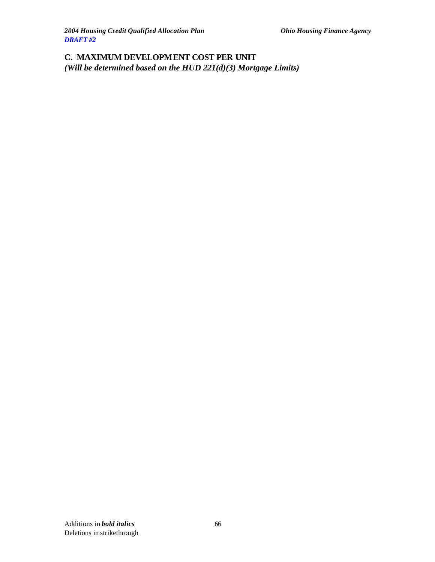# **C. MAXIMUM DEVELOPMENT COST PER UNIT** *(Will be determined based on the HUD 221(d)(3) Mortgage Limits)*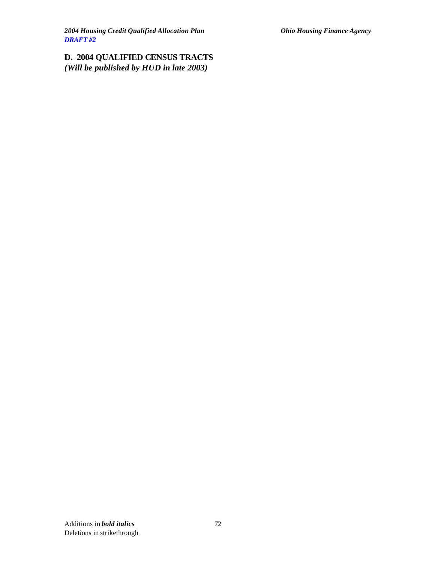*2004 Housing Credit Qualified Allocation Plan Ohio Housing Finance Agency DRAFT #2*

# **D. 2004 QUALIFIED CENSUS TRACTS**

*(Will be published by HUD in late 2003)*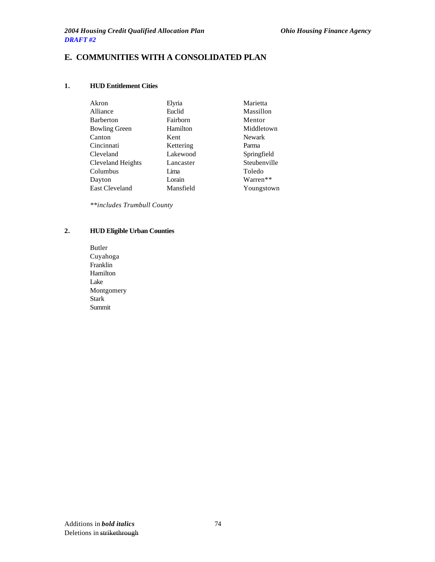# **E. COMMUNITIES WITH A CONSOLIDATED PLAN**

# **1. HUD Entitlement Cities**

| Akron                | Elyria        | Marietta      |
|----------------------|---------------|---------------|
| Alliance             | <b>Euclid</b> | Massillon     |
| <b>Barberton</b>     | Fairborn      | Mentor        |
| <b>Bowling Green</b> | Hamilton      | Middletown    |
| Canton               | Kent          | <b>Newark</b> |
| Cincinnati           | Kettering     | Parma         |
| Cleveland            | Lakewood      | Springfield   |
| Cleveland Heights    | Lancaster     | Steubenville  |
| Columbus             | Lima          | Toledo        |
| Dayton               | Lorain        | Warren**      |
| East Cleveland       | Mansfield     | Youngstown    |

*\*\*includes Trumbull County*

# **2. HUD Eligible Urban Counties**

Butler Cuyahoga Franklin Hamilton Lake Montgomery Stark Summit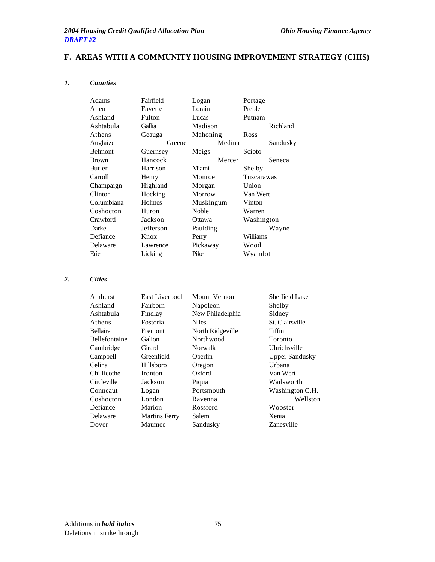# **F. AREAS WITH A COMMUNITY HOUSING IMPROVEMENT STRATEGY (CHIS)**

### *1. Counties*

| Adams      | Fairfield | Logan     | Portage    |
|------------|-----------|-----------|------------|
| Allen      | Fayette   | Lorain    | Preble     |
| Ashland    | Fulton    | Lucas     | Putnam     |
| Ashtabula  | Gallia    | Madison   | Richland   |
| Athens     | Geauga    | Mahoning  | Ross       |
| Auglaize   | Greene    | Medina    | Sandusky   |
| Belmont    | Guernsey  | Meigs     | Scioto     |
| Brown      | Hancock   | Mercer    | Seneca     |
| Butler     | Harrison  | Miami     | Shelby     |
| Carroll    | Henry     | Monroe    | Tuscarawas |
| Champaign  | Highland  | Morgan    | Union      |
| Clinton    | Hocking   | Morrow    | Van Wert   |
| Columbiana | Holmes    | Muskingum | Vinton     |
| Coshocton  | Huron     | Noble     | Warren     |
| Crawford   | Jackson   | Ottawa    | Washington |
| Darke      | Jefferson | Paulding  | Wayne      |
| Defiance   | Knox      | Perry     | Williams   |
| Delaware   | Lawrence  | Pickaway  | Wood       |
| Erie       | Licking   | Pike      | Wyandot    |

### *2. Cities*

| Amherst       | East Liverpool       | Mount Vernon     | <b>Sheffield Lake</b> |
|---------------|----------------------|------------------|-----------------------|
| Ashland       | Fairborn             | Napoleon         | Shelby                |
| Ashtabula     | Findlay              | New Philadelphia | Sidney                |
| Athens        | Fostoria             | <b>Niles</b>     | St. Clairsville       |
| Bellaire      | Fremont              | North Ridgeville | Tiffin                |
| Bellefontaine | Galion               | Northwood        | Toronto               |
| Cambridge     | Girard               | Norwalk          | Uhrichsville          |
| Campbell      | Greenfield           | Oberlin          | <b>Upper Sandusky</b> |
| Celina        | Hillsboro            | Oregon           | Urbana                |
| Chillicothe   | <b>Ironton</b>       | Oxford           | Van Wert              |
| Circleville   | Jackson              | Piqua            | Wadsworth             |
| Conneaut      | Logan                | Portsmouth       | Washington C.H.       |
| Coshocton     | London               | Ravenna          | Wellston              |
| Defiance      | Marion               | Rossford         | Wooster               |
| Delaware      | <b>Martins Ferry</b> | Salem            | Xenia                 |
| Dover         | Maumee               | Sandusky         | Zanesville            |
|               |                      |                  |                       |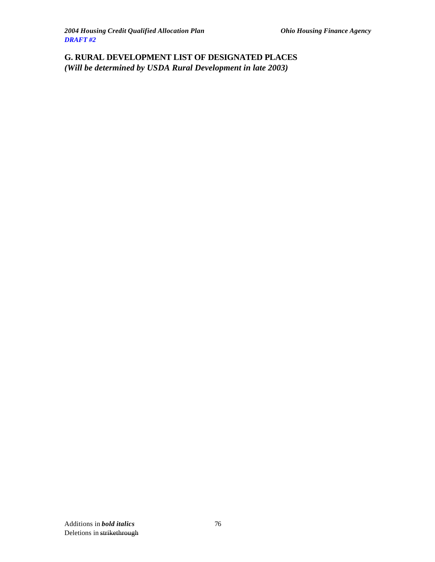**G. RURAL DEVELOPMENT LIST OF DESIGNATED PLACES** *(Will be determined by USDA Rural Development in late 2003)*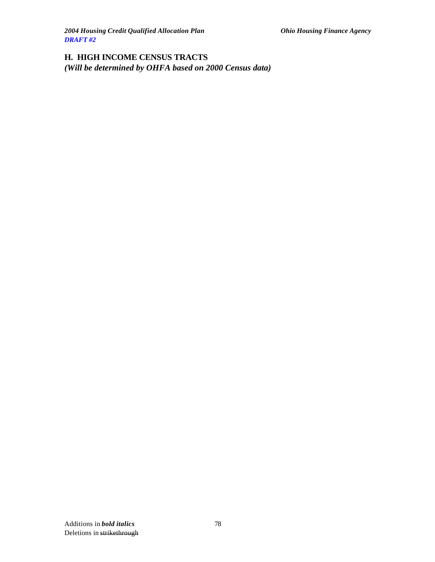# **H. HIGH INCOME CENSUS TRACTS**

*(Will be determined by OHFA based on 2000 Census data)*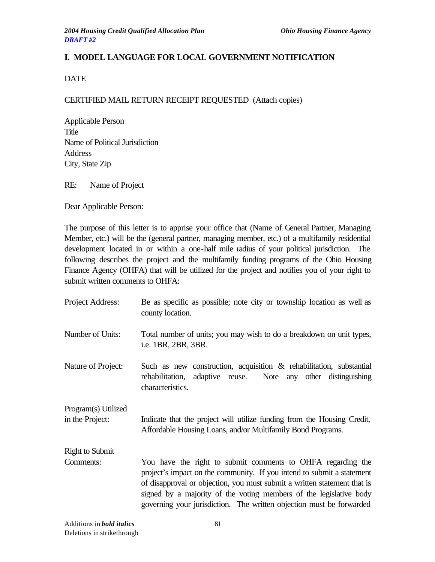# **I. MODEL LANGUAGE FOR LOCAL GOVERNMENT NOTIFICATION**

DATE

# CERTIFIED MAIL RETURN RECEIPT REQUESTED (Attach copies)

Applicable Person Title Name of Political Jurisdiction Address City, State Zip

RE: Name of Project

Dear Applicable Person:

The purpose of this letter is to apprise your office that (Name of General Partner, Managing Member, etc.) will be the (general partner, managing member, etc.) of a multifamily residential development located in or within a one-half mile radius of your political jurisdiction. The following describes the project and the multifamily funding programs of the Ohio Housing Finance Agency (OHFA) that will be utilized for the project and notifies you of your right to submit written comments to OHFA:

| Project Address:                       | Be as specific as possible; note city or township location as well as<br>county location.                                                                                                                                                                                                                                                                       |  |  |
|----------------------------------------|-----------------------------------------------------------------------------------------------------------------------------------------------------------------------------------------------------------------------------------------------------------------------------------------------------------------------------------------------------------------|--|--|
| Number of Units:                       | Total number of units; you may wish to do a breakdown on unit types,<br>i.e. 1BR, 2BR, 3BR.                                                                                                                                                                                                                                                                     |  |  |
| Nature of Project:                     | Such as new construction, acquisition $\&$ rehabilitation, substantial<br>rehabilitation, adaptive reuse. Note any other distinguishing<br>characteristics.                                                                                                                                                                                                     |  |  |
| Program(s) Utilized<br>in the Project: | Indicate that the project will utilize funding from the Housing Credit,<br>Affordable Housing Loans, and/or Multifamily Bond Programs.                                                                                                                                                                                                                          |  |  |
| <b>Right to Submit</b>                 |                                                                                                                                                                                                                                                                                                                                                                 |  |  |
| Comments:                              | You have the right to submit comments to OHFA regarding the<br>project's impact on the community. If you intend to submit a statement<br>of disapproval or objection, you must submit a written statement that is<br>signed by a majority of the voting members of the legislative body<br>governing your jurisdiction. The written objection must be forwarded |  |  |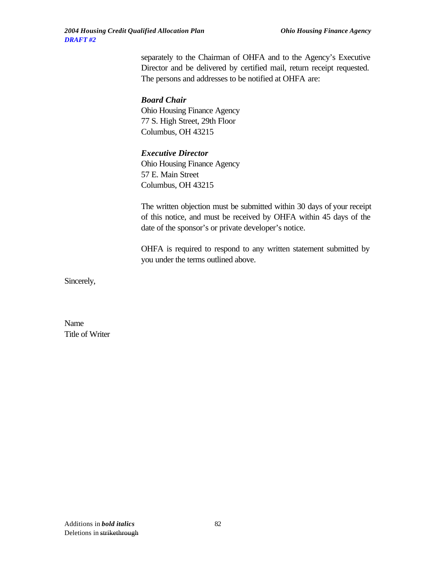separately to the Chairman of OHFA and to the Agency's Executive Director and be delivered by certified mail, return receipt requested. The persons and addresses to be notified at OHFA are:

# *Board Chair*

Ohio Housing Finance Agency 77 S. High Street, 29th Floor Columbus, OH 43215

# *Executive Director*

Ohio Housing Finance Agency 57 E. Main Street Columbus, OH 43215

The written objection must be submitted within 30 days of your receipt of this notice, and must be received by OHFA within 45 days of the date of the sponsor's or private developer's notice.

OHFA is required to respond to any written statement submitted by you under the terms outlined above.

Sincerely,

Name Title of Writer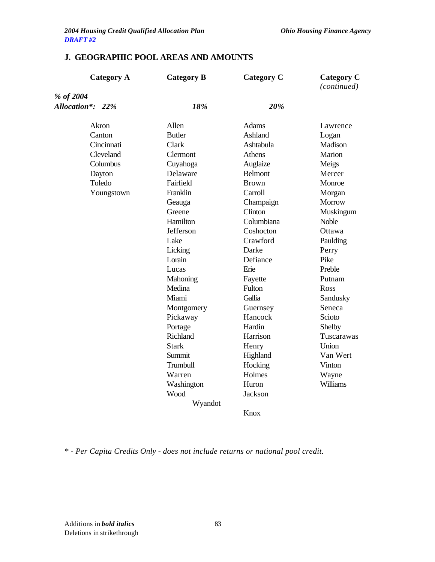# **J. GEOGRAPHIC POOL AREAS AND AMOUNTS**

| <b>Category A</b>             | <b>Category B</b> | <b>Category C</b> | <b>Category C</b><br>(continued) |
|-------------------------------|-------------------|-------------------|----------------------------------|
| % of 2004                     |                   |                   |                                  |
| Allocation <sup>*</sup> : 22% | 18%               | 20%               |                                  |
| Akron                         | Allen             | Adams             | Lawrence                         |
| Canton                        | <b>Butler</b>     | Ashland           | Logan                            |
| Cincinnati                    | Clark             | Ashtabula         | Madison                          |
| Cleveland                     | Clermont          | Athens            | Marion                           |
| Columbus                      | Cuyahoga          | Auglaize          | Meigs                            |
| Dayton                        | Delaware          | Belmont           | Mercer                           |
| Toledo                        | Fairfield         | <b>Brown</b>      | Monroe                           |
| Youngstown                    | Franklin          | Carroll           | Morgan                           |
|                               | Geauga            | Champaign         | Morrow                           |
|                               | Greene            | Clinton           | Muskingum                        |
|                               | Hamilton          | Columbiana        | <b>Noble</b>                     |
|                               | Jefferson         | Coshocton         | Ottawa                           |
|                               | Lake              | Crawford          | Paulding                         |
|                               | Licking           | Darke             | Perry                            |
|                               | Lorain            | Defiance          | Pike                             |
|                               | Lucas             | Erie              | Preble                           |
|                               | Mahoning          | Fayette           | Putnam                           |
|                               | Medina            | Fulton            | Ross                             |
|                               | Miami             | Gallia            | Sandusky                         |
|                               | Montgomery        | Guernsey          | Seneca                           |
|                               | Pickaway          | Hancock           | Scioto                           |
|                               | Portage           | Hardin            | Shelby                           |
|                               | Richland          | Harrison          | Tuscarawas                       |
|                               | <b>Stark</b>      | Henry             | Union                            |
|                               | Summit            | Highland          | Van Wert                         |
|                               | Trumbull          | Hocking           | Vinton                           |
|                               | Warren            | Holmes            | Wayne                            |
|                               | Washington        | Huron             | Williams                         |
|                               | Wood              | Jackson           |                                  |
|                               | Wyandot           |                   |                                  |
|                               |                   | Knox              |                                  |

*\* - Per Capita Credits Only - does not include returns or national pool credit.*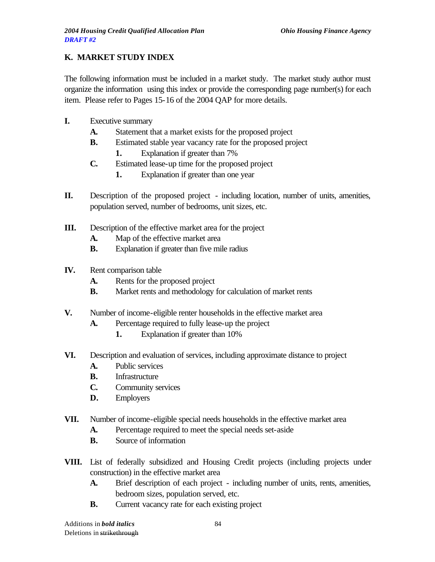# **K. MARKET STUDY INDEX**

The following information must be included in a market study. The market study author must organize the information using this index or provide the corresponding page number(s) for each item. Please refer to Pages 15-16 of the 2004 QAP for more details.

- **I.** Executive summary
	- **A.** Statement that a market exists for the proposed project
	- **B.** Estimated stable year vacancy rate for the proposed project
		- **1.** Explanation if greater than 7%
	- **C.** Estimated lease-up time for the proposed project
		- **1.** Explanation if greater than one year
- **II.** Description of the proposed project including location, number of units, amenities, population served, number of bedrooms, unit sizes, etc.
- **III.** Description of the effective market area for the project
	- **A.** Map of the effective market area
	- **B.** Explanation if greater than five mile radius
- **IV.** Rent comparison table
	- **A.** Rents for the proposed project
	- **B.** Market rents and methodology for calculation of market rents
- **V.** Number of income-eligible renter households in the effective market area
	- **A.** Percentage required to fully lease-up the project
		- **1.** Explanation if greater than 10%
- **VI.** Description and evaluation of services, including approximate distance to project
	- **A.** Public services
	- **B.** Infrastructure
	- **C.** Community services
	- **D.** Employers
- **VII.** Number of income-eligible special needs households in the effective market area
	- **A.** Percentage required to meet the special needs set-aside
	- **B.** Source of information
- **VIII.** List of federally subsidized and Housing Credit projects (including projects under construction) in the effective market area
	- **A.** Brief description of each project including number of units, rents, amenities, bedroom sizes, population served, etc.
	- **B.** Current vacancy rate for each existing project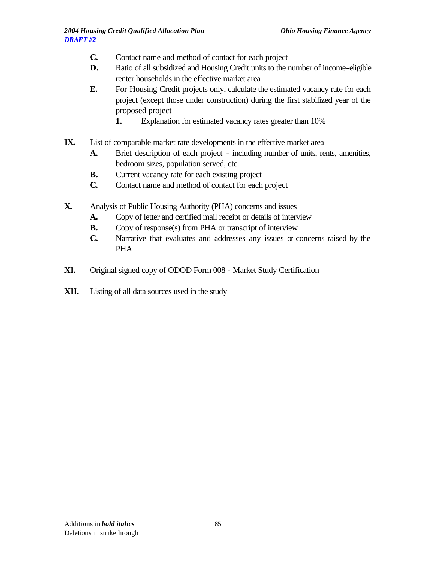- **C.** Contact name and method of contact for each project
- **D.** Ratio of all subsidized and Housing Credit units to the number of income-eligible renter households in the effective market area
- **E.** For Housing Credit projects only, calculate the estimated vacancy rate for each project (except those under construction) during the first stabilized year of the proposed project
	- **1.** Explanation for estimated vacancy rates greater than 10%
- **IX.** List of comparable market rate developments in the effective market area
	- **A.** Brief description of each project including number of units, rents, amenities, bedroom sizes, population served, etc.
	- **B.** Current vacancy rate for each existing project
	- **C.** Contact name and method of contact for each project
- **X.** Analysis of Public Housing Authority (PHA) concerns and issues
	- **A.** Copy of letter and certified mail receipt or details of interview
	- **B.** Copy of response(s) from PHA or transcript of interview
	- **C.** Narrative that evaluates and addresses any issues or concerns raised by the PHA
- **XI.** Original signed copy of ODOD Form 008 Market Study Certification
- **XII.** Listing of all data sources used in the study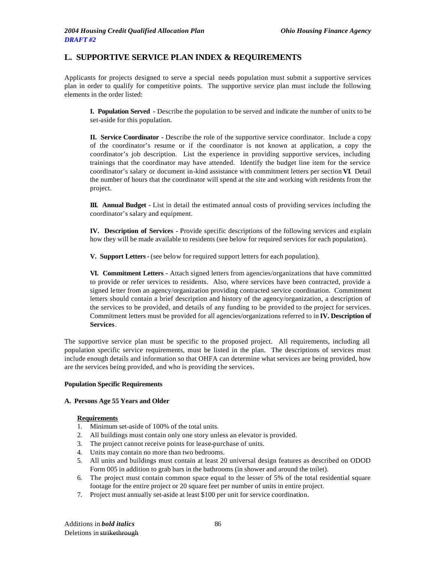# **L. SUPPORTIVE SERVICE PLAN INDEX & REQUIREMENTS**

Applicants for projects designed to serve a special needs population must submit a supportive services plan in order to qualify for competitive points. The supportive service plan must include the following elements in the order listed:

**I. Population Served -** Describe the population to be served and indicate the number of units to be set-aside for this population.

**II. Service Coordinator -** Describe the role of the supportive service coordinator. Include a copy of the coordinator's resume or if the coordinator is not known at application, a copy the coordinator's job description. List the experience in providing supportive services, including trainings that the coordinator may have attended. Identify the budget line item for the service coordinator's salary or document in-kind assistance with commitment letters per section **VI**. Detail the number of hours that the coordinator will spend at the site and working with residents from the project.

**III. Annual Budget -** List in detail the estimated annual costs of providing services including the coordinator's salary and equipment.

**IV. Description of Services -** Provide specific descriptions of the following services and explain how they will be made available to residents (see below for required services for each population).

**V. Support Letters -** (see below for required support letters for each population).

**VI. Commitment Letters -** Attach signed letters from agencies/organizations that have committed to provide or refer services to residents. Also, where services have been contracted, provide a signed letter from an agency/organization providing contracted service coordination. Commitment letters should contain a brief description and history of the agency/organization, a description of the services to be provided, and details of any funding to be provided to the project for services. Commitment letters must be provided for all agencies/organizations referred to in **IV. Description of Services**.

The supportive service plan must be specific to the proposed project. All requirements, including all population specific service requirements, must be listed in the plan. The descriptions of services must include enough details and information so that OHFA can determine what services are being provided, how are the services being provided, and who is providing the services.

### **Population Specific Requirements**

### **A. Persons Age 55 Years and Older**

### **Requirements**

- 1. Minimum set-aside of 100% of the total units.
- 2. All buildings must contain only one story unless an elevator is provided.
- 3. The project cannot receive points for lease-purchase of units.
- 4. Units may contain no more than two bedrooms.
- 5. All units and buildings must contain at least 20 universal design features as described on ODOD Form 005 in addition to grab bars in the bathrooms (in shower and around the toilet).
- 6. The project must contain common space equal to the lesser of 5% of the total residential square footage for the entire project or 20 square feet per number of units in entire project.
- 7. Project must annually set-aside at least \$100 per unit for service coordination.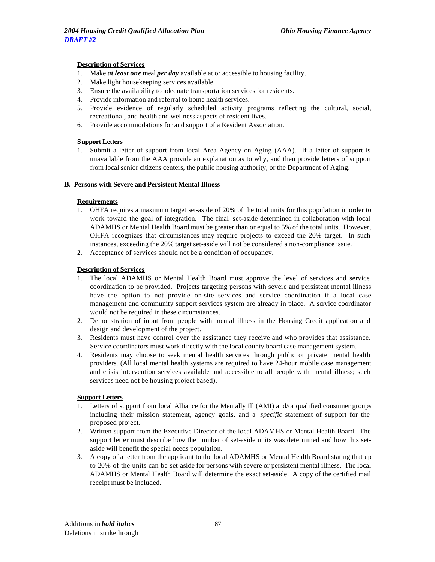## **Description of Services**

- 1. Make *at least one* meal *per day* available at or accessible to housing facility.
- 2. Make light housekeeping services available.
- 3. Ensure the availability to adequate transportation services for residents.
- 4. Provide information and referral to home health services.
- 5. Provide evidence of regularly scheduled activity programs reflecting the cultural, social, recreational, and health and wellness aspects of resident lives.
- 6. Provide accommodations for and support of a Resident Association.

## **Support Letters**

1. Submit a letter of support from local Area Agency on Aging (AAA). If a letter of support is unavailable from the AAA provide an explanation as to why, and then provide letters of support from local senior citizens centers, the public housing authority, or the Department of Aging.

## **B. Persons with Severe and Persistent Mental Illness**

### **Requirements**

- 1. OHFA requires a maximum target set-aside of 20% of the total units for this population in order to work toward the goal of integration. The final set-aside determined in collaboration with local ADAMHS or Mental Health Board must be greater than or equal to 5% of the total units. However, OHFA recognizes that circumstances may require projects to exceed the 20% target. In such instances, exceeding the 20% target set-aside will not be considered a non-compliance issue.
- 2. Acceptance of services should not be a condition of occupancy.

## **Description of Services**

- 1. The local ADAMHS or Mental Health Board must approve the level of services and service coordination to be provided. Projects targeting persons with severe and persistent mental illness have the option to not provide on-site services and service coordination if a local case management and community support services system are already in place. A service coordinator would not be required in these circumstances.
- 2. Demonstration of input from people with mental illness in the Housing Credit application and design and development of the project.
- 3. Residents must have control over the assistance they receive and who provides that assistance. Service coordinators must work directly with the local county board case management system.
- 4. Residents may choose to seek mental health services through public or private mental health providers. (All local mental health systems are required to have 24-hour mobile case management and crisis intervention services available and accessible to all people with mental illness; such services need not be housing project based).

# **Support Letters**

- 1. Letters of support from local Alliance for the Mentally Ill (AMI) and/or qualified consumer groups including their mission statement, agency goals, and a *specific* statement of support for the proposed project.
- 2. Written support from the Executive Director of the local ADAMHS or Mental Health Board. The support letter must describe how the number of set-aside units was determined and how this setaside will benefit the special needs population.
- 3. A copy of a letter from the applicant to the local ADAMHS or Mental Health Board stating that up to 20% of the units can be set-aside for persons with severe or persistent mental illness. The local ADAMHS or Mental Health Board will determine the exact set-aside. A copy of the certified mail receipt must be included.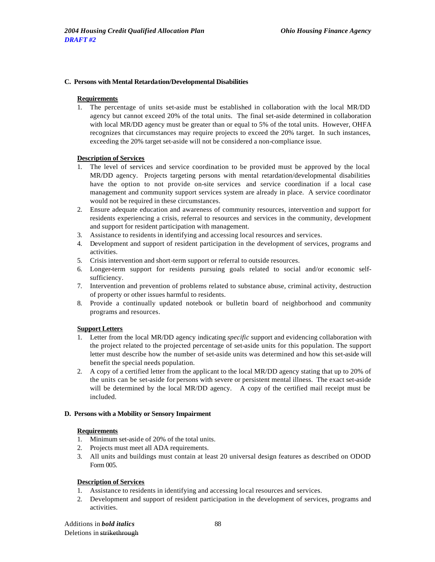## **C. Persons with Mental Retardation/Developmental Disabilities**

### **Requirements**

1. The percentage of units set-aside must be established in collaboration with the local MR/DD agency but cannot exceed 20% of the total units. The final set-aside determined in collaboration with local MR/DD agency must be greater than or equal to 5% of the total units. However, OHFA recognizes that circumstances may require projects to exceed the 20% target. In such instances, exceeding the 20% target set-aside will not be considered a non-compliance issue.

# **Description of Services**

- 1. The level of services and service coordination to be provided must be approved by the local MR/DD agency. Projects targeting persons with mental retardation/developmental disabilities have the option to not provide on-site services and service coordination if a local case management and community support services system are already in place. A service coordinator would not be required in these circumstances.
- 2. Ensure adequate education and awareness of community resources, intervention and support for residents experiencing a crisis, referral to resources and services in the community, development and support for resident participation with management.
- 3. Assistance to residents in identifying and accessing local resources and services.
- 4. Development and support of resident participation in the development of services, programs and activities.
- 5. Crisis intervention and short-term support or referral to outside resources.
- 6. Longer-term support for residents pursuing goals related to social and/or economic selfsufficiency.
- 7. Intervention and prevention of problems related to substance abuse, criminal activity, destruction of property or other issues harmful to residents.
- 8. Provide a continually updated notebook or bulletin board of neighborhood and community programs and resources.

### **Support Letters**

- 1. Letter from the local MR/DD agency indicating *specific* support and evidencing collaboration with the project related to the projected percentage of set-aside units for this population. The support letter must describe how the number of set-aside units was determined and how this set-aside will benefit the special needs population.
- 2. A copy of a certified letter from the applicant to the local MR/DD agency stating that up to 20% of the units can be set-aside for persons with severe or persistent mental illness. The exact set-aside will be determined by the local MR/DD agency. A copy of the certified mail receipt must be included.

## **D. Persons with a Mobility or Sensory Impairment**

#### **Requirements**

- 1. Minimum set-aside of 20% of the total units.
- 2. Projects must meet all ADA requirements.
- 3. All units and buildings must contain at least 20 universal design features as described on ODOD Form 005.

#### **Description of Services**

- 1. Assistance to residents in identifying and accessing local resources and services.
- 2. Development and support of resident participation in the development of services, programs and activities.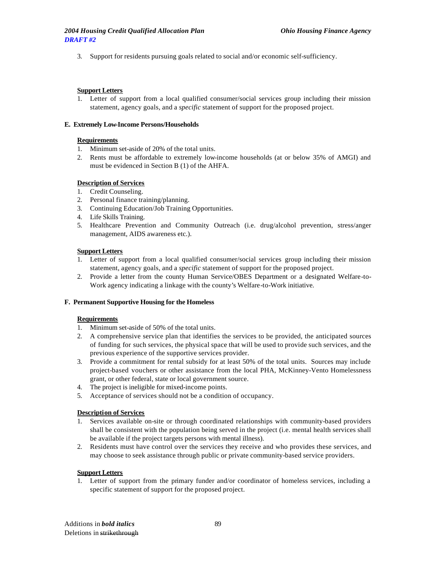3. Support for residents pursuing goals related to social and/or economic self-sufficiency.

# **Support Letters**

1. Letter of support from a local qualified consumer/social services group including their mission statement, agency goals, and a *specific* statement of support for the proposed project.

## **E. Extremely Low-Income Persons/Households**

## **Requirements**

- 1. Minimum set-aside of 20% of the total units.
- 2. Rents must be affordable to extremely low-income households (at or below 35% of AMGI) and must be evidenced in Section B (1) of the AHFA.

# **Description of Services**

- 1. Credit Counseling.
- 2. Personal finance training/planning.
- 3. Continuing Education/Job Training Opportunities.
- 4. Life Skills Training.
- 5. Healthcare Prevention and Community Outreach (i.e. drug/alcohol prevention, stress/anger management, AIDS awareness etc.).

## **Support Letters**

- 1. Letter of support from a local qualified consumer/social services group including their mission statement, agency goals, and a *specific* statement of support for the proposed project.
- 2. Provide a letter from the county Human Service/OBES Department or a designated Welfare-to-Work agency indicating a linkage with the county's Welfare-to-Work initiative.

# **F. Permanent Supportive Housing for the Homeless**

### **Requirements**

- 1. Minimum set-aside of 50% of the total units.
- 2. A comprehensive service plan that identifies the services to be provided, the anticipated sources of funding for such services, the physical space that will be used to provide such services, and the previous experience of the supportive services provider.
- 3. Provide a commitment for rental subsidy for at least 50% of the total units. Sources may include project-based vouchers or other assistance from the local PHA, McKinney-Vento Homelessness grant, or other federal, state or local government source.
- 4. The project is ineligible for mixed-income points.
- 5. Acceptance of services should not be a condition of occupancy.

### **Description of Services**

- 1. Services available on-site or through coordinated relationships with community-based providers shall be consistent with the population being served in the project (i.e. mental health services shall be available if the project targets persons with mental illness).
- 2. Residents must have control over the services they receive and who provides these services, and may choose to seek assistance through public or private community-based service providers.

# **Support Letters**

1. Letter of support from the primary funder and/or coordinator of homeless services, including a specific statement of support for the proposed project.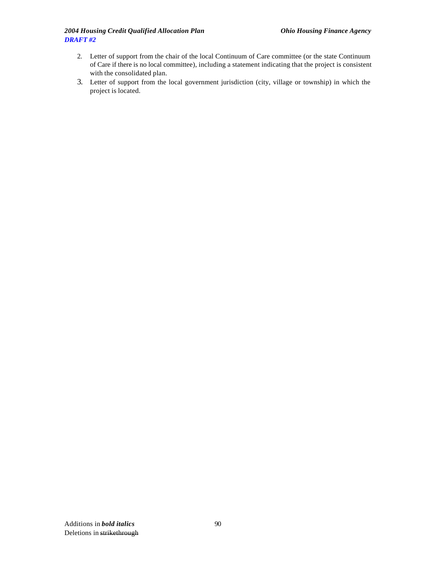- 2. Letter of support from the chair of the local Continuum of Care committee (or the state Continuum of Care if there is no local committee), including a statement indicating that the project is consistent with the consolidated plan.
- 3. Letter of support from the local government jurisdiction (city, village or township) in which the project is located.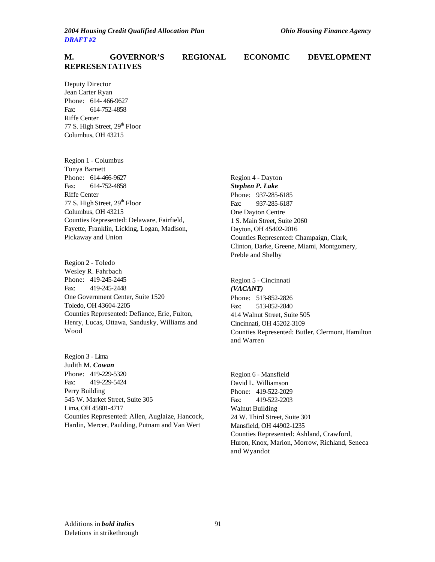Deputy Director Jean Carter Ryan Phone: 614- 466-9627 Fax: 614-752-4858 Riffe Center 77 S. High Street,  $29<sup>th</sup>$  Floor Columbus, OH 43215

Region 1 - Columbus Tonya Barnett Phone: 614-466-9627 Fax: 614-752-4858 Riffe Center 77 S. High Street, 29<sup>th</sup> Floor Columbus, OH 43215 Counties Represented: Delaware, Fairfield, Fayette, Franklin, Licking, Logan, Madison, Pickaway and Union

Region 2 - Toledo Wesley R. Fahrbach Phone: 419-245-2445 Fax: 419-245-2448 One Government Center, Suite 1520 Toledo, OH 43604-2205 Counties Represented: Defiance, Erie, Fulton, Henry, Lucas, Ottawa, Sandusky, Williams and Wood

Region 3 - Lima Judith M. *Cowan* Phone: 419-229-5320 Fax: 419-229-5424 Perry Building 545 W. Market Street, Suite 305 Lima, OH 45801-4717 Counties Represented: Allen, Auglaize, Hancock, Hardin, Mercer, Paulding, Putnam and Van Wert

Region 4 - Dayton *Stephen P. Lake* Phone: 937-285-6185 Fax: 937-285-6187 One Dayton Centre 1 S. Main Street, Suite 2060 Dayton, OH 45402-2016 Counties Represented: Champaign, Clark, Clinton, Darke, Greene, Miami, Montgomery, Preble and Shelby

Region 5 - Cincinnati *(VACANT)* Phone: 513-852-2826 Fax: 513-852-2840 414 Walnut Street, Suite 505 Cincinnati, OH 45202-3109 Counties Represented: Butler, Clermont, Hamilton and Warren

Region 6 - Mansfield David L. Williamson Phone: 419-522-2029 Fax: 419-522-2203 Walnut Building 24 W. Third Street, Suite 301 Mansfield, OH 44902-1235 Counties Represented: Ashland, Crawford, Huron, Knox, Marion, Morrow, Richland, Seneca and Wyandot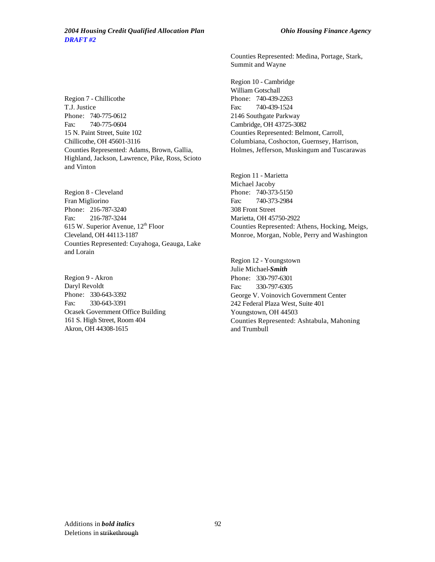Region 7 - Chillicothe T.J. Justice Phone: 740-775-0612 Fax: 740-775-0604 15 N. Paint Street, Suite 102 Chillicothe, OH 45601-3116 Counties Represented: Adams, Brown, Gallia, Highland, Jackson, Lawrence, Pike, Ross, Scioto and Vinton

Region 8 - Cleveland Fran Migliorino Phone: 216-787-3240 Fax: 216-787-3244 615 W. Superior Avenue,  $12^{th}$  Floor Cleveland, OH 44113-1187 Counties Represented: Cuyahoga, Geauga, Lake and Lorain

Region 9 - Akron Daryl Revoldt Phone: 330-643-3392 Fax: 330-643-3391 Ocasek Government Office Building 161 S. High Street, Room 404 Akron, OH 44308-1615

Counties Represented: Medina, Portage, Stark, Summit and Wayne

Region 10 - Cambridge William Gotschall Phone: 740-439-2263 Fax: 740-439-1524 2146 Southgate Parkway Cambridge, OH 43725-3082 Counties Represented: Belmont, Carroll, Columbiana, Coshocton, Guernsey, Harrison, Holmes, Jefferson, Muskingum and Tuscarawas

Region 11 - Marietta Michael Jacoby Phone: 740-373-5150 Fax: 740-373-2984 308 Front Street Marietta, OH 45750-2922 Counties Represented: Athens, Hocking, Meigs, Monroe, Morgan, Noble, Perry and Washington

Region 12 - Youngstown Julie Michael-*Smith* Phone: 330-797-6301 Fax: 330-797-6305 George V. Voinovich Government Center 242 Federal Plaza West, Suite 401 Youngstown, OH 44503 Counties Represented: Ashtabula, Mahoning and Trumbull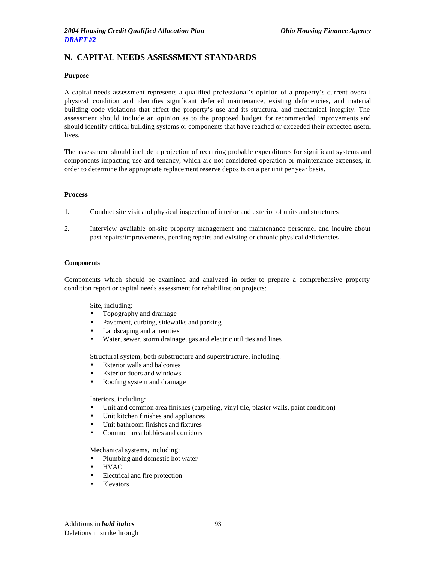# **N. CAPITAL NEEDS ASSESSMENT STANDARDS**

## **Purpose**

A capital needs assessment represents a qualified professional's opinion of a property's current overall physical condition and identifies significant deferred maintenance, existing deficiencies, and material building code violations that affect the property's use and its structural and mechanical integrity. The assessment should include an opinion as to the proposed budget for recommended improvements and should identify critical building systems or components that have reached or exceeded their expected useful lives.

The assessment should include a projection of recurring probable expenditures for significant systems and components impacting use and tenancy, which are not considered operation or maintenance expenses, in order to determine the appropriate replacement reserve deposits on a per unit per year basis.

### **Process**

- 1. Conduct site visit and physical inspection of interior and exterior of units and structures
- 2. Interview available on-site property management and maintenance personnel and inquire about past repairs/improvements, pending repairs and existing or chronic physical deficiencies

### **Components**

Components which should be examined and analyzed in order to prepare a comprehensive property condition report or capital needs assessment for rehabilitation projects:

Site, including:

- Topography and drainage
- Pavement, curbing, sidewalks and parking
- Landscaping and amenities
- Water, sewer, storm drainage, gas and electric utilities and lines

Structural system, both substructure and superstructure, including:

- Exterior walls and balconies
- Exterior doors and windows
- Roofing system and drainage

### Interiors, including:

- Unit and common area finishes (carpeting, vinyl tile, plaster walls, paint condition)
- Unit kitchen finishes and appliances
- Unit bathroom finishes and fixtures
- Common area lobbies and corridors

Mechanical systems, including:

- Plumbing and domestic hot water
- HVAC
- Electrical and fire protection
- **Elevators**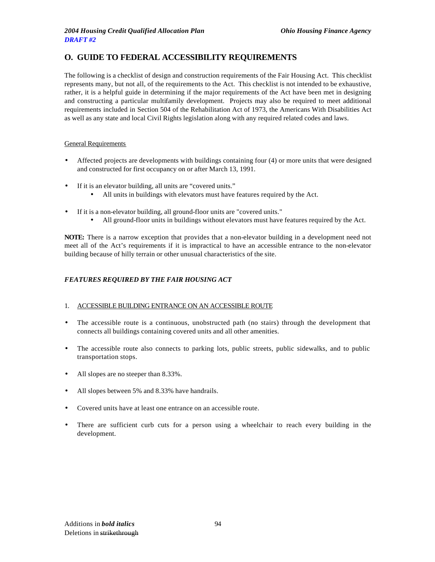# **O. GUIDE TO FEDERAL ACCESSIBILITY REQUIREMENTS**

The following is a checklist of design and construction requirements of the Fair Housing Act. This checklist represents many, but not all, of the requirements to the Act. This checklist is not intended to be exhaustive, rather, it is a helpful guide in determining if the major requirements of the Act have been met in designing and constructing a particular multifamily development. Projects may also be required to meet additional requirements included in Section 504 of the Rehabilitation Act of 1973, the Americans With Disabilities Act as well as any state and local Civil Rights legislation along with any required related codes and laws.

## General Requirements

- Affected projects are developments with buildings containing four (4) or more units that were designed and constructed for first occupancy on or after March 13, 1991.
- If it is an elevator building, all units are "covered units."
	- All units in buildings with elevators must have features required by the Act.
- If it is a non-elevator building, all ground-floor units are "covered units."
	- All ground-floor units in buildings without elevators must have features required by the Act.

**NOTE:** There is a narrow exception that provides that a non-elevator building in a development need not meet all of the Act's requirements if it is impractical to have an accessible entrance to the non-elevator building because of hilly terrain or other unusual characteristics of the site.

# *FEATURES REQUIRED BY THE FAIR HOUSING ACT*

### 1. ACCESSIBLE BUILDING ENTRANCE ON AN ACCESSIBLE ROUTE

- The accessible route is a continuous, unobstructed path (no stairs) through the development that connects all buildings containing covered units and all other amenities.
- The accessible route also connects to parking lots, public streets, public sidewalks, and to public transportation stops.
- All slopes are no steeper than 8.33%.
- All slopes between 5% and 8.33% have handrails.
- Covered units have at least one entrance on an accessible route.
- There are sufficient curb cuts for a person using a wheelchair to reach every building in the development.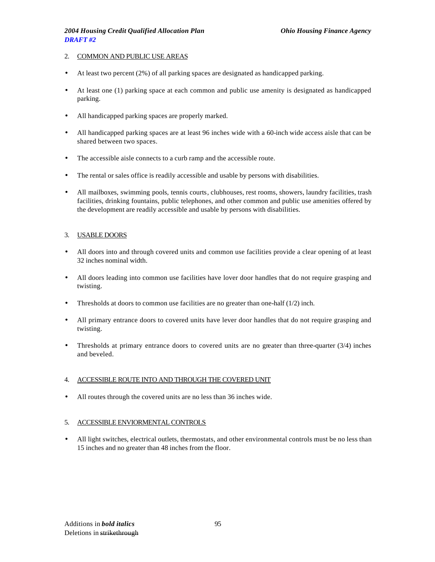## 2. COMMON AND PUBLIC USE AREAS

- At least two percent  $(2%)$  of all parking spaces are designated as handicapped parking.
- At least one (1) parking space at each common and public use amenity is designated as handicapped parking.
- All handicapped parking spaces are properly marked.
- All handicapped parking spaces are at least 96 inches wide with a 60-inch wide access aisle that can be shared between two spaces.
- The accessible aisle connects to a curb ramp and the accessible route.
- The rental or sales office is readily accessible and usable by persons with disabilities.
- All mailboxes, swimming pools, tennis courts, clubhouses, rest rooms, showers, laundry facilities, trash facilities, drinking fountains, public telephones, and other common and public use amenities offered by the development are readily accessible and usable by persons with disabilities.

## 3. USABLE DOORS

- All doors into and through covered units and common use facilities provide a clear opening of at least 32 inches nominal width.
- All doors leading into common use facilities have lover door handles that do not require grasping and twisting.
- Thresholds at doors to common use facilities are no greater than one-half  $(1/2)$  inch.
- All primary entrance doors to covered units have lever door handles that do not require grasping and twisting.
- Thresholds at primary entrance doors to covered units are no greater than three-quarter (3/4) inches and beveled.

### 4. ACCESSIBLE ROUTE INTO AND THROUGH THE COVERED UNIT

• All routes through the covered units are no less than 36 inches wide.

### 5. ACCESSIBLE ENVIORMENTAL CONTROLS

• All light switches, electrical outlets, thermostats, and other environmental controls must be no less than 15 inches and no greater than 48 inches from the floor.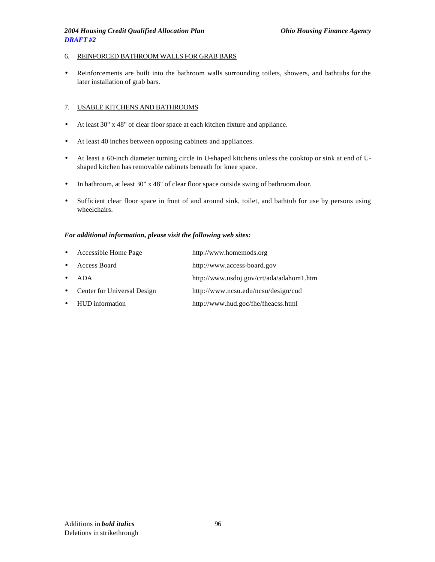# *2004 Housing Credit Qualified Allocation Plan Ohio Housing Finance Agency DRAFT #2*

## 6. REINFORCED BATHROOM WALLS FOR GRAB BARS

• Reinforcements are built into the bathroom walls surrounding toilets, showers, and bathtubs for the later installation of grab bars.

# 7. USABLE KITCHENS AND BATHROOMS

- At least 30" x 48" of clear floor space at each kitchen fixture and appliance.
- At least 40 inches between opposing cabinets and appliances.
- At least a 60-inch diameter turning circle in U-shaped kitchens unless the cooktop or sink at end of Ushaped kitchen has removable cabinets beneath for knee space.
- In bathroom, at least 30" x 48" of clear floor space outside swing of bathroom door.
- Sufficient clear floor space in front of and around sink, toilet, and bathtub for use by persons using wheelchairs.

## *For additional information, please visit the following web sites:*

| $\bullet$ | Accessible Home Page        | http://www.homemods.org                  |
|-----------|-----------------------------|------------------------------------------|
| $\bullet$ | Access Board                | http://www.access-board.gov              |
| $\bullet$ | ADA                         | http://www.usdoj.gov/crt/ada/adahom1.htm |
| $\bullet$ | Center for Universal Design | http://www.ncsu.edu/ncsu/design/cud      |
| $\bullet$ | HUD information             | http://www.hud.goc/fhe/fheacss.html      |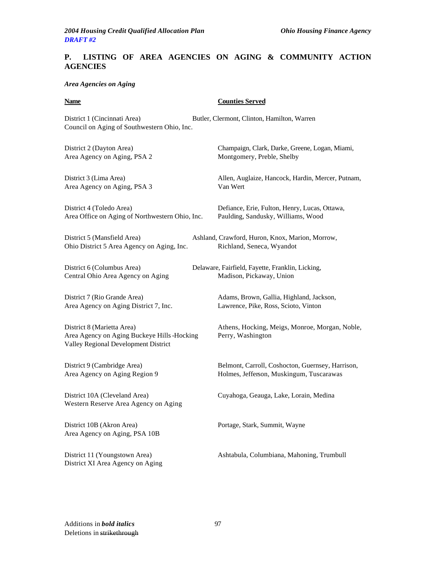# **P. LISTING OF AREA AGENCIES ON AGING & COMMUNITY ACTION AGENCIES**

# *Area Agencies on Aging*

| <b>Name</b>                                                                                                      |  | <b>Counties Served</b>                                                                       |  |
|------------------------------------------------------------------------------------------------------------------|--|----------------------------------------------------------------------------------------------|--|
| District 1 (Cincinnati Area)<br>Council on Aging of Southwestern Ohio, Inc.                                      |  | Butler, Clermont, Clinton, Hamilton, Warren                                                  |  |
| District 2 (Dayton Area)<br>Area Agency on Aging, PSA 2                                                          |  | Champaign, Clark, Darke, Greene, Logan, Miami,<br>Montgomery, Preble, Shelby                 |  |
| District 3 (Lima Area)<br>Area Agency on Aging, PSA 3                                                            |  | Allen, Auglaize, Hancock, Hardin, Mercer, Putnam,<br>Van Wert                                |  |
| District 4 (Toledo Area)<br>Area Office on Aging of Northwestern Ohio, Inc.                                      |  | Defiance, Erie, Fulton, Henry, Lucas, Ottawa,<br>Paulding, Sandusky, Williams, Wood          |  |
| District 5 (Mansfield Area)<br>Ohio District 5 Area Agency on Aging, Inc.                                        |  | Ashland, Crawford, Huron, Knox, Marion, Morrow,<br>Richland, Seneca, Wyandot                 |  |
| District 6 (Columbus Area)<br>Central Ohio Area Agency on Aging                                                  |  | Delaware, Fairfield, Fayette, Franklin, Licking,<br>Madison, Pickaway, Union                 |  |
| District 7 (Rio Grande Area)<br>Area Agency on Aging District 7, Inc.                                            |  | Adams, Brown, Gallia, Highland, Jackson,<br>Lawrence, Pike, Ross, Scioto, Vinton             |  |
| District 8 (Marietta Area)<br>Area Agency on Aging Buckeye Hills-Hocking<br>Valley Regional Development District |  | Athens, Hocking, Meigs, Monroe, Morgan, Noble,<br>Perry, Washington                          |  |
| District 9 (Cambridge Area)<br>Area Agency on Aging Region 9                                                     |  | Belmont, Carroll, Coshocton, Guernsey, Harrison,<br>Holmes, Jefferson, Muskingum, Tuscarawas |  |
| District 10A (Cleveland Area)<br>Western Reserve Area Agency on Aging                                            |  | Cuyahoga, Geauga, Lake, Lorain, Medina                                                       |  |
| District 10B (Akron Area)<br>Area Agency on Aging, PSA 10B                                                       |  | Portage, Stark, Summit, Wayne                                                                |  |
| District 11 (Youngstown Area)<br>District XI Area Agency on Aging                                                |  | Ashtabula, Columbiana, Mahoning, Trumbull                                                    |  |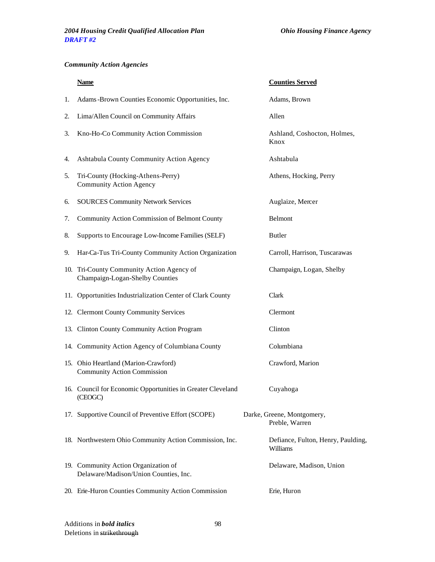# *Community Action Agencies*

|    | <b>Name</b>                                                                   | <b>Counties Served</b>                         |
|----|-------------------------------------------------------------------------------|------------------------------------------------|
| 1. | Adams -Brown Counties Economic Opportunities, Inc.                            | Adams, Brown                                   |
| 2. | Lima/Allen Council on Community Affairs                                       | Allen                                          |
| 3. | Kno-Ho-Co Community Action Commission                                         | Ashland, Coshocton, Holmes,<br>Knox            |
| 4. | Ashtabula County Community Action Agency                                      | Ashtabula                                      |
| 5. | Tri-County (Hocking-Athens-Perry)<br><b>Community Action Agency</b>           | Athens, Hocking, Perry                         |
| 6. | <b>SOURCES Community Network Services</b>                                     | Auglaize, Mercer                               |
| 7. | <b>Community Action Commission of Belmont County</b>                          | Belmont                                        |
| 8. | Supports to Encourage Low-Income Families (SELF)                              | Butler                                         |
| 9. | Har-Ca-Tus Tri-County Community Action Organization                           | Carroll, Harrison, Tuscarawas                  |
|    | 10. Tri-County Community Action Agency of<br>Champaign-Logan-Shelby Counties  | Champaign, Logan, Shelby                       |
|    | 11. Opportunities Industrialization Center of Clark County                    | Clark                                          |
|    | 12. Clermont County Community Services                                        | Clermont                                       |
|    | 13. Clinton County Community Action Program                                   | Clinton                                        |
|    | 14. Community Action Agency of Columbiana County                              | Columbiana                                     |
|    | 15. Ohio Heartland (Marion-Crawford)<br><b>Community Action Commission</b>    | Crawford, Marion                               |
|    | 16. Council for Economic Opportunities in Greater Cleveland<br>(CEOGC)        | Cuyahoga                                       |
|    | 17. Supportive Council of Preventive Effort (SCOPE)                           | Darke, Greene, Montgomery,<br>Preble, Warren   |
|    | 18. Northwestern Ohio Community Action Commission, Inc.                       | Defiance, Fulton, Henry, Paulding,<br>Williams |
|    | 19. Community Action Organization of<br>Delaware/Madison/Union Counties, Inc. | Delaware, Madison, Union                       |
|    | 20. Erie-Huron Counties Community Action Commission                           | Erie, Huron                                    |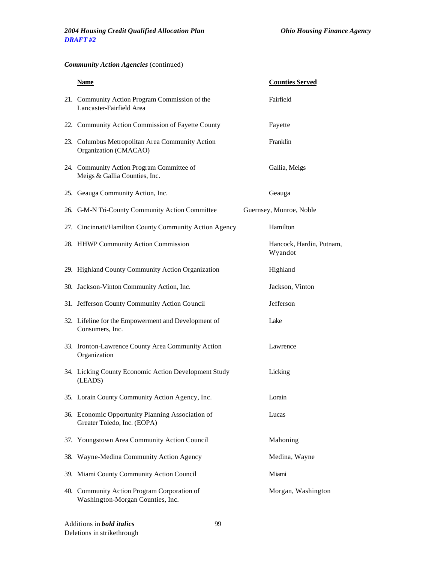# *Community Action Agencies* (continued)

| <b>Name</b>                                                                     | <b>Counties Served</b>              |
|---------------------------------------------------------------------------------|-------------------------------------|
| 21. Community Action Program Commission of the<br>Lancaster-Fairfield Area      | Fairfield                           |
| 22. Community Action Commission of Fayette County                               | Fayette                             |
| 23. Columbus Metropolitan Area Community Action<br>Organization (CMACAO)        | Franklin                            |
| 24. Community Action Program Committee of<br>Meigs & Gallia Counties, Inc.      | Gallia, Meigs                       |
| 25. Geauga Community Action, Inc.                                               | Geauga                              |
| 26. G-M-N Tri-County Community Action Committee                                 | Guernsey, Monroe, Noble             |
| 27. Cincinnati/Hamilton County Community Action Agency                          | Hamilton                            |
| 28. HHWP Community Action Commission                                            | Hancock, Hardin, Putnam,<br>Wyandot |
| 29. Highland County Community Action Organization                               | Highland                            |
| 30. Jackson-Vinton Community Action, Inc.                                       | Jackson, Vinton                     |
| 31. Jefferson County Community Action Council                                   | Jefferson                           |
| 32. Lifeline for the Empowerment and Development of<br>Consumers, Inc.          | Lake                                |
| 33. Ironton-Lawrence County Area Community Action<br>Organization               | Lawrence                            |
| 34. Licking County Economic Action Development Study<br>(LEADS)                 | Licking                             |
| 35. Lorain County Community Action Agency, Inc.                                 | Lorain                              |
| 36. Economic Opportunity Planning Association of<br>Greater Toledo, Inc. (EOPA) | Lucas                               |
| 37. Youngstown Area Community Action Council                                    | Mahoning                            |
| 38. Wayne-Medina Community Action Agency                                        | Medina, Wayne                       |
| 39. Miami County Community Action Council                                       | Miami                               |
| 40. Community Action Program Corporation of<br>Washington-Morgan Counties, Inc. | Morgan, Washington                  |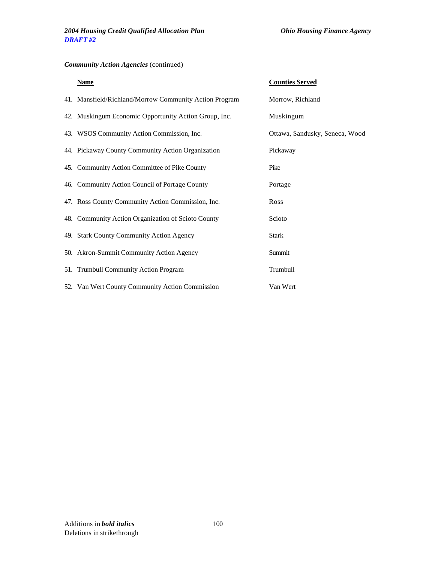# *Community Action Agencies* (continued)

| <b>Name</b>                                            | <b>Counties Served</b>         |
|--------------------------------------------------------|--------------------------------|
| 41. Mansfield/Richland/Morrow Community Action Program | Morrow, Richland               |
| 42. Muskingum Economic Opportunity Action Group, Inc.  | Muskingum                      |
| 43. WSOS Community Action Commission, Inc.             | Ottawa, Sandusky, Seneca, Wood |
| 44. Pickaway County Community Action Organization      | Pickaway                       |
| 45. Community Action Committee of Pike County          | Pike                           |
| 46. Community Action Council of Portage County         | Portage                        |
| 47. Ross County Community Action Commission, Inc.      | Ross                           |
| 48. Community Action Organization of Scioto County     | Scioto                         |
| 49. Stark County Community Action Agency               | <b>Stark</b>                   |
| 50. Akron-Summit Community Action Agency               | Summit                         |
| 51. Trumbull Community Action Program                  | Trumbull                       |
| 52. Van Wert County Community Action Commission        | Van Wert                       |